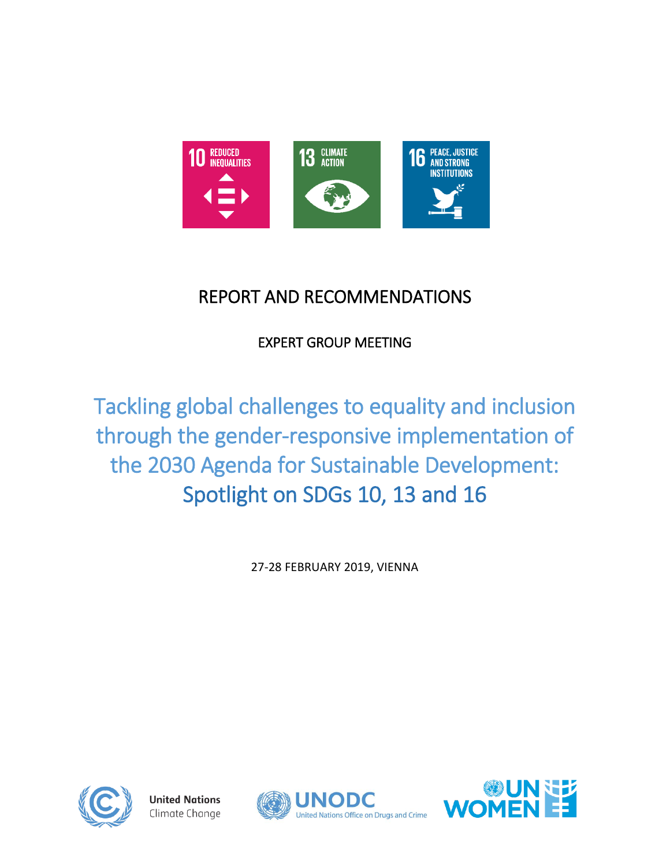

# REPORT AND RECOMMENDATIONS

EXPERT GROUP MEETING

Tackling global challenges to equality and inclusion through the gender-responsive implementation of the 2030 Agenda for Sustainable Development: Spotlight on SDGs 10, 13 and 16

27-28 FEBRUARY 2019, VIENNA



**United Nations** Climate Change



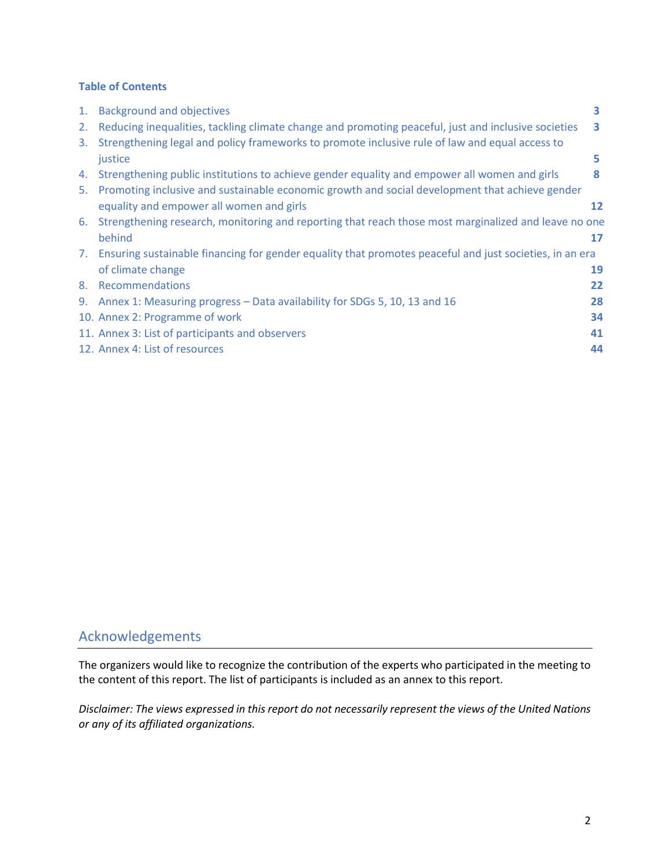### **Table of Contents**

| 1. | <b>Background and objectives</b>                                                                           | 3  |
|----|------------------------------------------------------------------------------------------------------------|----|
| 2. | Reducing inequalities, tackling climate change and promoting peaceful, just and inclusive societies        | з  |
| 3. | Strengthening legal and policy frameworks to promote inclusive rule of law and equal access to             |    |
|    | justice                                                                                                    | 5  |
| 4. | Strengthening public institutions to achieve gender equality and empower all women and girls               | 8  |
| 5. | Promoting inclusive and sustainable economic growth and social development that achieve gender             |    |
|    | equality and empower all women and girls                                                                   | 12 |
| 6. | Strengthening research, monitoring and reporting that reach those most marginalized and leave no one       |    |
|    | behind                                                                                                     | 17 |
|    | 7. Ensuring sustainable financing for gender equality that promotes peaceful and just societies, in an era |    |
|    | of climate change                                                                                          | 19 |
| 8. | Recommendations                                                                                            | 22 |
| 9. | Annex 1: Measuring progress - Data availability for SDGs 5, 10, 13 and 16                                  | 28 |
|    | 10. Annex 2: Programme of work                                                                             | 34 |
|    | 11. Annex 3: List of participants and observers                                                            | 41 |
|    | 12. Annex 4: List of resources                                                                             | 44 |

### Acknowledgements

The organizers would like to recognize the contribution of the experts who participated in the meeting to the content of this report. The list of participants is included as an annex to this report.

*Disclaimer: The views expressed in this report do not necessarily represent the views of the United Nations or any of its affiliated organizations.*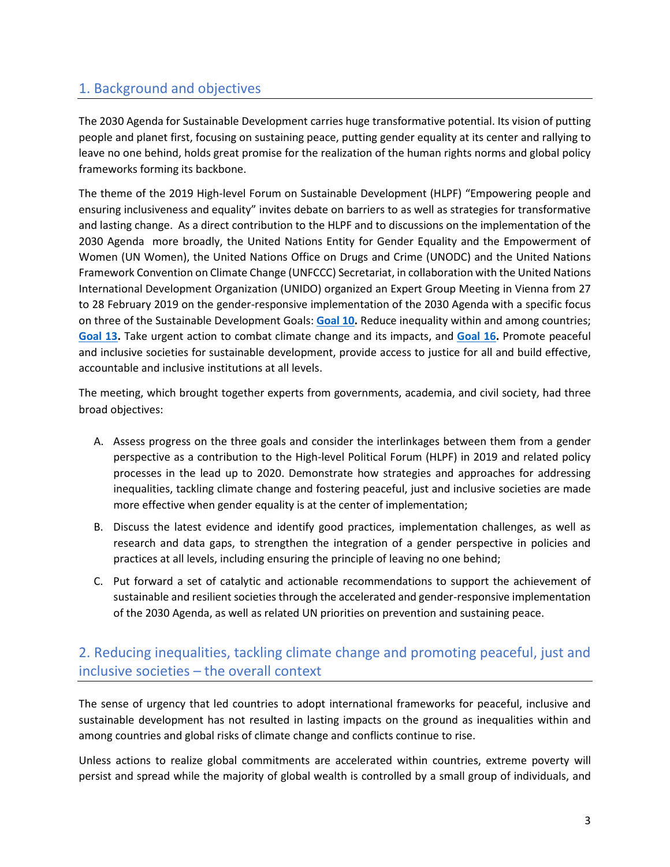### 1. Background and objectives

The 2030 Agenda for Sustainable Development carries huge transformative potential. Its vision of putting people and planet first, focusing on sustaining peace, putting gender equality at its center and rallying to leave no one behind, holds great promise for the realization of the human rights norms and global policy frameworks forming its backbone.

The theme of the 2019 High-level Forum on Sustainable Development (HLPF) "Empowering people and ensuring inclusiveness and equality" invites debate on barriers to as well as strategies for transformative and lasting change. As a direct contribution to the HLPF and to discussions on the implementation of the 2030 Agenda more broadly, the United Nations Entity for Gender Equality and the Empowerment of Women (UN Women), the United Nations Office on Drugs and Crime (UNODC) and the United Nations Framework Convention on Climate Change (UNFCCC) Secretariat, in collaboration with the United Nations International Development Organization (UNIDO) organized an Expert Group Meeting in Vienna from 27 to 28 February 2019 on the gender-responsive implementation of the 2030 Agenda with a specific focus on three of the Sustainable Development Goals: **[Goal 10.](https://sustainabledevelopment.un.org/sdg10)** Reduce inequality within and among countries; **[Goal 13.](https://sustainabledevelopment.un.org/sdg13)** Take urgent action to combat climate change and its impacts, and **[Goal 16.](https://sustainabledevelopment.un.org/sdg16)** Promote peaceful and inclusive societies for sustainable development, provide access to justice for all and build effective, accountable and inclusive institutions at all levels.

The meeting, which brought together experts from governments, academia, and civil society, had three broad objectives:

- A. Assess progress on the three goals and consider the interlinkages between them from a gender perspective as a contribution to the High-level Political Forum (HLPF) in 2019 and related policy processes in the lead up to 2020. Demonstrate how strategies and approaches for addressing inequalities, tackling climate change and fostering peaceful, just and inclusive societies are made more effective when gender equality is at the center of implementation;
- B. Discuss the latest evidence and identify good practices, implementation challenges, as well as research and data gaps, to strengthen the integration of a gender perspective in policies and practices at all levels, including ensuring the principle of leaving no one behind;
- C. Put forward a set of catalytic and actionable recommendations to support the achievement of sustainable and resilient societies through the accelerated and gender-responsive implementation of the 2030 Agenda, as well as related UN priorities on prevention and sustaining peace.

## 2. Reducing inequalities, tackling climate change and promoting peaceful, just and inclusive societies – the overall context

The sense of urgency that led countries to adopt international frameworks for peaceful, inclusive and sustainable development has not resulted in lasting impacts on the ground as inequalities within and among countries and global risks of climate change and conflicts continue to rise.

Unless actions to realize global commitments are accelerated within countries, extreme poverty will persist and spread while the majority of global wealth is controlled by a small group of individuals, and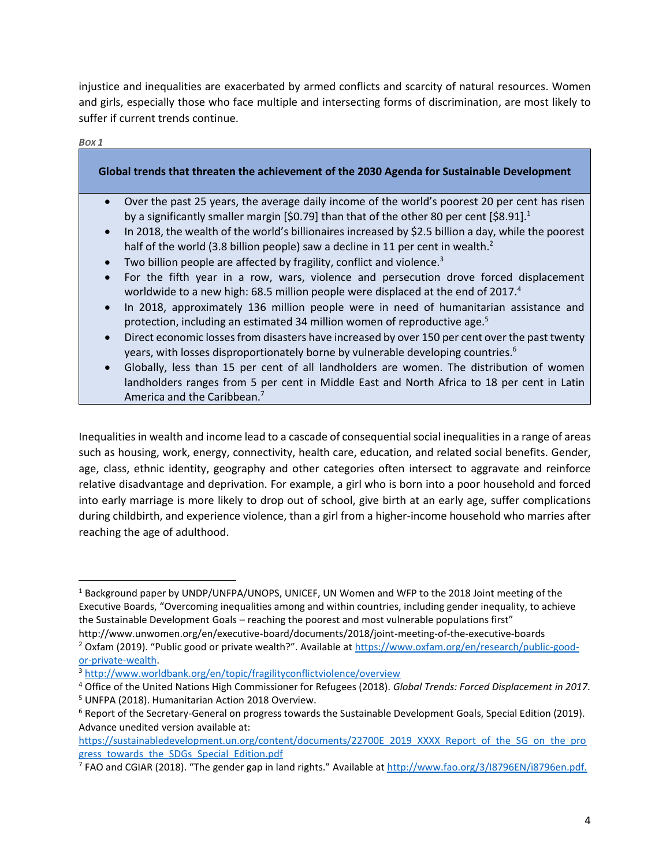injustice and inequalities are exacerbated by armed conflicts and scarcity of natural resources. Women and girls, especially those who face multiple and intersecting forms of discrimination, are most likely to suffer if current trends continue.

| Box 1                                                                                                                                                                                                                                                                                                                                                                                                                                                                                                                                   |
|-----------------------------------------------------------------------------------------------------------------------------------------------------------------------------------------------------------------------------------------------------------------------------------------------------------------------------------------------------------------------------------------------------------------------------------------------------------------------------------------------------------------------------------------|
| Global trends that threaten the achievement of the 2030 Agenda for Sustainable Development                                                                                                                                                                                                                                                                                                                                                                                                                                              |
| Over the past 25 years, the average daily income of the world's poorest 20 per cent has risen<br>$\bullet$<br>by a significantly smaller margin [\$0.79] than that of the other 80 per cent [\$8.91]. <sup>1</sup><br>In 2018, the wealth of the world's billionaires increased by \$2.5 billion a day, while the poorest<br>$\bullet$<br>half of the world (3.8 billion people) saw a decline in 11 per cent in wealth. <sup>2</sup><br>Two billion people are affected by fragility, conflict and violence. <sup>3</sup><br>$\bullet$ |
| For the fifth year in a row, wars, violence and persecution drove forced displacement<br>$\bullet$<br>worldwide to a new high: 68.5 million people were displaced at the end of 2017.4<br>In 2018, approximately 136 million people were in need of humanitarian assistance and<br>$\bullet$<br>protection, including an estimated 34 million women of reproductive age. <sup>5</sup>                                                                                                                                                   |
| Direct economic losses from disasters have increased by over 150 per cent over the past twenty<br>$\bullet$<br>years, with losses disproportionately borne by vulnerable developing countries. <sup>6</sup><br>Globally, less than 15 per cent of all landholders are women. The distribution of women<br>$\bullet$<br>landholders ranges from 5 per cent in Middle East and North Africa to 18 per cent in Latin                                                                                                                       |

Inequalities in wealth and income lead to a cascade of consequential social inequalities in a range of areas such as housing, work, energy, connectivity, health care, education, and related social benefits. Gender, age, class, ethnic identity, geography and other categories often intersect to aggravate and reinforce relative disadvantage and deprivation. For example, a girl who is born into a poor household and forced into early marriage is more likely to drop out of school, give birth at an early age, suffer complications during childbirth, and experience violence, than a girl from a higher-income household who marries after reaching the age of adulthood.

America and the Caribbean.<sup>7</sup>

 $\overline{a}$ 

<sup>&</sup>lt;sup>1</sup> Background paper by UNDP/UNFPA/UNOPS, UNICEF, UN Women and WFP to the 2018 Joint meeting of the Executive Boards, "Overcoming inequalities among and within countries, including gender inequality, to achieve the Sustainable Development Goals – reaching the poorest and most vulnerable populations first"

http://www.unwomen.org/en/executive-board/documents/2018/joint-meeting-of-the-executive-boards <sup>2</sup> Oxfam (2019). "Public good or private wealth?". Available at [https://www.oxfam.org/en/research/public-good](https://www.oxfam.org/en/research/public-good-or-private-wealth)[or-private-wealth.](https://www.oxfam.org/en/research/public-good-or-private-wealth)

<sup>3</sup> <http://www.worldbank.org/en/topic/fragilityconflictviolence/overview>

<sup>4</sup> Office of the United Nations High Commissioner for Refugees (2018). *Global Trends: Forced Displacement in 2017*. <sup>5</sup> UNFPA (2018). Humanitarian Action 2018 Overview.

<sup>&</sup>lt;sup>6</sup> Report of the Secretary-General on progress towards the Sustainable Development Goals, Special Edition (2019). Advance unedited version available at:

[https://sustainabledevelopment.un.org/content/documents/22700E\\_2019\\_XXXX\\_Report\\_of\\_the\\_SG\\_on\\_the\\_pro](https://sustainabledevelopment.un.org/content/documents/22700E_2019_XXXX_Report_of_the_SG_on_the_progress_towards_the_SDGs_Special_Edition.pdf) [gress\\_towards\\_the\\_SDGs\\_Special\\_Edition.pdf](https://sustainabledevelopment.un.org/content/documents/22700E_2019_XXXX_Report_of_the_SG_on_the_progress_towards_the_SDGs_Special_Edition.pdf)

<sup>&</sup>lt;sup>7</sup> FAO and CGIAR (2018). "The gender gap in land rights." Available at <u>[http://www.fao.org/3/I8796EN/i8796en.pdf.](http://www.fao.org/3/I8796EN/i8796en.pdf)</u>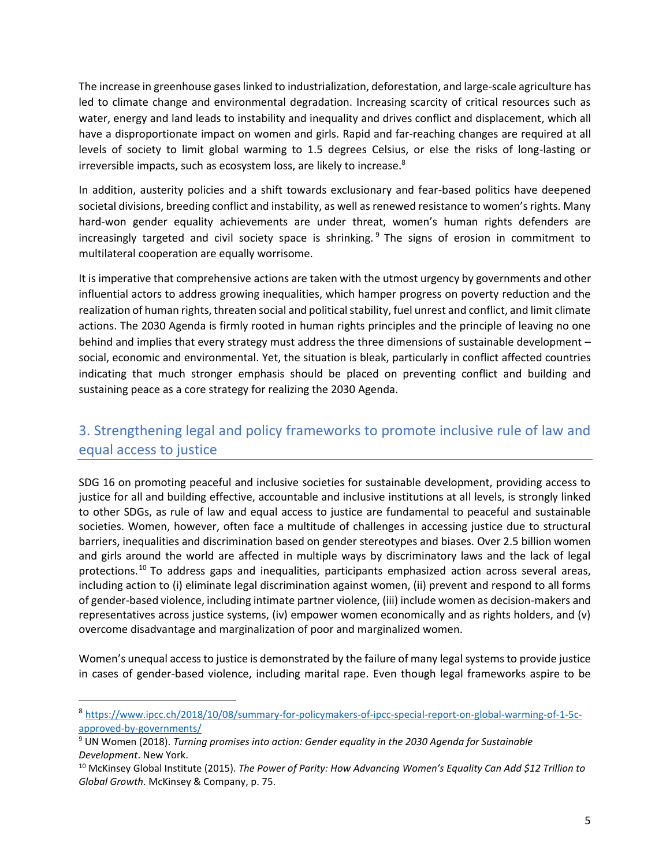The increase in greenhouse gases linked to industrialization, deforestation, and large-scale agriculture has led to climate change and environmental degradation. Increasing scarcity of critical resources such as water, energy and land leads to instability and inequality and drives conflict and displacement, which all have a disproportionate impact on women and girls. Rapid and far-reaching changes are required at all levels of society to limit global warming to 1.5 degrees Celsius, or else the risks of long-lasting or irreversible impacts, such as ecosystem loss, are likely to increase.<sup>8</sup>

In addition, austerity policies and a shift towards exclusionary and fear-based politics have deepened societal divisions, breeding conflict and instability, as well as renewed resistance to women's rights. Many hard-won gender equality achievements are under threat, women's human rights defenders are increasingly targeted and civil society space is shrinking.<sup>9</sup> The signs of erosion in commitment to multilateral cooperation are equally worrisome.

It is imperative that comprehensive actions are taken with the utmost urgency by governments and other influential actors to address growing inequalities, which hamper progress on poverty reduction and the realization of human rights, threaten social and political stability, fuel unrest and conflict, and limit climate actions. The 2030 Agenda is firmly rooted in human rights principles and the principle of leaving no one behind and implies that every strategy must address the three dimensions of sustainable development – social, economic and environmental. Yet, the situation is bleak, particularly in conflict affected countries indicating that much stronger emphasis should be placed on preventing conflict and building and sustaining peace as a core strategy for realizing the 2030 Agenda.

## 3. Strengthening legal and policy frameworks to promote inclusive rule of law and equal access to justice

SDG 16 on promoting peaceful and inclusive societies for sustainable development, providing access to justice for all and building effective, accountable and inclusive institutions at all levels, is strongly linked to other SDGs, as rule of law and equal access to justice are fundamental to peaceful and sustainable societies. Women, however, often face a multitude of challenges in accessing justice due to structural barriers, inequalities and discrimination based on gender stereotypes and biases. Over 2.5 billion women and girls around the world are affected in multiple ways by discriminatory laws and the lack of legal protections.<sup>10</sup> To address gaps and inequalities, participants emphasized action across several areas, including action to (i) eliminate legal discrimination against women, (ii) prevent and respond to all forms of gender-based violence, including intimate partner violence, (iii) include women as decision-makers and representatives across justice systems, (iv) empower women economically and as rights holders, and (v) overcome disadvantage and marginalization of poor and marginalized women.

Women's unequal access to justice is demonstrated by the failure of many legal systems to provide justice in cases of gender-based violence, including marital rape. Even though legal frameworks aspire to be

 $\overline{\phantom{a}}$ 

<sup>8</sup> [https://www.ipcc.ch/2018/10/08/summary-for-policymakers-of-ipcc-special-report-on-global-warming-of-1-5c](https://www.ipcc.ch/2018/10/08/summary-for-policymakers-of-ipcc-special-report-on-global-warming-of-1-5c-approved-by-governments/)[approved-by-governments/](https://www.ipcc.ch/2018/10/08/summary-for-policymakers-of-ipcc-special-report-on-global-warming-of-1-5c-approved-by-governments/)

<sup>9</sup> UN Women (2018). *Turning promises into action: Gender equality in the 2030 Agenda for Sustainable Development*. New York.

<sup>10</sup> McKinsey Global Institute (2015). *The Power of Parity: How Advancing Women's Equality Can Add \$12 Trillion to Global Growth*. McKinsey & Company, p. 75.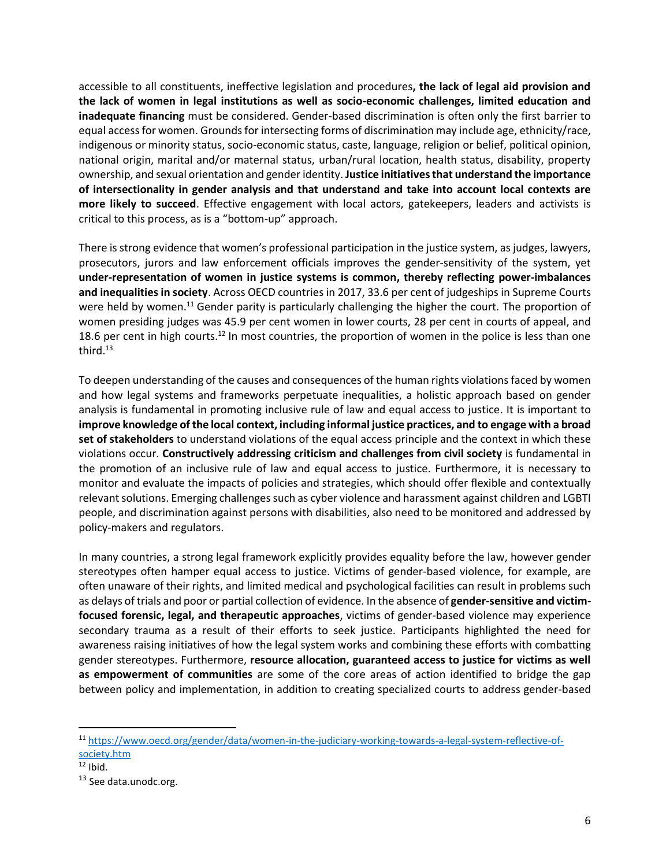accessible to all constituents, ineffective legislation and procedures**, the lack of legal aid provision and the lack of women in legal institutions as well as socio-economic challenges, limited education and inadequate financing** must be considered. Gender-based discrimination is often only the first barrier to equal access for women. Grounds for intersecting forms of discrimination may include age, ethnicity/race, indigenous or minority status, socio-economic status, caste, language, religion or belief, political opinion, national origin, marital and/or maternal status, urban/rural location, health status, disability, property ownership, and sexual orientation and gender identity. **Justice initiatives that understand the importance of intersectionality in gender analysis and that understand and take into account local contexts are more likely to succeed**. Effective engagement with local actors, gatekeepers, leaders and activists is critical to this process, as is a "bottom-up" approach.

There is strong evidence that women's professional participation in the justice system, as judges, lawyers, prosecutors, jurors and law enforcement officials improves the gender-sensitivity of the system, yet **under-representation of women in justice systems is common, thereby reflecting power-imbalances and inequalities in society**. Across OECD countries in 2017, 33.6 per cent of judgeships in Supreme Courts were held by women.<sup>11</sup> Gender parity is particularly challenging the higher the court. The proportion of women presiding judges was 45.9 per cent women in lower courts, 28 per cent in courts of appeal, and 18.6 per cent in high courts.<sup>12</sup> In most countries, the proportion of women in the police is less than one third.<sup>13</sup>

To deepen understanding of the causes and consequences of the human rights violations faced by women and how legal systems and frameworks perpetuate inequalities, a holistic approach based on gender analysis is fundamental in promoting inclusive rule of law and equal access to justice. It is important to **improve knowledge of the local context, including informal justice practices, and to engage with a broad set of stakeholders** to understand violations of the equal access principle and the context in which these violations occur. **Constructively addressing criticism and challenges from civil society** is fundamental in the promotion of an inclusive rule of law and equal access to justice. Furthermore, it is necessary to monitor and evaluate the impacts of policies and strategies, which should offer flexible and contextually relevant solutions. Emerging challenges such as cyber violence and harassment against children and LGBTI people, and discrimination against persons with disabilities, also need to be monitored and addressed by policy-makers and regulators.

In many countries, a strong legal framework explicitly provides equality before the law, however gender stereotypes often hamper equal access to justice. Victims of gender-based violence, for example, are often unaware of their rights, and limited medical and psychological facilities can result in problems such as delays of trials and poor or partial collection of evidence. In the absence of **gender-sensitive and victimfocused forensic, legal, and therapeutic approaches**, victims of gender-based violence may experience secondary trauma as a result of their efforts to seek justice. Participants highlighted the need for awareness raising initiatives of how the legal system works and combining these efforts with combatting gender stereotypes. Furthermore, **resource allocation, guaranteed access to justice for victims as well as empowerment of communities** are some of the core areas of action identified to bridge the gap between policy and implementation, in addition to creating specialized courts to address gender-based

 $\overline{a}$ 

<sup>11</sup> [https://www.oecd.org/gender/data/women-in-the-judiciary-working-towards-a-legal-system-reflective-of](https://www.oecd.org/gender/data/women-in-the-judiciary-working-towards-a-legal-system-reflective-of-society.htm)[society.htm](https://www.oecd.org/gender/data/women-in-the-judiciary-working-towards-a-legal-system-reflective-of-society.htm)

 $12$  Ibid.

<sup>13</sup> See data.unodc.org.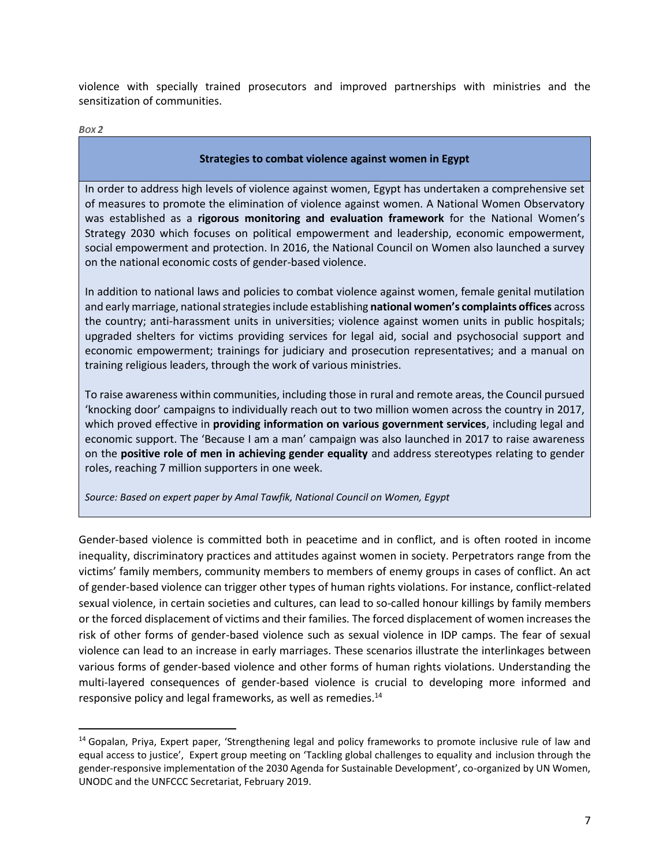violence with specially trained prosecutors and improved partnerships with ministries and the sensitization of communities.

*BOX 2*

l

#### **Strategies to combat violence against women in Egypt**

In order to address high levels of violence against women, Egypt has undertaken a comprehensive set of measures to promote the elimination of violence against women. A National Women Observatory was established as a **rigorous monitoring and evaluation framework** for the National Women's Strategy 2030 which focuses on political empowerment and leadership, economic empowerment, social empowerment and protection. In 2016, the National Council on Women also launched a survey on the national economic costs of gender-based violence.

In addition to national laws and policies to combat violence against women, female genital mutilation and early marriage, national strategies include establishing **national women's complaints offices** across the country; anti-harassment units in universities; violence against women units in public hospitals; upgraded shelters for victims providing services for legal aid, social and psychosocial support and economic empowerment; trainings for judiciary and prosecution representatives; and a manual on training religious leaders, through the work of various ministries.

To raise awareness within communities, including those in rural and remote areas, the Council pursued 'knocking door' campaigns to individually reach out to two million women across the country in 2017, which proved effective in **providing information on various government services**, including legal and economic support. The 'Because I am a man' campaign was also launched in 2017 to raise awareness on the **positive role of men in achieving gender equality** and address stereotypes relating to gender roles, reaching 7 million supporters in one week.

*Source: Based on expert paper by Amal Tawfik, National Council on Women, Egypt*

Gender-based violence is committed both in peacetime and in conflict, and is often rooted in income inequality, discriminatory practices and attitudes against women in society. Perpetrators range from the victims' family members, community members to members of enemy groups in cases of conflict. An act of gender-based violence can trigger other types of human rights violations. For instance, conflict-related sexual violence, in certain societies and cultures, can lead to so-called honour killings by family members or the forced displacement of victims and their families. The forced displacement of women increases the risk of other forms of gender-based violence such as sexual violence in IDP camps. The fear of sexual violence can lead to an increase in early marriages. These scenarios illustrate the interlinkages between various forms of gender-based violence and other forms of human rights violations. Understanding the multi-layered consequences of gender-based violence is crucial to developing more informed and responsive policy and legal frameworks, as well as remedies.<sup>14</sup>

<sup>&</sup>lt;sup>14</sup> Gopalan, Priya, Expert paper, 'Strengthening legal and policy frameworks to promote inclusive rule of law and equal access to justice', Expert group meeting on 'Tackling global challenges to equality and inclusion through the gender-responsive implementation of the 2030 Agenda for Sustainable Development', co-organized by UN Women, UNODC and the UNFCCC Secretariat, February 2019.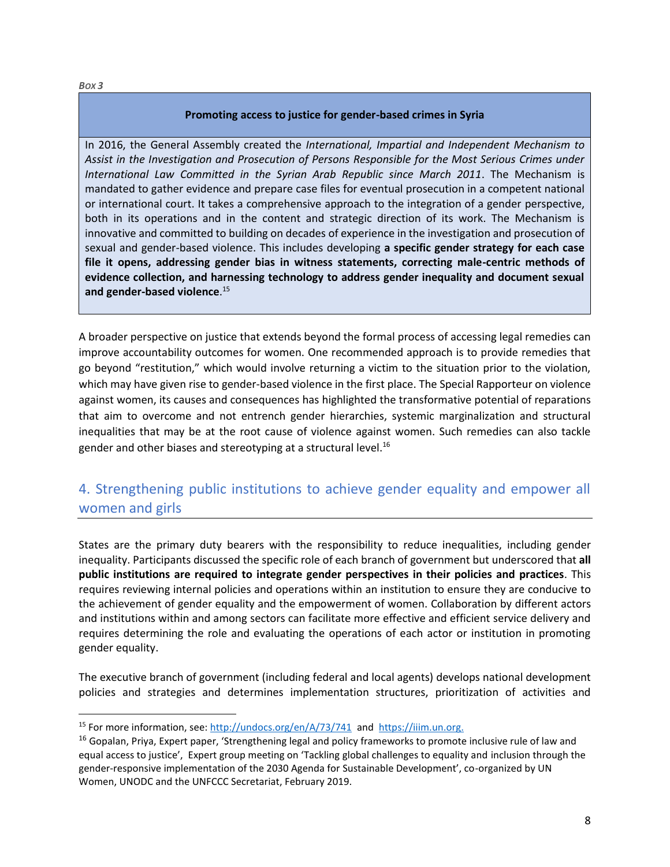$\overline{\phantom{a}}$ 

#### **Promoting access to justice for gender-based crimes in Syria**

In 2016, the General Assembly created the *International, Impartial and Independent Mechanism to Assist in the Investigation and Prosecution of Persons Responsible for the Most Serious Crimes under International Law Committed in the Syrian Arab Republic since March 2011*. The Mechanism is mandated to gather evidence and prepare case files for eventual prosecution in a competent national or international court. It takes a comprehensive approach to the integration of a gender perspective, both in its operations and in the content and strategic direction of its work. The Mechanism is innovative and committed to building on decades of experience in the investigation and prosecution of sexual and gender-based violence. This includes developing **a specific gender strategy for each case file it opens, addressing gender bias in witness statements, correcting male-centric methods of evidence collection, and harnessing technology to address gender inequality and document sexual and gender-based violence**. 15

A broader perspective on justice that extends beyond the formal process of accessing legal remedies can improve accountability outcomes for women. One recommended approach is to provide remedies that go beyond "restitution," which would involve returning a victim to the situation prior to the violation, which may have given rise to gender-based violence in the first place. The Special Rapporteur on violence against women, its causes and consequences has highlighted the transformative potential of reparations that aim to overcome and not entrench gender hierarchies, systemic marginalization and structural inequalities that may be at the root cause of violence against women. Such remedies can also tackle gender and other biases and stereotyping at a structural level. $^{16}$ 

### 4. Strengthening public institutions to achieve gender equality and empower all women and girls

States are the primary duty bearers with the responsibility to reduce inequalities, including gender inequality. Participants discussed the specific role of each branch of government but underscored that **all public institutions are required to integrate gender perspectives in their policies and practices**. This requires reviewing internal policies and operations within an institution to ensure they are conducive to the achievement of gender equality and the empowerment of women. Collaboration by different actors and institutions within and among sectors can facilitate more effective and efficient service delivery and requires determining the role and evaluating the operations of each actor or institution in promoting gender equality.

The executive branch of government (including federal and local agents) develops national development policies and strategies and determines implementation structures, prioritization of activities and

<sup>&</sup>lt;sup>15</sup> For more information, see: [http://undocs.org/en/A/73/741](https://nam01.safelinks.protection.outlook.com/?url=http%3A%2F%2Fundocs.org%2Fen%2FA%2F73%2F741&data=02%7C01%7C%7Ca4ee97bfbecb49157e5c08d6d013a983%7C2bcd07449e18487d85c3c9a325220be8%7C0%7C0%7C636925180199007454&sdata=9q%2BgY63Q%2BV0bm50i%2BZBJszVTjnIghW%2B%2FPtbFI9iLyzs%3D&reserved=0) and [https://iiim.un.org.](https://nam01.safelinks.protection.outlook.com/?url=https%3A%2F%2Fiiim.un.org%2F&data=02%7C01%7C%7Ca4ee97bfbecb49157e5c08d6d013a983%7C2bcd07449e18487d85c3c9a325220be8%7C0%7C0%7C636925180199007454&sdata=lnVMAy5rA5w%2BNMXiEuoWZrtFroi4sjRmogb%2BnpMN1Rk%3D&reserved=0)

<sup>&</sup>lt;sup>16</sup> Gopalan, Priya, Expert paper, 'Strengthening legal and policy frameworks to promote inclusive rule of law and equal access to justice', Expert group meeting on 'Tackling global challenges to equality and inclusion through the gender-responsive implementation of the 2030 Agenda for Sustainable Development', co-organized by UN Women, UNODC and the UNFCCC Secretariat, February 2019.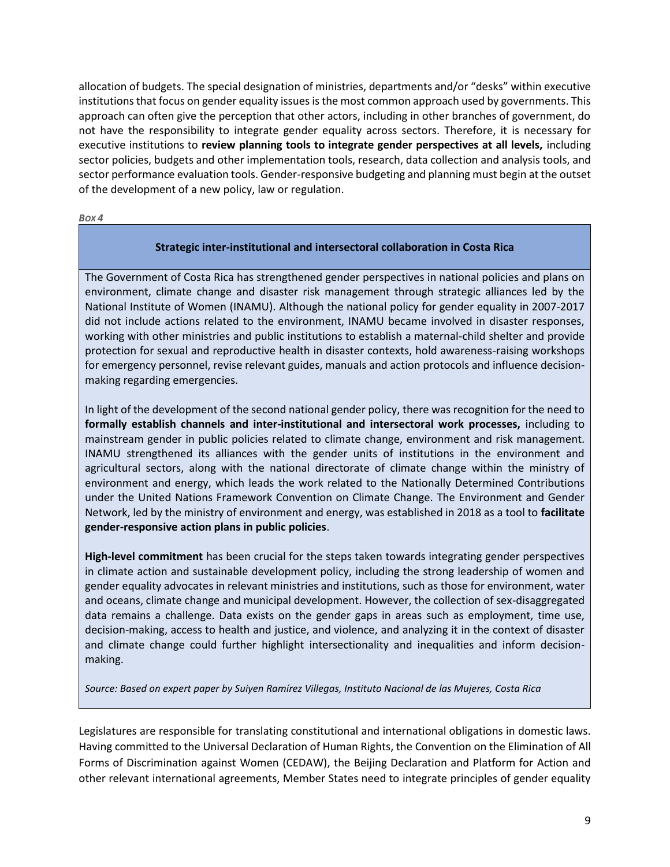allocation of budgets. The special designation of ministries, departments and/or "desks" within executive institutions that focus on gender equality issues is the most common approach used by governments. This approach can often give the perception that other actors, including in other branches of government, do not have the responsibility to integrate gender equality across sectors. Therefore, it is necessary for executive institutions to **review planning tools to integrate gender perspectives at all levels,** including sector policies, budgets and other implementation tools, research, data collection and analysis tools, and sector performance evaluation tools. Gender-responsive budgeting and planning must begin at the outset of the development of a new policy, law or regulation.

*BOX 4*

#### **Strategic inter-institutional and intersectoral collaboration in Costa Rica**

The Government of Costa Rica has strengthened gender perspectives in national policies and plans on environment, climate change and disaster risk management through strategic alliances led by the National Institute of Women (INAMU). Although the national policy for gender equality in 2007-2017 did not include actions related to the environment, INAMU became involved in disaster responses, working with other ministries and public institutions to establish a maternal-child shelter and provide protection for sexual and reproductive health in disaster contexts, hold awareness-raising workshops for emergency personnel, revise relevant guides, manuals and action protocols and influence decisionmaking regarding emergencies.

In light of the development of the second national gender policy, there was recognition for the need to **formally establish channels and inter-institutional and intersectoral work processes,** including to mainstream gender in public policies related to climate change, environment and risk management. INAMU strengthened its alliances with the gender units of institutions in the environment and agricultural sectors, along with the national directorate of climate change within the ministry of environment and energy, which leads the work related to the Nationally Determined Contributions under the United Nations Framework Convention on Climate Change. The Environment and Gender Network, led by the ministry of environment and energy, was established in 2018 as a tool to **facilitate gender-responsive action plans in public policies**.

**High-level commitment** has been crucial for the steps taken towards integrating gender perspectives in climate action and sustainable development policy, including the strong leadership of women and gender equality advocates in relevant ministries and institutions, such as those for environment, water and oceans, climate change and municipal development. However, the collection of sex-disaggregated data remains a challenge. Data exists on the gender gaps in areas such as employment, time use, decision-making, access to health and justice, and violence, and analyzing it in the context of disaster and climate change could further highlight intersectionality and inequalities and inform decisionmaking.

*Source: Based on expert paper by Suiyen Ramírez Villegas, Instituto Nacional de las Mujeres, Costa Rica*

Legislatures are responsible for translating constitutional and international obligations in domestic laws. Having committed to the Universal Declaration of Human Rights, the Convention on the Elimination of All Forms of Discrimination against Women (CEDAW), the Beijing Declaration and Platform for Action and other relevant international agreements, Member States need to integrate principles of gender equality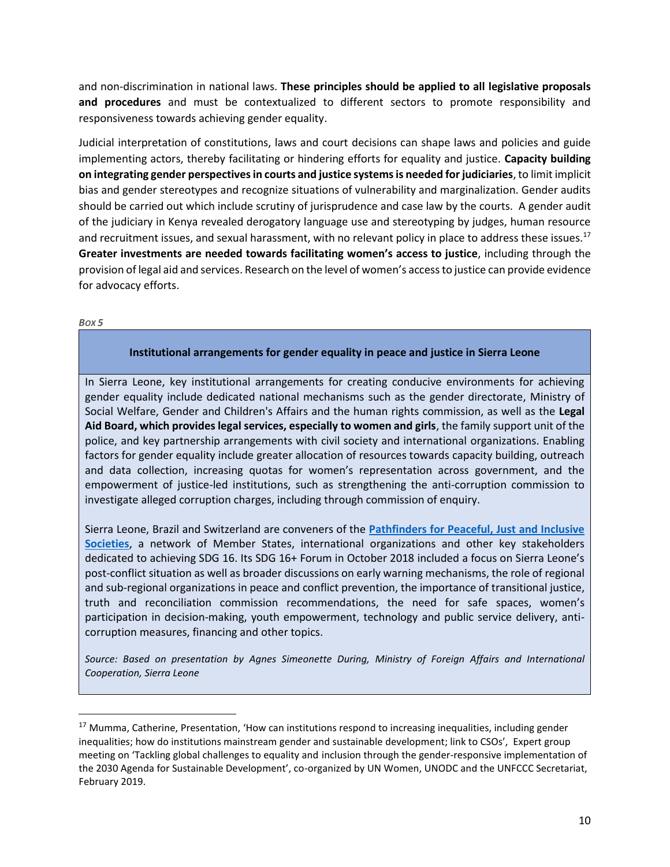and non-discrimination in national laws. **These principles should be applied to all legislative proposals and procedures** and must be contextualized to different sectors to promote responsibility and responsiveness towards achieving gender equality.

Judicial interpretation of constitutions, laws and court decisions can shape laws and policies and guide implementing actors, thereby facilitating or hindering efforts for equality and justice. **Capacity building on integrating gender perspectives in courts and justice systems is needed for judiciaries**, to limit implicit bias and gender stereotypes and recognize situations of vulnerability and marginalization. Gender audits should be carried out which include scrutiny of jurisprudence and case law by the courts. A gender audit of the judiciary in Kenya revealed derogatory language use and stereotyping by judges, human resource and recruitment issues, and sexual harassment, with no relevant policy in place to address these issues.<sup>17</sup> **Greater investments are needed towards facilitating women's access to justice**, including through the provision of legal aid and services. Research on the level of women's access to justice can provide evidence for advocacy efforts.

*BOX 5*

 $\overline{\phantom{a}}$ 

#### **Institutional arrangements for gender equality in peace and justice in Sierra Leone**

In Sierra Leone, key institutional arrangements for creating conducive environments for achieving gender equality include dedicated national mechanisms such as the gender directorate, Ministry of Social Welfare, Gender and Children's Affairs and the human rights commission, as well as the **Legal Aid Board, which provides legal services, especially to women and girls**, the family support unit of the police, and key partnership arrangements with civil society and international organizations. Enabling factors for gender equality include greater allocation of resources towards capacity building, outreach and data collection, increasing quotas for women's representation across government, and the empowerment of justice-led institutions, such as strengthening the anti-corruption commission to investigate alleged corruption charges, including through commission of enquiry.

Sierra Leone, Brazil and Switzerland are conveners of the **[Pathfinders for Peaceful, Just and Inclusive](https://cic.nyu.edu/programs/sdg16plus)  [Societies](https://cic.nyu.edu/programs/sdg16plus)**, a network of Member States, international organizations and other key stakeholders dedicated to achieving SDG 16. Its SDG 16+ Forum in October 2018 included a focus on Sierra Leone's post-conflict situation as well as broader discussions on early warning mechanisms, the role of regional and sub-regional organizations in peace and conflict prevention, the importance of transitional justice, truth and reconciliation commission recommendations, the need for safe spaces, women's participation in decision-making, youth empowerment, technology and public service delivery, anticorruption measures, financing and other topics.

*Source: Based on presentation by Agnes Simeonette During, Ministry of Foreign Affairs and International Cooperation, Sierra Leone*

<sup>&</sup>lt;sup>17</sup> Mumma, Catherine, Presentation, 'How can institutions respond to increasing inequalities, including gender inequalities; how do institutions mainstream gender and sustainable development; link to CSOs', Expert group meeting on 'Tackling global challenges to equality and inclusion through the gender-responsive implementation of the 2030 Agenda for Sustainable Development', co-organized by UN Women, UNODC and the UNFCCC Secretariat, February 2019.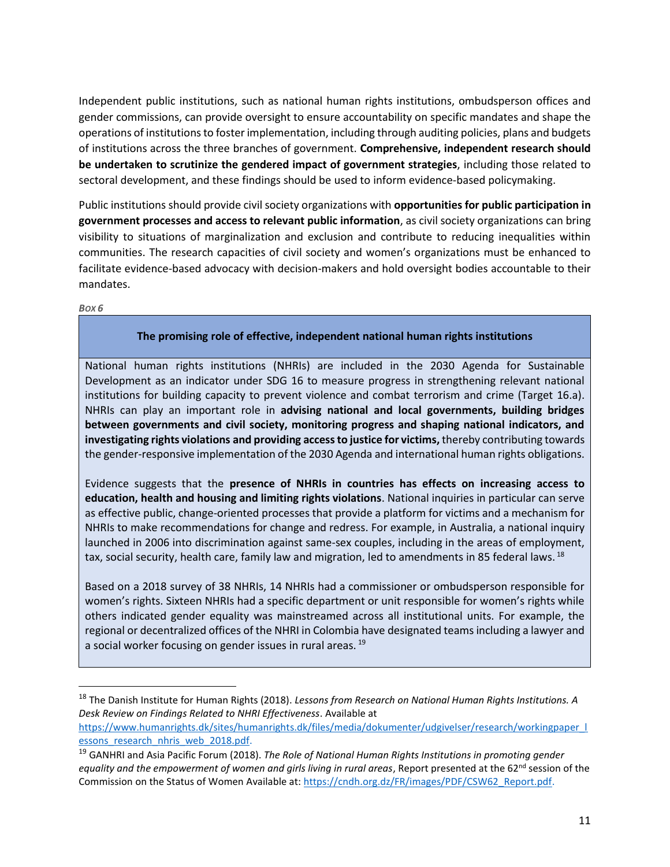Independent public institutions, such as national human rights institutions, ombudsperson offices and gender commissions, can provide oversight to ensure accountability on specific mandates and shape the operations of institutions to foster implementation, including through auditing policies, plans and budgets of institutions across the three branches of government. **Comprehensive, independent research should be undertaken to scrutinize the gendered impact of government strategies**, including those related to sectoral development, and these findings should be used to inform evidence-based policymaking.

Public institutions should provide civil society organizations with **opportunities for public participation in government processes and access to relevant public information**, as civil society organizations can bring visibility to situations of marginalization and exclusion and contribute to reducing inequalities within communities. The research capacities of civil society and women's organizations must be enhanced to facilitate evidence-based advocacy with decision-makers and hold oversight bodies accountable to their mandates.

*BOX 6*

l

### **The promising role of effective, independent national human rights institutions**

National human rights institutions (NHRIs) are included in the 2030 Agenda for Sustainable Development as an indicator under SDG 16 to measure progress in strengthening relevant national institutions for building capacity to prevent violence and combat terrorism and crime (Target 16.a). NHRIs can play an important role in **advising national and local governments, building bridges between governments and civil society, monitoring progress and shaping national indicators, and investigating rights violations and providing access to justice for victims,** thereby contributing towards the gender-responsive implementation of the 2030 Agenda and international human rights obligations.

Evidence suggests that the **presence of NHRIs in countries has effects on increasing access to education, health and housing and limiting rights violations**. National inquiries in particular can serve as effective public, change-oriented processes that provide a platform for victims and a mechanism for NHRIs to make recommendations for change and redress. For example, in Australia, a national inquiry launched in 2006 into discrimination against same-sex couples, including in the areas of employment, tax, social security, health care, family law and migration, led to amendments in 85 federal laws. <sup>18</sup>

Based on a 2018 survey of 38 NHRIs, 14 NHRIs had a commissioner or ombudsperson responsible for women's rights. Sixteen NHRIs had a specific department or unit responsible for women's rights while others indicated gender equality was mainstreamed across all institutional units. For example, the regional or decentralized offices of the NHRI in Colombia have designated teams including a lawyer and a social worker focusing on gender issues in rural areas.<sup>19</sup>

[https://www.humanrights.dk/sites/humanrights.dk/files/media/dokumenter/udgivelser/research/workingpaper\\_l](https://www.humanrights.dk/sites/humanrights.dk/files/media/dokumenter/udgivelser/research/workingpaper_lessons_research_nhris_web_2018.pdf) essons research nhris web 2018.pdf.

<sup>18</sup> The Danish Institute for Human Rights (2018). *Lessons from Research on National Human Rights Institutions. A Desk Review on Findings Related to NHRI Effectiveness*. Available at

<sup>19</sup> GANHRI and Asia Pacific Forum (2018). *The Role of National Human Rights Institutions in promoting gender*  equality and the empowerment of women and girls living in rural areas, Report presented at the 62<sup>nd</sup> session of the Commission on the Status of Women Available at: [https://cndh.org.dz/FR/images/PDF/CSW62\\_Report.pdf.](https://cndh.org.dz/FR/images/PDF/CSW62_Report.pdf)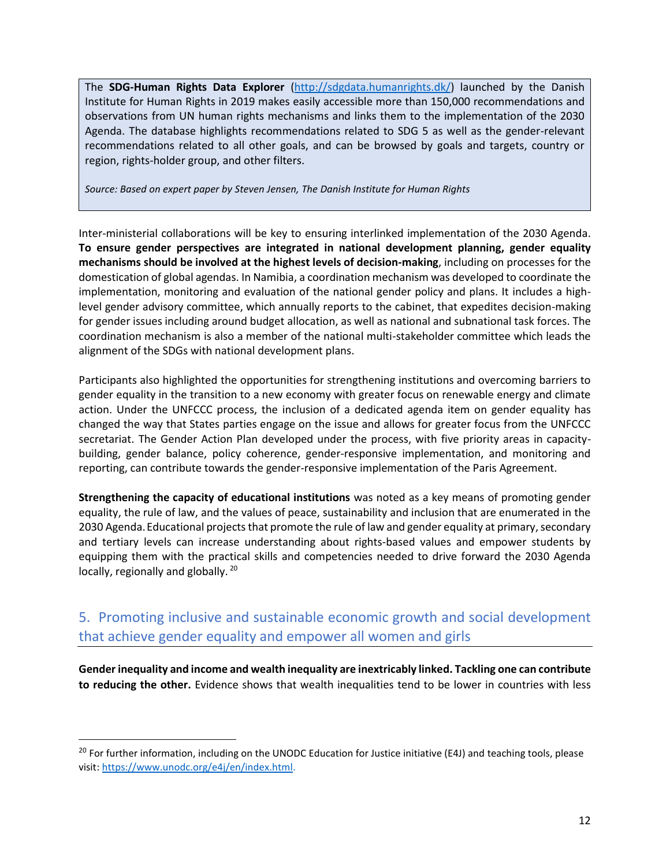The **SDG-Human Rights Data Explorer** [\(http://sdgdata.humanrights.dk/\)](http://sdgdata.humanrights.dk/) launched by the Danish Institute for Human Rights in 2019 makes easily accessible more than 150,000 recommendations and observations from UN human rights mechanisms and links them to the implementation of the 2030 Agenda. The database highlights recommendations related to SDG 5 as well as the gender-relevant recommendations related to all other goals, and can be browsed by goals and targets, country or region, rights-holder group, and other filters.

*Source: Based on expert paper by Steven Jensen, The Danish Institute for Human Rights*

Inter-ministerial collaborations will be key to ensuring interlinked implementation of the 2030 Agenda. **To ensure gender perspectives are integrated in national development planning, gender equality mechanisms should be involved at the highest levels of decision-making**, including on processes for the domestication of global agendas. In Namibia, a coordination mechanism was developed to coordinate the implementation, monitoring and evaluation of the national gender policy and plans. It includes a highlevel gender advisory committee, which annually reports to the cabinet, that expedites decision-making for gender issues including around budget allocation, as well as national and subnational task forces. The coordination mechanism is also a member of the national multi-stakeholder committee which leads the alignment of the SDGs with national development plans.

Participants also highlighted the opportunities for strengthening institutions and overcoming barriers to gender equality in the transition to a new economy with greater focus on renewable energy and climate action. Under the UNFCCC process, the inclusion of a dedicated agenda item on gender equality has changed the way that States parties engage on the issue and allows for greater focus from the UNFCCC secretariat. The Gender Action Plan developed under the process, with five priority areas in capacitybuilding, gender balance, policy coherence, gender-responsive implementation, and monitoring and reporting, can contribute towards the gender-responsive implementation of the Paris Agreement.

**Strengthening the capacity of educational institutions** was noted as a key means of promoting gender equality, the rule of law, and the values of peace, sustainability and inclusion that are enumerated in the 2030 Agenda.Educational projects that promote the rule of law and gender equality at primary, secondary and tertiary levels can increase understanding about rights-based values and empower students by equipping them with the practical skills and competencies needed to drive forward the 2030 Agenda locally, regionally and globally. <sup>20</sup>

## 5. Promoting inclusive and sustainable economic growth and social development that achieve gender equality and empower all women and girls

**Gender inequality and income and wealth inequality are inextricably linked. Tackling one can contribute to reducing the other.** Evidence shows that wealth inequalities tend to be lower in countries with less

l

<sup>&</sup>lt;sup>20</sup> For further information, including on the UNODC Education for Justice initiative (E4J) and teaching tools, please visit[: https://www.unodc.org/e4j/en/index.html.](https://www.unodc.org/e4j/en/index.html)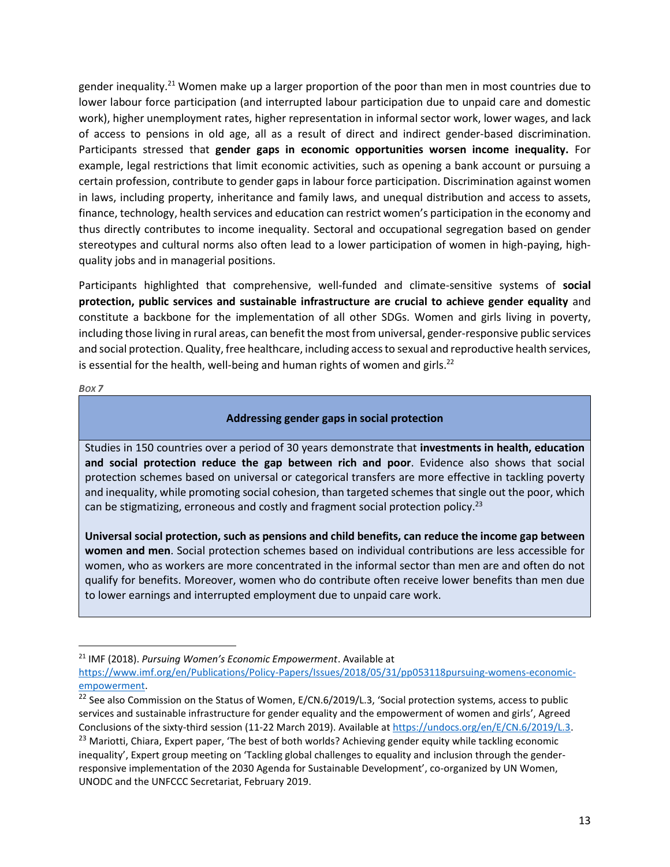gender inequality.<sup>21</sup> Women make up a larger proportion of the poor than men in most countries due to lower labour force participation (and interrupted labour participation due to unpaid care and domestic work), higher unemployment rates, higher representation in informal sector work, lower wages, and lack of access to pensions in old age, all as a result of direct and indirect gender-based discrimination. Participants stressed that **gender gaps in economic opportunities worsen income inequality.** For example, legal restrictions that limit economic activities, such as opening a bank account or pursuing a certain profession, contribute to gender gaps in labour force participation. Discrimination against women in laws, including property, inheritance and family laws, and unequal distribution and access to assets, finance, technology, health services and education can restrict women's participation in the economy and thus directly contributes to income inequality. Sectoral and occupational segregation based on gender stereotypes and cultural norms also often lead to a lower participation of women in high-paying, highquality jobs and in managerial positions.

Participants highlighted that comprehensive, well-funded and climate-sensitive systems of **social protection, public services and sustainable infrastructure are crucial to achieve gender equality** and constitute a backbone for the implementation of all other SDGs. Women and girls living in poverty, including those living in rural areas, can benefit the most from universal, gender-responsive public services and social protection. Quality, free healthcare, including access to sexual and reproductive health services, is essential for the health, well-being and human rights of women and girls.<sup>22</sup>

*BOX 7*

l

### **Addressing gender gaps in social protection**

Studies in 150 countries over a period of 30 years demonstrate that **investments in health, education and social protection reduce the gap between rich and poor**. Evidence also shows that social protection schemes based on universal or categorical transfers are more effective in tackling poverty and inequality, while promoting social cohesion, than targeted schemes that single out the poor, which can be stigmatizing, erroneous and costly and fragment social protection policy.<sup>23</sup>

**Universal social protection, such as pensions and child benefits, can reduce the income gap between women and men**. Social protection schemes based on individual contributions are less accessible for women, who as workers are more concentrated in the informal sector than men are and often do not qualify for benefits. Moreover, women who do contribute often receive lower benefits than men due to lower earnings and interrupted employment due to unpaid care work.

<sup>21</sup> IMF (2018). *Pursuing Women's Economic Empowerment*. Available at

[https://www.imf.org/en/Publications/Policy-Papers/Issues/2018/05/31/pp053118pursuing-womens-economic](https://www.imf.org/en/Publications/Policy-Papers/Issues/2018/05/31/pp053118pursuing-womens-economic-empowerment)[empowerment.](https://www.imf.org/en/Publications/Policy-Papers/Issues/2018/05/31/pp053118pursuing-womens-economic-empowerment)

<sup>&</sup>lt;sup>22</sup> See also Commission on the Status of Women, E/CN.6/2019/L.3, 'Social protection systems, access to public services and sustainable infrastructure for gender equality and the empowerment of women and girls', Agreed Conclusions of the sixty-third session (11-22 March 2019). Available at [https://undocs.org/en/E/CN.6/2019/L.3.](https://undocs.org/en/E/CN.6/2019/L.3)

<sup>&</sup>lt;sup>23</sup> Mariotti, Chiara, Expert paper, 'The best of both worlds? Achieving gender equity while tackling economic inequality', Expert group meeting on 'Tackling global challenges to equality and inclusion through the genderresponsive implementation of the 2030 Agenda for Sustainable Development', co-organized by UN Women, UNODC and the UNFCCC Secretariat, February 2019.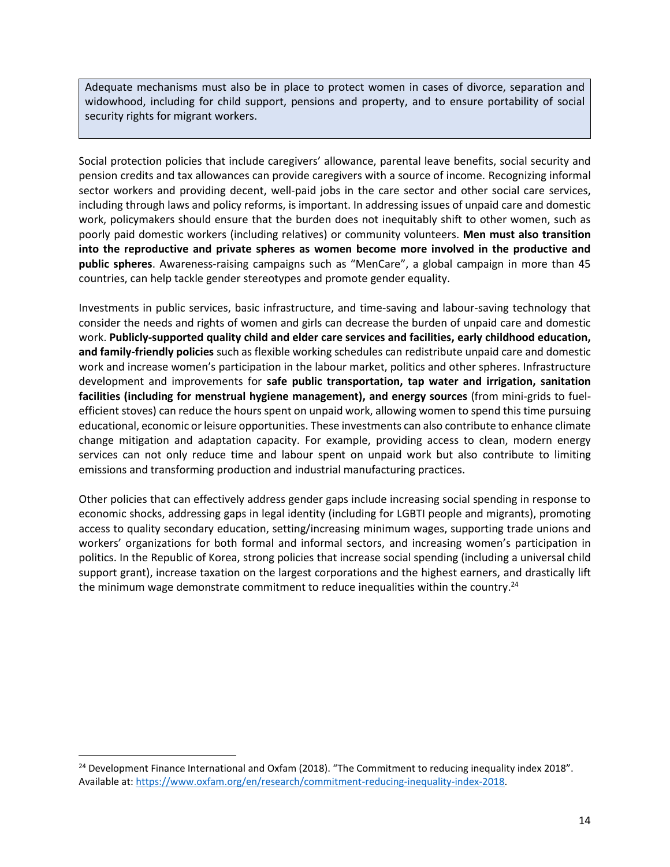Adequate mechanisms must also be in place to protect women in cases of divorce, separation and widowhood, including for child support, pensions and property, and to ensure portability of social security rights for migrant workers.

Social protection policies that include caregivers' allowance, parental leave benefits, social security and pension credits and tax allowances can provide caregivers with a source of income. Recognizing informal sector workers and providing decent, well-paid jobs in the care sector and other social care services, including through laws and policy reforms, is important. In addressing issues of unpaid care and domestic work, policymakers should ensure that the burden does not inequitably shift to other women, such as poorly paid domestic workers (including relatives) or community volunteers. **Men must also transition into the reproductive and private spheres as women become more involved in the productive and public spheres**. Awareness-raising campaigns such as "MenCare", a global campaign in more than 45 countries, can help tackle gender stereotypes and promote gender equality.

Investments in public services, basic infrastructure, and time-saving and labour-saving technology that consider the needs and rights of women and girls can decrease the burden of unpaid care and domestic work. **Publicly-supported quality child and elder care services and facilities, early childhood education, and family-friendly policies** such as flexible working schedules can redistribute unpaid care and domestic work and increase women's participation in the labour market, politics and other spheres. Infrastructure development and improvements for **safe public transportation, tap water and irrigation, sanitation facilities (including for menstrual hygiene management), and energy sources** (from mini-grids to fuelefficient stoves) can reduce the hours spent on unpaid work, allowing women to spend this time pursuing educational, economic or leisure opportunities. These investments can also contribute to enhance climate change mitigation and adaptation capacity. For example, providing access to clean, modern energy services can not only reduce time and labour spent on unpaid work but also contribute to limiting emissions and transforming production and industrial manufacturing practices.

Other policies that can effectively address gender gaps include increasing social spending in response to economic shocks, addressing gaps in legal identity (including for LGBTI people and migrants), promoting access to quality secondary education, setting/increasing minimum wages, supporting trade unions and workers' organizations for both formal and informal sectors, and increasing women's participation in politics. In the Republic of Korea, strong policies that increase social spending (including a universal child support grant), increase taxation on the largest corporations and the highest earners, and drastically lift the minimum wage demonstrate commitment to reduce inequalities within the country.<sup>24</sup>

 $\overline{\phantom{a}}$ 

<sup>&</sup>lt;sup>24</sup> Development Finance International and Oxfam (2018). "The Commitment to reducing inequality index 2018". Available at: [https://www.oxfam.org/en/research/commitment-reducing-inequality-index-2018.](https://www.oxfam.org/en/research/commitment-reducing-inequality-index-2018)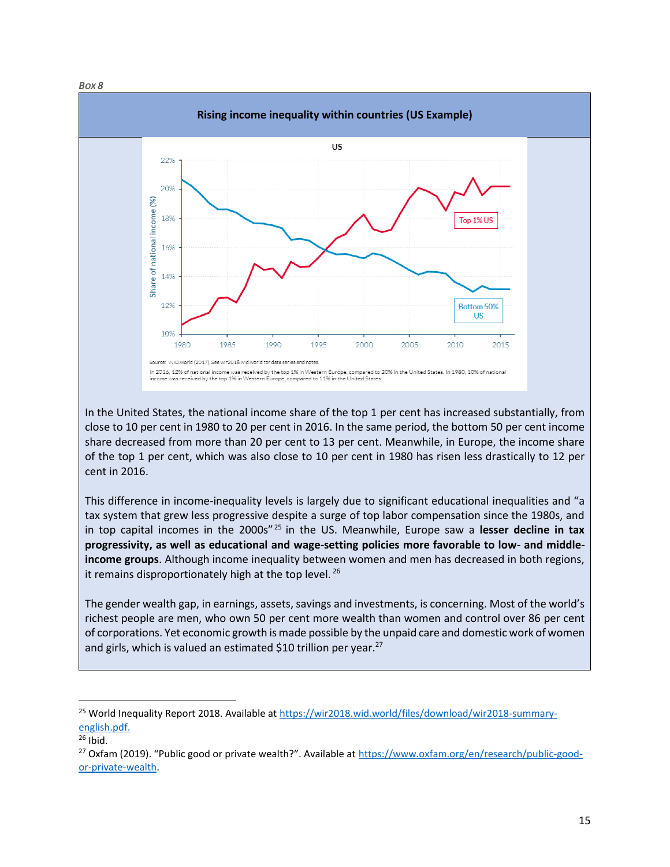*BOX 8*



In the United States, the national income share of the top 1 per cent has increased substantially, from close to 10 per cent in 1980 to 20 per cent in 2016. In the same period, the bottom 50 per cent income share decreased from more than 20 per cent to 13 per cent. Meanwhile, in Europe, the income share of the top 1 per cent, which was also close to 10 per cent in 1980 has risen less drastically to 12 per cent in 2016.

This difference in income-inequality levels is largely due to significant educational inequalities and "a tax system that grew less progressive despite a surge of top labor compensation since the 1980s, and in top capital incomes in the 2000s" <sup>25</sup> in the US. Meanwhile, Europe saw a **lesser decline in tax progressivity, as well as educational and wage-setting policies more favorable to low- and middleincome groups**. Although income inequality between women and men has decreased in both regions, it remains disproportionately high at the top level.<sup>26</sup>

The gender wealth gap, in earnings, assets, savings and investments, is concerning. Most of the world's richest people are men, who own 50 per cent more wealth than women and control over 86 per cent of corporations. Yet economic growth is made possible by the unpaid care and domestic work of women and girls, which is valued an estimated \$10 trillion per year. $27$ 

 $\overline{\phantom{a}}$ 

<sup>&</sup>lt;sup>25</sup> World Inequality Report 2018. Available at [https://wir2018.wid.world/files/download/wir2018-summary](https://wir2018.wid.world/files/download/wir2018-summary-english.pdf)[english.pdf.](https://wir2018.wid.world/files/download/wir2018-summary-english.pdf)

 $26$  Ibid.

<sup>&</sup>lt;sup>27</sup> Oxfam (2019). "Public good or private wealth?". Available at [https://www.oxfam.org/en/research/public-good](https://www.oxfam.org/en/research/public-good-or-private-wealth)[or-private-wealth.](https://www.oxfam.org/en/research/public-good-or-private-wealth)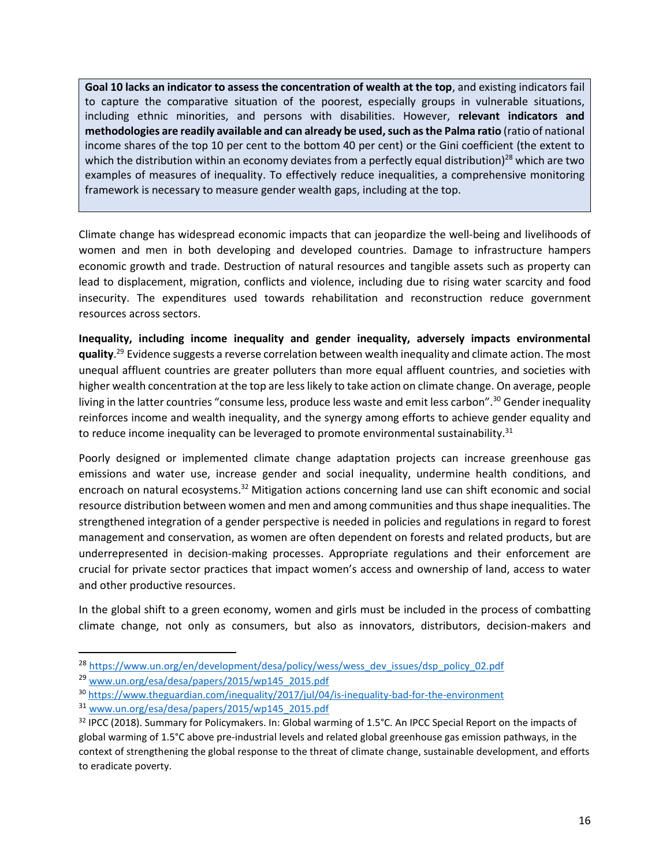**Goal 10 lacks an indicator to assess the concentration of wealth at the top**, and existing indicators fail to capture the comparative situation of the poorest, especially groups in vulnerable situations, including ethnic minorities, and persons with disabilities. However, **relevant indicators and methodologies are readily available and can already be used, such as the Palma ratio** (ratio of national income shares of the top 10 per cent to the bottom 40 per cent) or the Gini coefficient (the extent to which the distribution within an economy deviates from a perfectly equal distribution)<sup>28</sup> which are two examples of measures of inequality. To effectively reduce inequalities, a comprehensive monitoring framework is necessary to measure gender wealth gaps, including at the top.

Climate change has widespread economic impacts that can jeopardize the well-being and livelihoods of women and men in both developing and developed countries. Damage to infrastructure hampers economic growth and trade. Destruction of natural resources and tangible assets such as property can lead to displacement, migration, conflicts and violence, including due to rising water scarcity and food insecurity. The expenditures used towards rehabilitation and reconstruction reduce government resources across sectors.

**Inequality, including income inequality and gender inequality, adversely impacts environmental quality**. <sup>29</sup> Evidence suggests a reverse correlation between wealth inequality and climate action. The most unequal affluent countries are greater polluters than more equal affluent countries, and societies with higher wealth concentration at the top are less likely to take action on climate change. On average, people living in the latter countries "consume less, produce less waste and emit less carbon".<sup>30</sup> Gender inequality reinforces income and wealth inequality, and the synergy among efforts to achieve gender equality and to reduce income inequality can be leveraged to promote environmental sustainability. $31$ 

Poorly designed or implemented climate change adaptation projects can increase greenhouse gas emissions and water use, increase gender and social inequality, undermine health conditions, and encroach on natural ecosystems.<sup>32</sup> Mitigation actions concerning land use can shift economic and social resource distribution between women and men and among communities and thus shape inequalities. The strengthened integration of a gender perspective is needed in policies and regulations in regard to forest management and conservation, as women are often dependent on forests and related products, but are underrepresented in decision-making processes. Appropriate regulations and their enforcement are crucial for private sector practices that impact women's access and ownership of land, access to water and other productive resources.

In the global shift to a green economy, women and girls must be included in the process of combatting climate change, not only as consumers, but also as innovators, distributors, decision-makers and

l

<sup>&</sup>lt;sup>28</sup> [https://www.un.org/en/development/desa/policy/wess/wess\\_dev\\_issues/dsp\\_policy\\_02.pdf](https://www.un.org/en/development/desa/policy/wess/wess_dev_issues/dsp_policy_02.pdf)

<sup>29</sup> [www.un.org/esa/desa/papers/2015/wp145\\_2015.pdf](http://www.un.org/esa/desa/papers/2015/wp145_2015.pdf)

<sup>30</sup> <https://www.theguardian.com/inequality/2017/jul/04/is-inequality-bad-for-the-environment>

<sup>31</sup> [www.un.org/esa/desa/papers/2015/wp145\\_2015.pdf](http://www.un.org/esa/desa/papers/2015/wp145_2015.pdf)

<sup>32</sup> IPCC (2018). Summary for Policymakers. In: Global warming of 1.5°C. An IPCC Special Report on the impacts of global warming of 1.5°C above pre-industrial levels and related global greenhouse gas emission pathways, in the context of strengthening the global response to the threat of climate change, sustainable development, and efforts to eradicate poverty.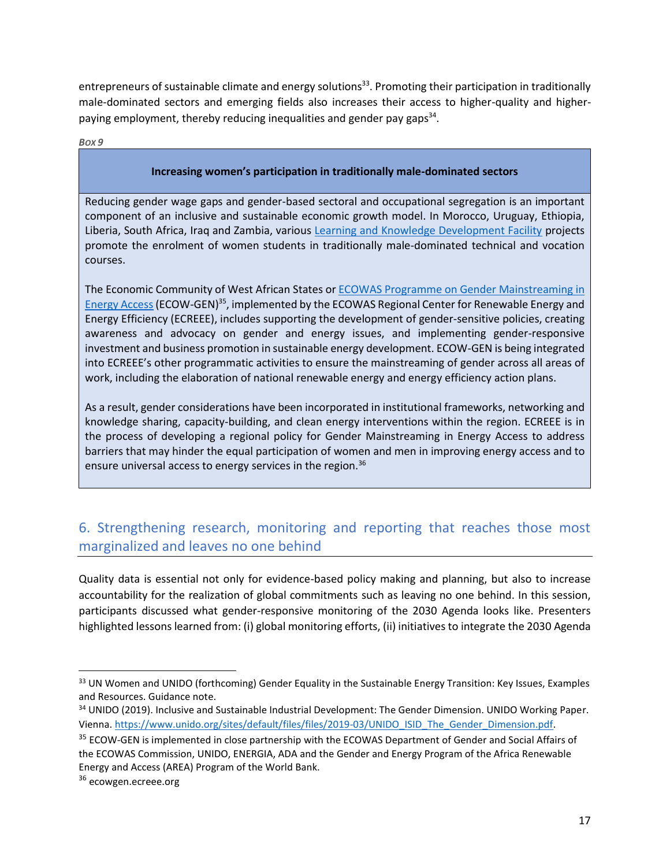entrepreneurs of sustainable climate and energy solutions<sup>33</sup>. Promoting their participation in traditionally male-dominated sectors and emerging fields also increases their access to higher-quality and higherpaying employment, thereby reducing inequalities and gender pay gaps<sup>34</sup>.

*BOX 9*

#### **Increasing women's participation in traditionally male-dominated sectors**

Reducing gender wage gaps and gender-based sectoral and occupational segregation is an important component of an inclusive and sustainable economic growth model. In Morocco, Uruguay, Ethiopia, Liberia, South Africa, Iraq and Zambia, various [Learning and Knowledge Development Facility](https://www.lkdfacility.org/) projects promote the enrolment of women students in traditionally male-dominated technical and vocation courses.

The Economic Community of West African States o[r ECOWAS Programme on Gender](http://ecowgen.ecreee.org/) Mainstreaming in [Energy Access](http://ecowgen.ecreee.org/) (ECOW-GEN)<sup>35</sup>, implemented by the ECOWAS Regional Center for Renewable Energy and Energy Efficiency (ECREEE), includes supporting the development of gender-sensitive policies, creating awareness and advocacy on gender and energy issues, and implementing gender-responsive investment and business promotion in sustainable energy development. ECOW-GEN is being integrated into ECREEE's other programmatic activities to ensure the mainstreaming of gender across all areas of work, including the elaboration of national renewable energy and energy efficiency action plans.

As a result, gender considerations have been incorporated in institutional frameworks, networking and knowledge sharing, capacity-building, and clean energy interventions within the region. ECREEE is in the process of developing a regional policy for Gender Mainstreaming in Energy Access to address barriers that may hinder the equal participation of women and men in improving energy access and to ensure universal access to energy services in the region.<sup>36</sup>

## 6. Strengthening research, monitoring and reporting that reaches those most marginalized and leaves no one behind

Quality data is essential not only for evidence-based policy making and planning, but also to increase accountability for the realization of global commitments such as leaving no one behind. In this session, participants discussed what gender-responsive monitoring of the 2030 Agenda looks like. Presenters highlighted lessons learned from: (i) global monitoring efforts, (ii) initiatives to integrate the 2030 Agenda

 $\overline{\phantom{a}}$ 

<sup>33</sup> UN Women and UNIDO (forthcoming) Gender Equality in the Sustainable Energy Transition: Key Issues, Examples and Resources. Guidance note.

<sup>34</sup> UNIDO (2019). Inclusive and Sustainable Industrial Development: The Gender Dimension. UNIDO Working Paper. Vienna. [https://www.unido.org/sites/default/files/files/2019-03/UNIDO\\_ISID\\_The\\_Gender\\_Dimension.pdf.](https://www.unido.org/sites/default/files/files/2019-03/UNIDO_ISID_The_Gender_Dimension.pdf)

<sup>&</sup>lt;sup>35</sup> ECOW-GEN is implemented in close partnership with the ECOWAS Department of Gender and Social Affairs of the ECOWAS Commission, UNIDO, ENERGIA, ADA and the Gender and Energy Program of the Africa Renewable Energy and Access (AREA) Program of the World Bank.

<sup>&</sup>lt;sup>36</sup> ecowgen.ecreee.org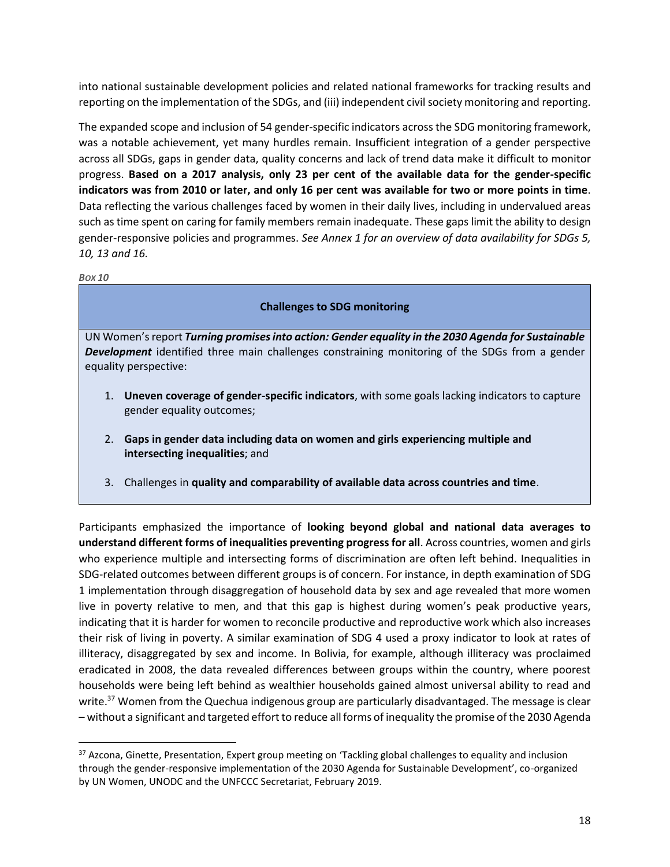into national sustainable development policies and related national frameworks for tracking results and reporting on the implementation of the SDGs, and (iii) independent civil society monitoring and reporting.

The expanded scope and inclusion of 54 gender-specific indicators across the SDG monitoring framework, was a notable achievement, yet many hurdles remain. Insufficient integration of a gender perspective across all SDGs, gaps in gender data, quality concerns and lack of trend data make it difficult to monitor progress. **Based on a 2017 analysis, only 23 per cent of the available data for the gender-specific indicators was from 2010 or later, and only 16 per cent was available for two or more points in time**. Data reflecting the various challenges faced by women in their daily lives, including in undervalued areas such as time spent on caring for family members remain inadequate. These gaps limit the ability to design gender-responsive policies and programmes. *See Annex 1 for an overview of data availability for SDGs 5, 10, 13 and 16.* 

#### *BOX 10*

 $\overline{a}$ 

### **Challenges to SDG monitoring**

UN Women's report *Turning promises into action: Gender equality in the 2030 Agenda for Sustainable Development* identified three main challenges constraining monitoring of the SDGs from a gender equality perspective:

- 1. **Uneven coverage of gender-specific indicators**, with some goals lacking indicators to capture gender equality outcomes;
- 2. **Gaps in gender data including data on women and girls experiencing multiple and intersecting inequalities**; and
- 3. Challenges in **quality and comparability of available data across countries and time**.

Participants emphasized the importance of **looking beyond global and national data averages to understand different forms of inequalities preventing progress for all**. Across countries, women and girls who experience multiple and intersecting forms of discrimination are often left behind. Inequalities in SDG-related outcomes between different groups is of concern. For instance, in depth examination of SDG 1 implementation through disaggregation of household data by sex and age revealed that more women live in poverty relative to men, and that this gap is highest during women's peak productive years, indicating that it is harder for women to reconcile productive and reproductive work which also increases their risk of living in poverty. A similar examination of SDG 4 used a proxy indicator to look at rates of illiteracy, disaggregated by sex and income. In Bolivia, for example, although illiteracy was proclaimed eradicated in 2008, the data revealed differences between groups within the country, where poorest households were being left behind as wealthier households gained almost universal ability to read and write.<sup>37</sup> Women from the Quechua indigenous group are particularly disadvantaged. The message is clear – without a significant and targeted effort to reduce all forms of inequality the promise of the 2030 Agenda

<sup>37</sup> Azcona, Ginette, Presentation, Expert group meeting on 'Tackling global challenges to equality and inclusion through the gender-responsive implementation of the 2030 Agenda for Sustainable Development', co-organized by UN Women, UNODC and the UNFCCC Secretariat, February 2019.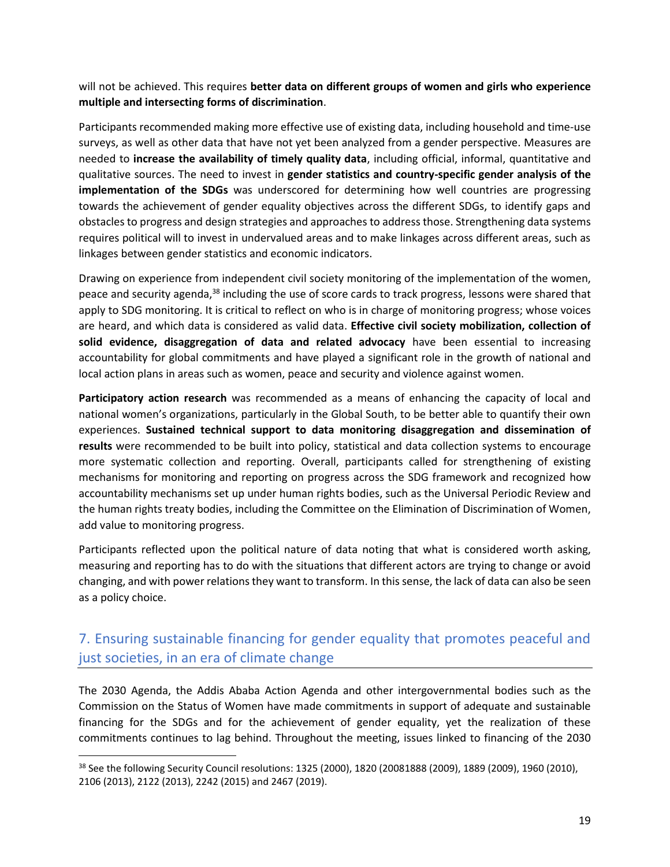will not be achieved. This requires **better data on different groups of women and girls who experience multiple and intersecting forms of discrimination**.

Participants recommended making more effective use of existing data, including household and time-use surveys, as well as other data that have not yet been analyzed from a gender perspective. Measures are needed to **increase the availability of timely quality data**, including official, informal, quantitative and qualitative sources. The need to invest in **gender statistics and country-specific gender analysis of the implementation of the SDGs** was underscored for determining how well countries are progressing towards the achievement of gender equality objectives across the different SDGs, to identify gaps and obstacles to progress and design strategies and approaches to address those. Strengthening data systems requires political will to invest in undervalued areas and to make linkages across different areas, such as linkages between gender statistics and economic indicators.

Drawing on experience from independent civil society monitoring of the implementation of the women, peace and security agenda,<sup>38</sup> including the use of score cards to track progress, lessons were shared that apply to SDG monitoring. It is critical to reflect on who is in charge of monitoring progress; whose voices are heard, and which data is considered as valid data. **Effective civil society mobilization, collection of solid evidence, disaggregation of data and related advocacy** have been essential to increasing accountability for global commitments and have played a significant role in the growth of national and local action plans in areas such as women, peace and security and violence against women.

**Participatory action research** was recommended as a means of enhancing the capacity of local and national women's organizations, particularly in the Global South, to be better able to quantify their own experiences. **Sustained technical support to data monitoring disaggregation and dissemination of results** were recommended to be built into policy, statistical and data collection systems to encourage more systematic collection and reporting. Overall, participants called for strengthening of existing mechanisms for monitoring and reporting on progress across the SDG framework and recognized how accountability mechanisms set up under human rights bodies, such as the Universal Periodic Review and the human rights treaty bodies, including the Committee on the Elimination of Discrimination of Women, add value to monitoring progress.

Participants reflected upon the political nature of data noting that what is considered worth asking, measuring and reporting has to do with the situations that different actors are trying to change or avoid changing, and with power relations they want to transform. In this sense, the lack of data can also be seen as a policy choice.

## 7. Ensuring sustainable financing for gender equality that promotes peaceful and just societies, in an era of climate change

The 2030 Agenda, the Addis Ababa Action Agenda and other intergovernmental bodies such as the Commission on the Status of Women have made commitments in support of adequate and sustainable financing for the SDGs and for the achievement of gender equality, yet the realization of these commitments continues to lag behind. Throughout the meeting, issues linked to financing of the 2030

 $\overline{\phantom{a}}$ 

<sup>38</sup> See the following Security Council resolutions: 1325 (2000), 1820 (20081888 (2009), 1889 (2009), 1960 (2010), 2106 (2013), 2122 (2013), 2242 (2015) and 2467 (2019).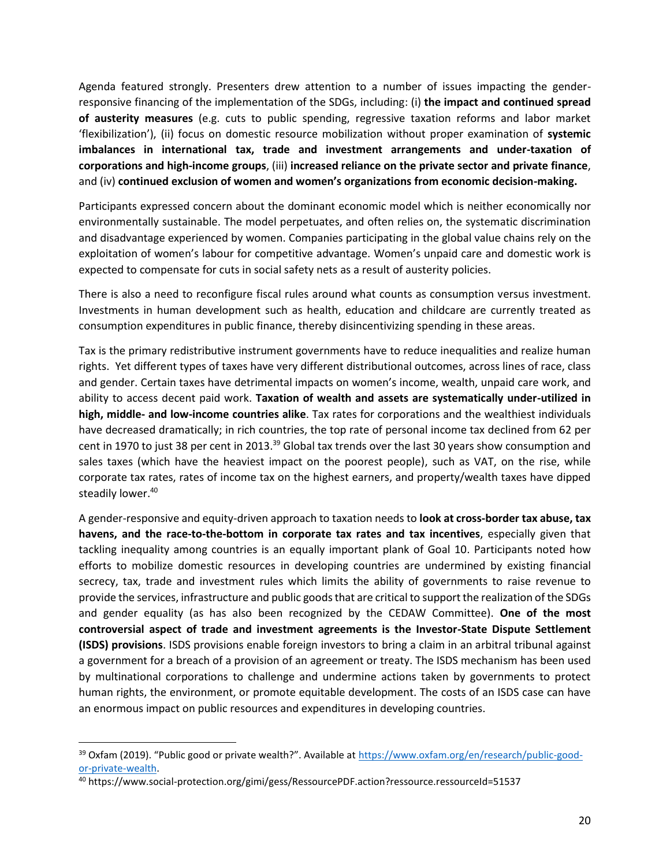Agenda featured strongly. Presenters drew attention to a number of issues impacting the genderresponsive financing of the implementation of the SDGs, including: (i) **the impact and continued spread of austerity measures** (e.g. cuts to public spending, regressive taxation reforms and labor market 'flexibilization'), (ii) focus on domestic resource mobilization without proper examination of **systemic imbalances in international tax, trade and investment arrangements and under-taxation of corporations and high-income groups**, (iii) **increased reliance on the private sector and private finance**, and (iv) **continued exclusion of women and women's organizations from economic decision-making.**

Participants expressed concern about the dominant economic model which is neither economically nor environmentally sustainable. The model perpetuates, and often relies on, the systematic discrimination and disadvantage experienced by women. Companies participating in the global value chains rely on the exploitation of women's labour for competitive advantage. Women's unpaid care and domestic work is expected to compensate for cuts in social safety nets as a result of austerity policies.

There is also a need to reconfigure fiscal rules around what counts as consumption versus investment. Investments in human development such as health, education and childcare are currently treated as consumption expenditures in public finance, thereby disincentivizing spending in these areas.

Tax is the primary redistributive instrument governments have to reduce inequalities and realize human rights. Yet different types of taxes have very different distributional outcomes, across lines of race, class and gender. Certain taxes have detrimental impacts on women's income, wealth, unpaid care work, and ability to access decent paid work. **Taxation of wealth and assets are systematically under-utilized in high, middle- and low-income countries alike**. Tax rates for corporations and the wealthiest individuals have decreased dramatically; in rich countries, the top rate of personal income tax declined from 62 per cent in 1970 to just 38 per cent in 2013.<sup>39</sup> Global tax trends over the last 30 years show consumption and sales taxes (which have the heaviest impact on the poorest people), such as VAT, on the rise, while corporate tax rates, rates of income tax on the highest earners, and property/wealth taxes have dipped steadily lower.<sup>40</sup>

A gender-responsive and equity-driven approach to taxation needs to **look at cross-border tax abuse, tax havens, and the race-to-the-bottom in corporate tax rates and tax incentives**, especially given that tackling inequality among countries is an equally important plank of Goal 10. Participants noted how efforts to mobilize domestic resources in developing countries are undermined by existing financial secrecy, tax, trade and investment rules which limits the ability of governments to raise revenue to provide the services, infrastructure and public goods that are critical to support the realization of the SDGs and gender equality (as has also been recognized by the CEDAW Committee). **One of the most controversial aspect of trade and investment agreements is the Investor-State Dispute Settlement (ISDS) provisions**. ISDS provisions enable foreign investors to bring a claim in an arbitral tribunal against a government for a breach of a provision of an agreement or treaty. The ISDS mechanism has been used by multinational corporations to challenge and undermine actions taken by governments to protect human rights, the environment, or promote equitable development. The costs of an ISDS case can have an enormous impact on public resources and expenditures in developing countries.

 $\overline{a}$ 

<sup>39</sup> Oxfam (2019). "Public good or private wealth?". Available at [https://www.oxfam.org/en/research/public-good](https://www.oxfam.org/en/research/public-good-or-private-wealth)[or-private-wealth.](https://www.oxfam.org/en/research/public-good-or-private-wealth)

<sup>40</sup> https://www.social-protection.org/gimi/gess/RessourcePDF.action?ressource.ressourceId=51537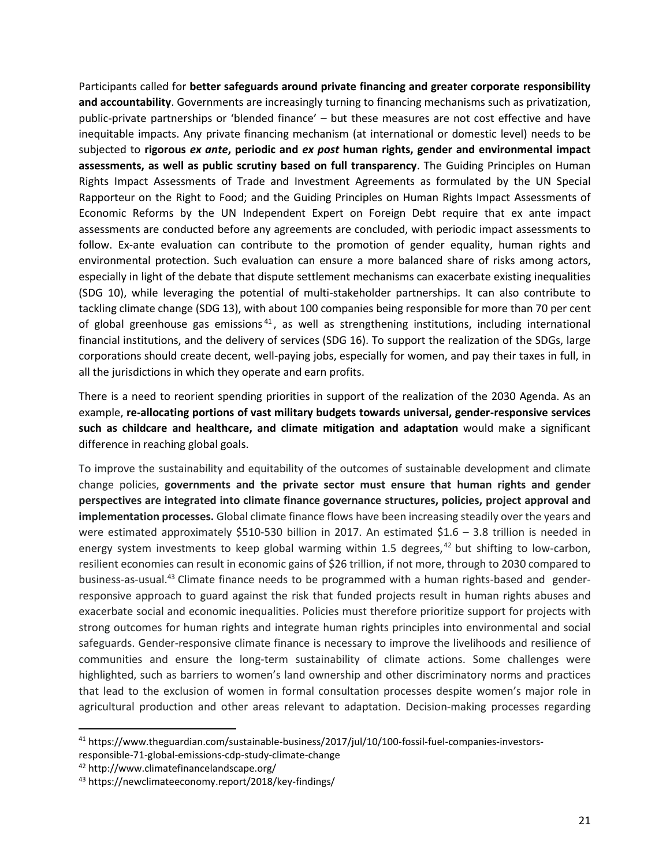Participants called for **better safeguards around private financing and greater corporate responsibility and accountability**. Governments are increasingly turning to financing mechanisms such as privatization, public-private partnerships or 'blended finance' – but these measures are not cost effective and have inequitable impacts. Any private financing mechanism (at international or domestic level) needs to be subjected to **rigorous** *ex ante***, periodic and** *ex post* **human rights, gender and environmental impact assessments, as well as public scrutiny based on full transparency**. The Guiding Principles on Human Rights Impact Assessments of Trade and Investment Agreements as formulated by the UN Special Rapporteur on the Right to Food; and the Guiding Principles on Human Rights Impact Assessments of Economic Reforms by the UN Independent Expert on Foreign Debt require that ex ante impact assessments are conducted before any agreements are concluded, with periodic impact assessments to follow. Ex-ante evaluation can contribute to the promotion of gender equality, human rights and environmental protection. Such evaluation can ensure a more balanced share of risks among actors, especially in light of the debate that dispute settlement mechanisms can exacerbate existing inequalities (SDG 10), while leveraging the potential of multi-stakeholder partnerships. It can also contribute to tackling climate change (SDG 13), with about 100 companies being responsible for more than 70 per cent of global greenhouse gas emissions<sup>41</sup>, as well as strengthening institutions, including international financial institutions, and the delivery of services (SDG 16). To support the realization of the SDGs, large corporations should create decent, well-paying jobs, especially for women, and pay their taxes in full, in all the jurisdictions in which they operate and earn profits.

There is a need to reorient spending priorities in support of the realization of the 2030 Agenda. As an example, **re-allocating portions of vast military budgets towards universal, gender-responsive services such as childcare and healthcare, and climate mitigation and adaptation** would make a significant difference in reaching global goals.

To improve the sustainability and equitability of the outcomes of sustainable development and climate change policies, **governments and the private sector must ensure that human rights and gender perspectives are integrated into climate finance governance structures, policies, project approval and implementation processes.** Global climate finance flows have been increasing steadily over the years and were estimated approximately \$510-530 billion in 2017. An estimated \$1.6 - 3.8 trillion is needed in energy system investments to keep global warming within 1.5 degrees,  $42$  but shifting to low-carbon, resilient economies can result in economic gains of \$26 trillion, if not more, through to 2030 compared to business-as-usual.<sup>43</sup> Climate finance needs to be programmed with a human rights-based and genderresponsive approach to guard against the risk that funded projects result in human rights abuses and exacerbate social and economic inequalities. Policies must therefore prioritize support for projects with strong outcomes for human rights and integrate human rights principles into environmental and social safeguards. Gender-responsive climate finance is necessary to improve the livelihoods and resilience of communities and ensure the long-term sustainability of climate actions. Some challenges were highlighted, such as barriers to women's land ownership and other discriminatory norms and practices that lead to the exclusion of women in formal consultation processes despite women's major role in agricultural production and other areas relevant to adaptation. Decision-making processes regarding

l

<sup>41</sup> https://www.theguardian.com/sustainable-business/2017/jul/10/100-fossil-fuel-companies-investorsresponsible-71-global-emissions-cdp-study-climate-change

<sup>42</sup> http://www.climatefinancelandscape.org/

<sup>43</sup> https://newclimateeconomy.report/2018/key-findings/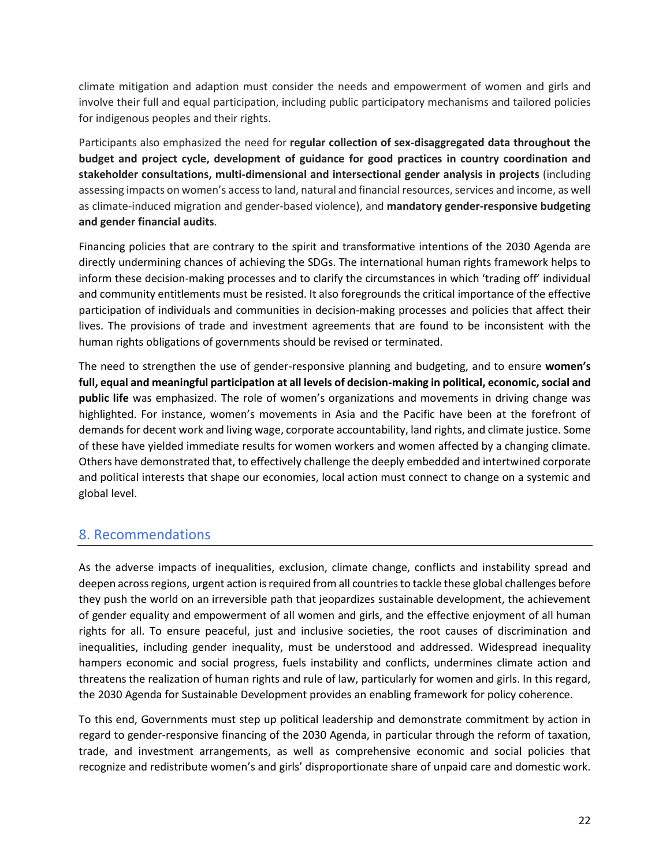climate mitigation and adaption must consider the needs and empowerment of women and girls and involve their full and equal participation, including public participatory mechanisms and tailored policies for indigenous peoples and their rights.

Participants also emphasized the need for **regular collection of sex-disaggregated data throughout the budget and project cycle, development of guidance for good practices in country coordination and stakeholder consultations, multi-dimensional and intersectional gender analysis in projects** (including assessing impacts on women's access to land, natural and financial resources, services and income, as well as climate-induced migration and gender-based violence), and **mandatory gender-responsive budgeting and gender financial audits**.

Financing policies that are contrary to the spirit and transformative intentions of the 2030 Agenda are directly undermining chances of achieving the SDGs. The international human rights framework helps to inform these decision-making processes and to clarify the circumstances in which 'trading off' individual and community entitlements must be resisted. It also foregrounds the critical importance of the effective participation of individuals and communities in decision-making processes and policies that affect their lives. The provisions of trade and investment agreements that are found to be inconsistent with the human rights obligations of governments should be revised or terminated.

The need to strengthen the use of gender-responsive planning and budgeting, and to ensure **women's full, equal and meaningful participation at all levels of decision-making in political, economic, social and public life** was emphasized. The role of women's organizations and movements in driving change was highlighted. For instance, women's movements in Asia and the Pacific have been at the forefront of demands for decent work and living wage, corporate accountability, land rights, and climate justice. Some of these have yielded immediate results for women workers and women affected by a changing climate. Others have demonstrated that, to effectively challenge the deeply embedded and intertwined corporate and political interests that shape our economies, local action must connect to change on a systemic and global level.

### 8. Recommendations

As the adverse impacts of inequalities, exclusion, climate change, conflicts and instability spread and deepen across regions, urgent action is required from all countries to tackle these global challenges before they push the world on an irreversible path that jeopardizes sustainable development, the achievement of gender equality and empowerment of all women and girls, and the effective enjoyment of all human rights for all. To ensure peaceful, just and inclusive societies, the root causes of discrimination and inequalities, including gender inequality, must be understood and addressed. Widespread inequality hampers economic and social progress, fuels instability and conflicts, undermines climate action and threatens the realization of human rights and rule of law, particularly for women and girls. In this regard, the 2030 Agenda for Sustainable Development provides an enabling framework for policy coherence.

To this end, Governments must step up political leadership and demonstrate commitment by action in regard to gender-responsive financing of the 2030 Agenda, in particular through the reform of taxation, trade, and investment arrangements, as well as comprehensive economic and social policies that recognize and redistribute women's and girls' disproportionate share of unpaid care and domestic work.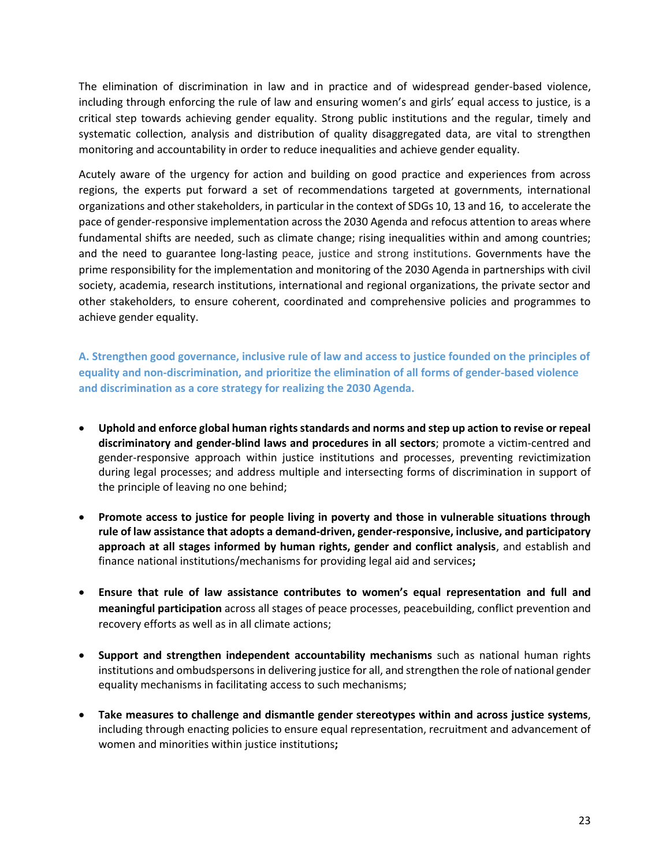The elimination of discrimination in law and in practice and of widespread gender-based violence, including through enforcing the rule of law and ensuring women's and girls' equal access to justice, is a critical step towards achieving gender equality. Strong public institutions and the regular, timely and systematic collection, analysis and distribution of quality disaggregated data, are vital to strengthen monitoring and accountability in order to reduce inequalities and achieve gender equality.

Acutely aware of the urgency for action and building on good practice and experiences from across regions, the experts put forward a set of recommendations targeted at governments, international organizations and other stakeholders, in particular in the context of SDGs 10, 13 and 16, to accelerate the pace of gender-responsive implementation across the 2030 Agenda and refocus attention to areas where fundamental shifts are needed, such as climate change; rising inequalities within and among countries; and the need to guarantee long-lasting peace, justice and strong institutions. Governments have the prime responsibility for the implementation and monitoring of the 2030 Agenda in partnerships with civil society, academia, research institutions, international and regional organizations, the private sector and other stakeholders, to ensure coherent, coordinated and comprehensive policies and programmes to achieve gender equality.

**A. Strengthen good governance, inclusive rule of law and access to justice founded on the principles of equality and non-discrimination, and prioritize the elimination of all forms of gender-based violence and discrimination as a core strategy for realizing the 2030 Agenda.** 

- **Uphold and enforce global human rights standards and norms and step up action to revise or repeal discriminatory and gender-blind laws and procedures in all sectors**; promote a victim-centred and gender-responsive approach within justice institutions and processes, preventing revictimization during legal processes; and address multiple and intersecting forms of discrimination in support of the principle of leaving no one behind;
- **Promote access to justice for people living in poverty and those in vulnerable situations through rule of law assistance that adopts a demand-driven, gender-responsive, inclusive, and participatory approach at all stages informed by human rights, gender and conflict analysis**, and establish and finance national institutions/mechanisms for providing legal aid and services**;**
- **Ensure that rule of law assistance contributes to women's equal representation and full and meaningful participation** across all stages of peace processes, peacebuilding, conflict prevention and recovery efforts as well as in all climate actions;
- **Support and strengthen independent accountability mechanisms** such as national human rights institutions and ombudspersons in delivering justice for all, and strengthen the role of national gender equality mechanisms in facilitating access to such mechanisms;
- **Take measures to challenge and dismantle gender stereotypes within and across justice systems**, including through enacting policies to ensure equal representation, recruitment and advancement of women and minorities within justice institutions**;**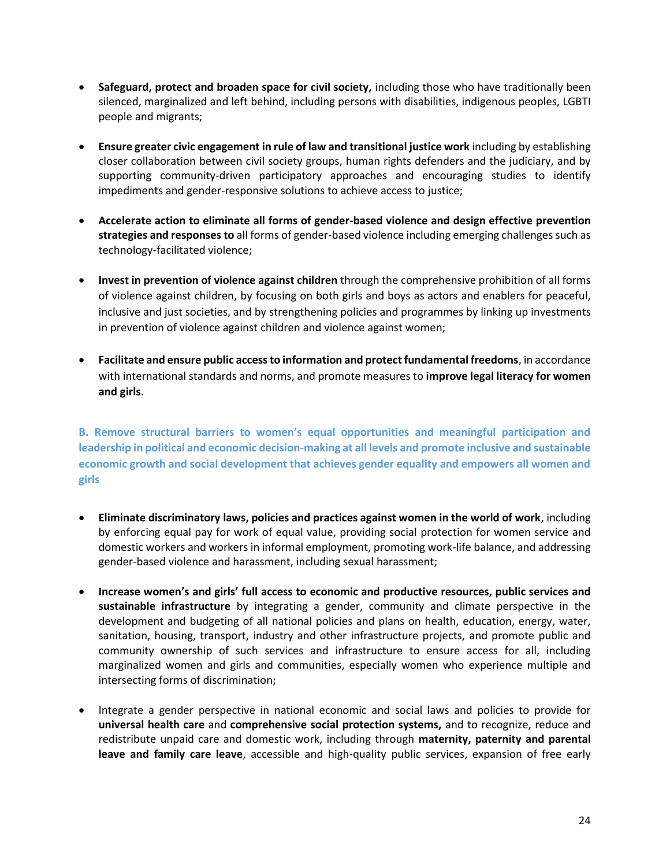- **Safeguard, protect and broaden space for civil society,** including those who have traditionally been silenced, marginalized and left behind, including persons with disabilities, indigenous peoples, LGBTI people and migrants;
- **Ensure greater civic engagement in rule of law and transitional justice work** including by establishing closer collaboration between civil society groups, human rights defenders and the judiciary, and by supporting community-driven participatory approaches and encouraging studies to identify impediments and gender-responsive solutions to achieve access to justice;
- **Accelerate action to eliminate all forms of gender-based violence and design effective prevention strategies and responses to** all forms of gender-based violence including emerging challenges such as technology-facilitated violence;
- **Invest in prevention of violence against children** through the comprehensive prohibition of all forms of violence against children, by focusing on both girls and boys as actors and enablers for peaceful, inclusive and just societies, and by strengthening policies and programmes by linking up investments in prevention of violence against children and violence against women;
- **Facilitate and ensure public access to information and protect fundamental freedoms**, in accordance with international standards and norms, and promote measures to **improve legal literacy for women and girls**.

**B. Remove structural barriers to women's equal opportunities and meaningful participation and leadership in political and economic decision-making at all levels and promote inclusive and sustainable economic growth and social development that achieves gender equality and empowers all women and girls** 

- **Eliminate discriminatory laws, policies and practices against women in the world of work**, including by enforcing equal pay for work of equal value, providing social protection for women service and domestic workers and workers in informal employment, promoting work-life balance, and addressing gender-based violence and harassment, including sexual harassment;
- **Increase women's and girls' full access to economic and productive resources, public services and sustainable infrastructure** by integrating a gender, community and climate perspective in the development and budgeting of all national policies and plans on health, education, energy, water, sanitation, housing, transport, industry and other infrastructure projects, and promote public and community ownership of such services and infrastructure to ensure access for all, including marginalized women and girls and communities, especially women who experience multiple and intersecting forms of discrimination;
- Integrate a gender perspective in national economic and social laws and policies to provide for **universal health care** and **comprehensive social protection systems,** and to recognize, reduce and redistribute unpaid care and domestic work, including through **maternity, paternity and parental leave and family care leave**, accessible and high-quality public services, expansion of free early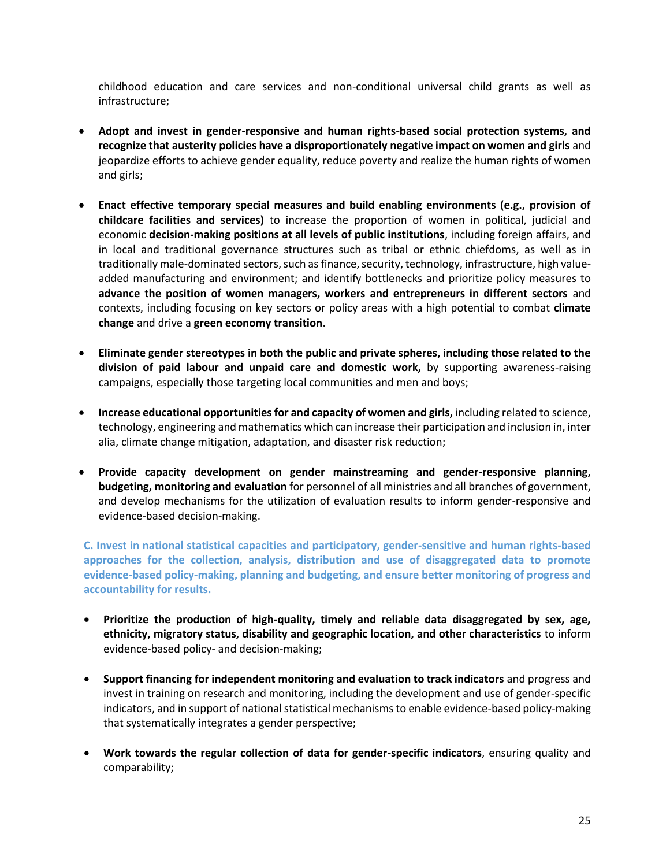childhood education and care services and non-conditional universal child grants as well as infrastructure;

- **Adopt and invest in gender-responsive and human rights-based social protection systems, and recognize that austerity policies have a disproportionately negative impact on women and girls** and jeopardize efforts to achieve gender equality, reduce poverty and realize the human rights of women and girls;
- **Enact effective temporary special measures and build enabling environments (e.g., provision of childcare facilities and services)** to increase the proportion of women in political, judicial and economic **decision-making positions at all levels of public institutions**, including foreign affairs, and in local and traditional governance structures such as tribal or ethnic chiefdoms, as well as in traditionally male-dominated sectors, such as finance, security, technology, infrastructure, high valueadded manufacturing and environment; and identify bottlenecks and prioritize policy measures to **advance the position of women managers, workers and entrepreneurs in different sectors** and contexts, including focusing on key sectors or policy areas with a high potential to combat **climate change** and drive a **green economy transition**.
- **Eliminate gender stereotypes in both the public and private spheres, including those related to the division of paid labour and unpaid care and domestic work,** by supporting awareness-raising campaigns, especially those targeting local communities and men and boys;
- **Increase educational opportunities for and capacity of women and girls,** including related to science, technology, engineering and mathematics which can increase their participation and inclusion in, inter alia, climate change mitigation, adaptation, and disaster risk reduction;
- **Provide capacity development on gender mainstreaming and gender-responsive planning, budgeting, monitoring and evaluation** for personnel of all ministries and all branches of government, and develop mechanisms for the utilization of evaluation results to inform gender-responsive and evidence-based decision-making.

**C. Invest in national statistical capacities and participatory, gender-sensitive and human rights-based approaches for the collection, analysis, distribution and use of disaggregated data to promote evidence-based policy-making, planning and budgeting, and ensure better monitoring of progress and accountability for results.** 

- **Prioritize the production of high-quality, timely and reliable data disaggregated by sex, age, ethnicity, migratory status, disability and geographic location, and other characteristics** to inform evidence-based policy- and decision-making;
- **Support financing for independent monitoring and evaluation to track indicators** and progress and invest in training on research and monitoring, including the development and use of gender-specific indicators, and in support of national statistical mechanisms to enable evidence-based policy-making that systematically integrates a gender perspective;
- **Work towards the regular collection of data for gender-specific indicators**, ensuring quality and comparability;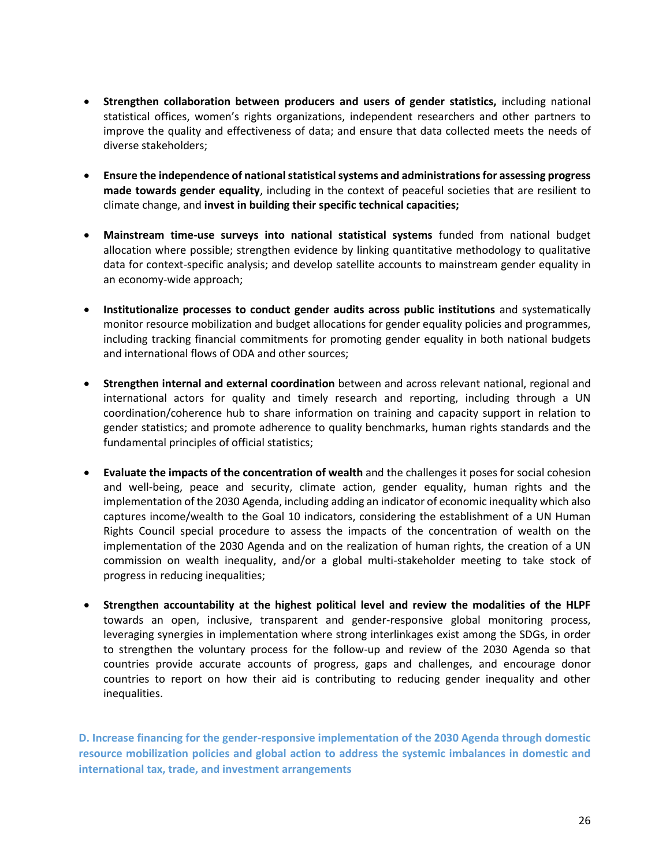- **Strengthen collaboration between producers and users of gender statistics,** including national statistical offices, women's rights organizations, independent researchers and other partners to improve the quality and effectiveness of data; and ensure that data collected meets the needs of diverse stakeholders;
- **Ensure the independence of national statistical systems and administrations for assessing progress made towards gender equality**, including in the context of peaceful societies that are resilient to climate change, and **invest in building their specific technical capacities;**
- **Mainstream time-use surveys into national statistical systems** funded from national budget allocation where possible; strengthen evidence by linking quantitative methodology to qualitative data for context-specific analysis; and develop satellite accounts to mainstream gender equality in an economy-wide approach;
- **Institutionalize processes to conduct gender audits across public institutions** and systematically monitor resource mobilization and budget allocations for gender equality policies and programmes, including tracking financial commitments for promoting gender equality in both national budgets and international flows of ODA and other sources;
- **Strengthen internal and external coordination** between and across relevant national, regional and international actors for quality and timely research and reporting, including through a UN coordination/coherence hub to share information on training and capacity support in relation to gender statistics; and promote adherence to quality benchmarks, human rights standards and the fundamental principles of official statistics;
- **Evaluate the impacts of the concentration of wealth** and the challenges it poses for social cohesion and well-being, peace and security, climate action, gender equality, human rights and the implementation of the 2030 Agenda, including adding an indicator of economic inequality which also captures income/wealth to the Goal 10 indicators, considering the establishment of a UN Human Rights Council special procedure to assess the impacts of the concentration of wealth on the implementation of the 2030 Agenda and on the realization of human rights, the creation of a UN commission on wealth inequality, and/or a global multi-stakeholder meeting to take stock of progress in reducing inequalities;
- **Strengthen accountability at the highest political level and review the modalities of the HLPF**  towards an open, inclusive, transparent and gender-responsive global monitoring process, leveraging synergies in implementation where strong interlinkages exist among the SDGs, in order to strengthen the voluntary process for the follow-up and review of the 2030 Agenda so that countries provide accurate accounts of progress, gaps and challenges, and encourage donor countries to report on how their aid is contributing to reducing gender inequality and other inequalities.

**D. Increase financing for the gender-responsive implementation of the 2030 Agenda through domestic resource mobilization policies and global action to address the systemic imbalances in domestic and international tax, trade, and investment arrangements**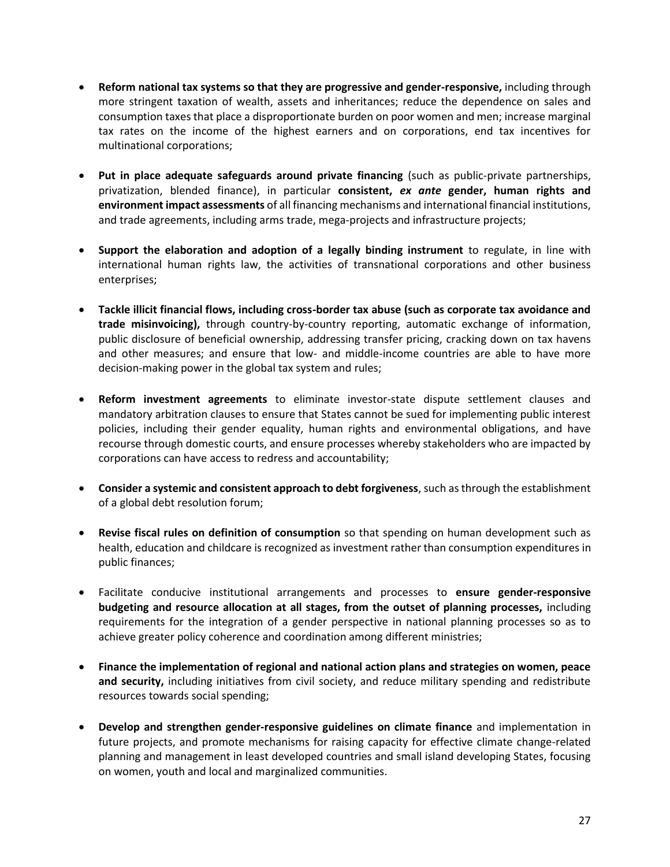- **Reform national tax systems so that they are progressive and gender-responsive,** including through more stringent taxation of wealth, assets and inheritances; reduce the dependence on sales and consumption taxes that place a disproportionate burden on poor women and men; increase marginal tax rates on the income of the highest earners and on corporations, end tax incentives for multinational corporations;
- **Put in place adequate safeguards around private financing** (such as public-private partnerships, privatization, blended finance), in particular **consistent,** *ex ante* **gender, human rights and environment impact assessments** of all financing mechanisms and international financial institutions, and trade agreements, including arms trade, mega-projects and infrastructure projects;
- **Support the elaboration and adoption of a legally binding instrument** to regulate, in line with international human rights law, the activities of transnational corporations and other business enterprises;
- **Tackle illicit financial flows, including cross-border tax abuse (such as corporate tax avoidance and trade misinvoicing),** through country-by-country reporting, automatic exchange of information, public disclosure of beneficial ownership, addressing transfer pricing, cracking down on tax havens and other measures; and ensure that low- and middle-income countries are able to have more decision-making power in the global tax system and rules;
- **Reform investment agreements** to eliminate investor-state dispute settlement clauses and mandatory arbitration clauses to ensure that States cannot be sued for implementing public interest policies, including their gender equality, human rights and environmental obligations, and have recourse through domestic courts, and ensure processes whereby stakeholders who are impacted by corporations can have access to redress and accountability;
- **Consider a systemic and consistent approach to debt forgiveness**, such as through the establishment of a global debt resolution forum;
- **Revise fiscal rules on definition of consumption** so that spending on human development such as health, education and childcare is recognized as investment rather than consumption expenditures in public finances;
- Facilitate conducive institutional arrangements and processes to **ensure gender-responsive budgeting and resource allocation at all stages, from the outset of planning processes,** including requirements for the integration of a gender perspective in national planning processes so as to achieve greater policy coherence and coordination among different ministries;
- **Finance the implementation of regional and national action plans and strategies on women, peace and security,** including initiatives from civil society, and reduce military spending and redistribute resources towards social spending;
- **Develop and strengthen gender-responsive guidelines on climate finance** and implementation in future projects, and promote mechanisms for raising capacity for effective climate change-related planning and management in least developed countries and small island developing States, focusing on women, youth and local and marginalized communities.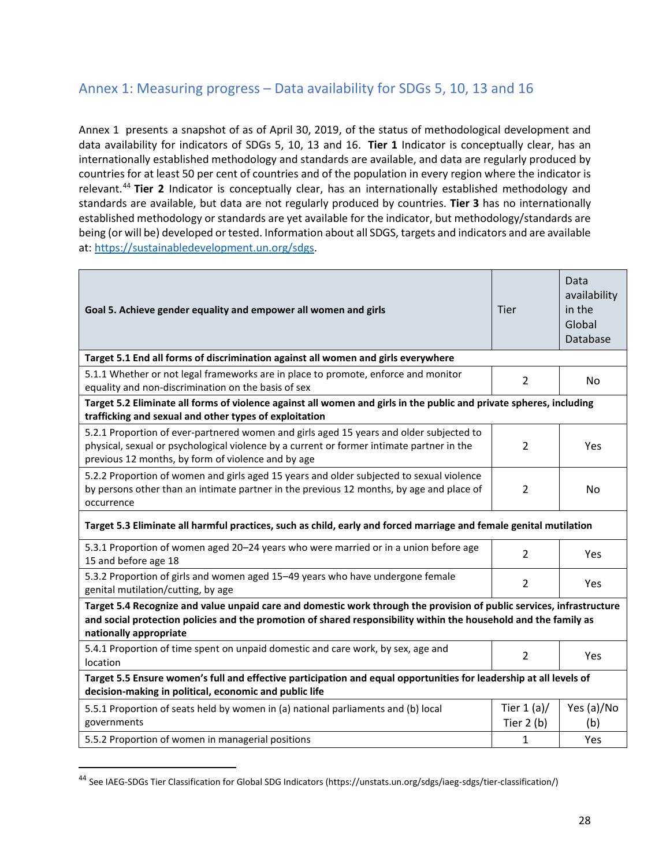### Annex 1: Measuring progress – Data availability for SDGs 5, 10, 13 and 16

Annex 1 presents a snapshot of as of April 30, 2019, of the status of methodological development and data availability for indicators of SDGs 5, 10, 13 and 16. **Tier 1** Indicator is conceptually clear, has an internationally established methodology and standards are available, and data are regularly produced by countries for at least 50 per cent of countries and of the population in every region where the indicator is relevant.<sup>44</sup> **Tier 2** Indicator is conceptually clear, has an internationally established methodology and standards are available, but data are not regularly produced by countries. **Tier 3** has no internationally established methodology or standards are yet available for the indicator, but methodology/standards are being (or will be) developed or tested. Information about all SDGS, targets and indicators and are available at: [https://sustainabledevelopment.un.org/sdgs.](https://sustainabledevelopment.un.org/sdgs)

| Goal 5. Achieve gender equality and empower all women and girls                                                                                                                                                                                                     | <b>Tier</b>                 | Data<br>availability<br>in the<br>Global<br>Database |
|---------------------------------------------------------------------------------------------------------------------------------------------------------------------------------------------------------------------------------------------------------------------|-----------------------------|------------------------------------------------------|
| Target 5.1 End all forms of discrimination against all women and girls everywhere                                                                                                                                                                                   |                             |                                                      |
| 5.1.1 Whether or not legal frameworks are in place to promote, enforce and monitor<br>equality and non-discrimination on the basis of sex                                                                                                                           | $\overline{2}$              | No.                                                  |
| Target 5.2 Eliminate all forms of violence against all women and girls in the public and private spheres, including<br>trafficking and sexual and other types of exploitation                                                                                       |                             |                                                      |
| 5.2.1 Proportion of ever-partnered women and girls aged 15 years and older subjected to<br>physical, sexual or psychological violence by a current or former intimate partner in the<br>previous 12 months, by form of violence and by age                          | $\overline{2}$              | Yes                                                  |
| 5.2.2 Proportion of women and girls aged 15 years and older subjected to sexual violence<br>by persons other than an intimate partner in the previous 12 months, by age and place of<br>occurrence                                                                  | 2                           | No.                                                  |
| Target 5.3 Eliminate all harmful practices, such as child, early and forced marriage and female genital mutilation                                                                                                                                                  |                             |                                                      |
| 5.3.1 Proportion of women aged 20-24 years who were married or in a union before age<br>15 and before age 18                                                                                                                                                        | $\overline{2}$              | Yes                                                  |
| 5.3.2 Proportion of girls and women aged 15-49 years who have undergone female<br>genital mutilation/cutting, by age                                                                                                                                                | $\overline{2}$              | Yes                                                  |
| Target 5.4 Recognize and value unpaid care and domestic work through the provision of public services, infrastructure<br>and social protection policies and the promotion of shared responsibility within the household and the family as<br>nationally appropriate |                             |                                                      |
| 5.4.1 Proportion of time spent on unpaid domestic and care work, by sex, age and<br>location                                                                                                                                                                        | $\overline{2}$              | Yes                                                  |
| Target 5.5 Ensure women's full and effective participation and equal opportunities for leadership at all levels of<br>decision-making in political, economic and public life                                                                                        |                             |                                                      |
| 5.5.1 Proportion of seats held by women in (a) national parliaments and (b) local<br>governments                                                                                                                                                                    | Tier $1(a)/$<br>Tier $2(b)$ | Yes (a)/No<br>(b)                                    |
| 5.5.2 Proportion of women in managerial positions                                                                                                                                                                                                                   | $\mathbf{1}$                | Yes                                                  |

<sup>44</sup> See IAEG-SDGs Tier Classification for Global SDG Indicators (https://unstats.un.org/sdgs/iaeg-sdgs/tier-classification/)

 $\overline{\phantom{a}}$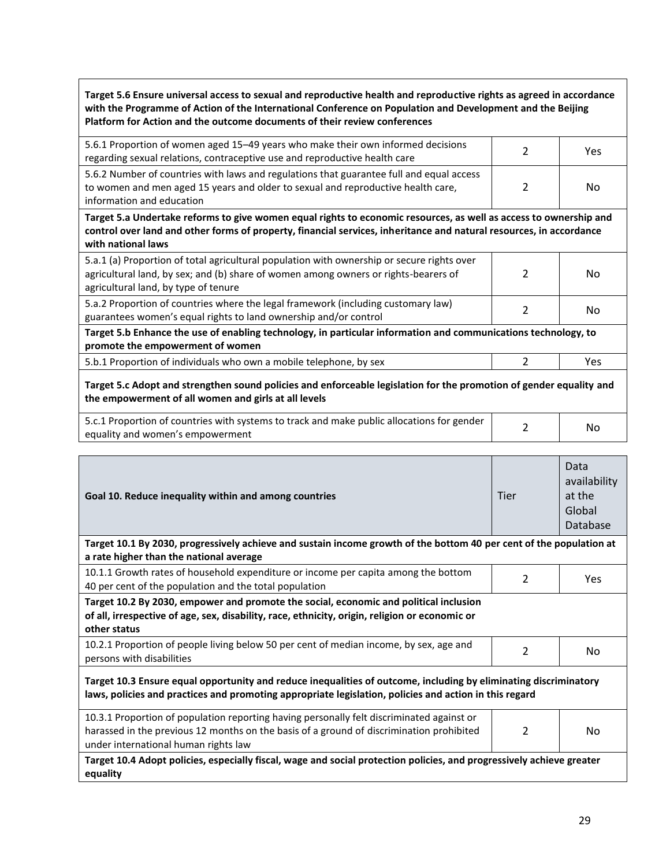**Target 5.6 Ensure universal access to sexual and reproductive health and reproductive rights as agreed in accordance with the Programme of Action of the International Conference on Population and Development and the Beijing Platform for Action and the outcome documents of their review conferences**

| 5.6.1 Proportion of women aged 15–49 years who make their own informed decisions<br>regarding sexual relations, contraceptive use and reproductive health care                                            | Yes |
|-----------------------------------------------------------------------------------------------------------------------------------------------------------------------------------------------------------|-----|
| 5.6.2 Number of countries with laws and regulations that guarantee full and equal access<br>to women and men aged 15 years and older to sexual and reproductive health care,<br>information and education | No  |

**Target 5.a Undertake reforms to give women equal rights to economic resources, as well as access to ownership and control over land and other forms of property, financial services, inheritance and natural resources, in accordance with national laws**

| Target E. h. Enhance the use of enabling technology, in norticular information and communications technology to |    |
|-----------------------------------------------------------------------------------------------------------------|----|
| guarantees women's equal rights to land ownership and/or control                                                |    |
| 5.a.2 Proportion of countries where the legal framework (including customary law)                               | No |
| agricultural land, by type of tenure                                                                            |    |
| agricultural land, by sex; and (b) share of women among owners or rights-bearers of                             | No |
| 5.a.1 (a) Proportion of total agricultural population with ownership or secure rights over                      |    |

**Target 5.b Enhance the use of enabling technology, in particular information and communications technology, to promote the empowerment of women**

5.b.1 Proportion of individuals who own a mobile telephone, by sex 2 Yes

### **Target 5.c Adopt and strengthen sound policies and enforceable legislation for the promotion of gender equality and the empowerment of all women and girls at all levels**

| 5.c.1 Proportion of countries with systems to track and make public allocations for gender | Nα |
|--------------------------------------------------------------------------------------------|----|
| equality and women's empowerment                                                           |    |

| Goal 10. Reduce inequality within and among countries                                                                                                                                                                         | Tier           | Data<br>availability<br>at the<br>Global<br>Database |  |
|-------------------------------------------------------------------------------------------------------------------------------------------------------------------------------------------------------------------------------|----------------|------------------------------------------------------|--|
| Target 10.1 By 2030, progressively achieve and sustain income growth of the bottom 40 per cent of the population at<br>a rate higher than the national average                                                                |                |                                                      |  |
| 10.1.1 Growth rates of household expenditure or income per capita among the bottom<br>40 per cent of the population and the total population                                                                                  | 2              | Yes                                                  |  |
| Target 10.2 By 2030, empower and promote the social, economic and political inclusion<br>of all, irrespective of age, sex, disability, race, ethnicity, origin, religion or economic or<br>other status                       |                |                                                      |  |
| 10.2.1 Proportion of people living below 50 per cent of median income, by sex, age and<br>persons with disabilities                                                                                                           | 2              | No                                                   |  |
| Target 10.3 Ensure equal opportunity and reduce inequalities of outcome, including by eliminating discriminatory<br>laws, policies and practices and promoting appropriate legislation, policies and action in this regard    |                |                                                      |  |
| 10.3.1 Proportion of population reporting having personally felt discriminated against or<br>harassed in the previous 12 months on the basis of a ground of discrimination prohibited<br>under international human rights law | $\mathfrak{p}$ | No                                                   |  |
| Target 10.4 Adopt policies, especially fiscal, wage and social protection policies, and progressively achieve greater<br>equality                                                                                             |                |                                                      |  |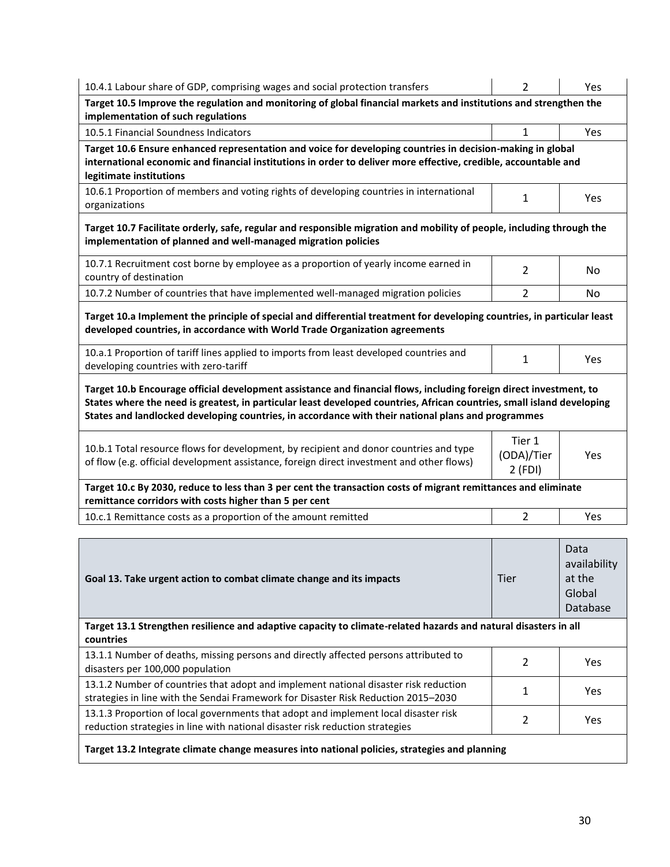| 10.4.1 Labour share of GDP, comprising wages and social protection transfers                                                                                                                                                                                                                                                                       | 2                                                                                                                                                                                                                             | Yes                                                  |  |
|----------------------------------------------------------------------------------------------------------------------------------------------------------------------------------------------------------------------------------------------------------------------------------------------------------------------------------------------------|-------------------------------------------------------------------------------------------------------------------------------------------------------------------------------------------------------------------------------|------------------------------------------------------|--|
| Target 10.5 Improve the regulation and monitoring of global financial markets and institutions and strengthen the<br>implementation of such regulations                                                                                                                                                                                            |                                                                                                                                                                                                                               |                                                      |  |
| 10.5.1 Financial Soundness Indicators                                                                                                                                                                                                                                                                                                              | $\mathbf{1}$                                                                                                                                                                                                                  | Yes                                                  |  |
| legitimate institutions                                                                                                                                                                                                                                                                                                                            | Target 10.6 Ensure enhanced representation and voice for developing countries in decision-making in global<br>international economic and financial institutions in order to deliver more effective, credible, accountable and |                                                      |  |
| 10.6.1 Proportion of members and voting rights of developing countries in international<br>organizations                                                                                                                                                                                                                                           | $\mathbf{1}$                                                                                                                                                                                                                  | Yes                                                  |  |
| Target 10.7 Facilitate orderly, safe, regular and responsible migration and mobility of people, including through the<br>implementation of planned and well-managed migration policies                                                                                                                                                             |                                                                                                                                                                                                                               |                                                      |  |
| 10.7.1 Recruitment cost borne by employee as a proportion of yearly income earned in<br>country of destination                                                                                                                                                                                                                                     | 2                                                                                                                                                                                                                             | No                                                   |  |
| 10.7.2 Number of countries that have implemented well-managed migration policies                                                                                                                                                                                                                                                                   | $\overline{2}$                                                                                                                                                                                                                | No                                                   |  |
| developed countries, in accordance with World Trade Organization agreements                                                                                                                                                                                                                                                                        | Target 10.a Implement the principle of special and differential treatment for developing countries, in particular least                                                                                                       |                                                      |  |
| 10.a.1 Proportion of tariff lines applied to imports from least developed countries and<br>developing countries with zero-tariff                                                                                                                                                                                                                   | 1                                                                                                                                                                                                                             | Yes                                                  |  |
| Target 10.b Encourage official development assistance and financial flows, including foreign direct investment, to<br>States where the need is greatest, in particular least developed countries, African countries, small island developing<br>States and landlocked developing countries, in accordance with their national plans and programmes |                                                                                                                                                                                                                               |                                                      |  |
| 10.b.1 Total resource flows for development, by recipient and donor countries and type<br>of flow (e.g. official development assistance, foreign direct investment and other flows)                                                                                                                                                                | Tier 1<br>(ODA)/Tier<br>$2$ (FDI)                                                                                                                                                                                             | Yes                                                  |  |
| Target 10.c By 2030, reduce to less than 3 per cent the transaction costs of migrant remittances and eliminate<br>remittance corridors with costs higher than 5 per cent                                                                                                                                                                           |                                                                                                                                                                                                                               |                                                      |  |
| 10.c.1 Remittance costs as a proportion of the amount remitted                                                                                                                                                                                                                                                                                     | $\overline{2}$                                                                                                                                                                                                                | Yes                                                  |  |
| Goal 13. Take urgent action to combat climate change and its impacts                                                                                                                                                                                                                                                                               | Tier                                                                                                                                                                                                                          | Data<br>availability<br>at the<br>Global<br>Database |  |
| Target 13.1 Strengthen resilience and adaptive capacity to climate-related hazards and natural disasters in all<br>countries                                                                                                                                                                                                                       |                                                                                                                                                                                                                               |                                                      |  |
| 13.1.1 Number of deaths, missing persons and directly affected persons attributed to<br>disasters per 100,000 population                                                                                                                                                                                                                           | $\overline{2}$                                                                                                                                                                                                                | Yes                                                  |  |
| 13.1.2 Number of countries that adopt and implement national disaster risk reduction<br>strategies in line with the Sendai Framework for Disaster Risk Reduction 2015-2030                                                                                                                                                                         | $\mathbf{1}$                                                                                                                                                                                                                  | Yes                                                  |  |
| 13.1.3 Proportion of local governments that adopt and implement local disaster risk<br>reduction strategies in line with national disaster risk reduction strategies                                                                                                                                                                               | $\overline{2}$                                                                                                                                                                                                                | Yes                                                  |  |
| Target 13.2 Integrate climate change measures into national policies, strategies and planning                                                                                                                                                                                                                                                      |                                                                                                                                                                                                                               |                                                      |  |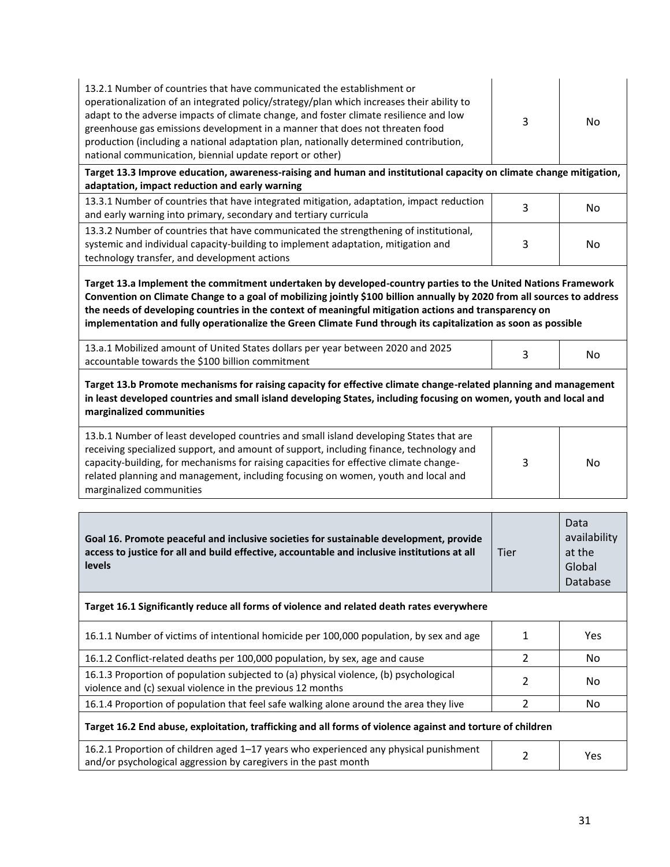| 13.2.1 Number of countries that have communicated the establishment or<br>operationalization of an integrated policy/strategy/plan which increases their ability to<br>adapt to the adverse impacts of climate change, and foster climate resilience and low<br>greenhouse gas emissions development in a manner that does not threaten food<br>production (including a national adaptation plan, nationally determined contribution,<br>national communication, biennial update report or other) |  | No |
|---------------------------------------------------------------------------------------------------------------------------------------------------------------------------------------------------------------------------------------------------------------------------------------------------------------------------------------------------------------------------------------------------------------------------------------------------------------------------------------------------|--|----|
|---------------------------------------------------------------------------------------------------------------------------------------------------------------------------------------------------------------------------------------------------------------------------------------------------------------------------------------------------------------------------------------------------------------------------------------------------------------------------------------------------|--|----|

**Target 13.3 Improve education, awareness-raising and human and institutional capacity on climate change mitigation, adaptation, impact reduction and early warning**

| 13.3.1 Number of countries that have integrated mitigation, adaptation, impact reduction<br>and early warning into primary, secondary and tertiary curricula               | Nο |
|----------------------------------------------------------------------------------------------------------------------------------------------------------------------------|----|
| 13.3.2 Number of countries that have communicated the strengthening of institutional,<br>systemic and individual capacity-building to implement adaptation, mitigation and | No |
| technology transfer, and development actions                                                                                                                               |    |

**Target 13.a Implement the commitment undertaken by developed-country parties to the United Nations Framework Convention on Climate Change to a goal of mobilizing jointly \$100 billion annually by 2020 from all sources to address the needs of developing countries in the context of meaningful mitigation actions and transparency on implementation and fully operationalize the Green Climate Fund through its capitalization as soon as possible**

| 13.a.1 Mobilized amount of United States dollars per year between 2020 and 2025 | No |
|---------------------------------------------------------------------------------|----|
| accountable towards the \$100 billion commitment                                |    |

**Target 13.b Promote mechanisms for raising capacity for effective climate change-related planning and management in least developed countries and small island developing States, including focusing on women, youth and local and marginalized communities**

| 13.b.1 Number of least developed countries and small island developing States that are<br>receiving specialized support, and amount of support, including finance, technology and<br>capacity-building, for mechanisms for raising capacities for effective climate change-<br>related planning and management, including focusing on women, youth and local and<br>marginalized communities | No |
|----------------------------------------------------------------------------------------------------------------------------------------------------------------------------------------------------------------------------------------------------------------------------------------------------------------------------------------------------------------------------------------------|----|

| Goal 16. Promote peaceful and inclusive societies for sustainable development, provide<br>access to justice for all and build effective, accountable and inclusive institutions at all<br><b>levels</b> | Tier           | Data<br>availability<br>at the<br>Global<br>Database |
|---------------------------------------------------------------------------------------------------------------------------------------------------------------------------------------------------------|----------------|------------------------------------------------------|
| Target 16.1 Significantly reduce all forms of violence and related death rates everywhere                                                                                                               |                |                                                      |
| 16.1.1 Number of victims of intentional homicide per 100,000 population, by sex and age                                                                                                                 |                | <b>Yes</b>                                           |
| 16.1.2 Conflict-related deaths per 100,000 population, by sex, age and cause                                                                                                                            |                | No.                                                  |
| 16.1.3 Proportion of population subjected to (a) physical violence, (b) psychological<br>violence and (c) sexual violence in the previous 12 months                                                     | 2              | No.                                                  |
| 16.1.4 Proportion of population that feel safe walking alone around the area they live                                                                                                                  | $\mathfrak{p}$ | No.                                                  |
| Target 16.2 End abuse, exploitation, trafficking and all forms of violence against and torture of children                                                                                              |                |                                                      |
| 16.2.1 Proportion of children aged 1–17 years who experienced any physical punishment<br>and/or psychological aggression by caregivers in the past month                                                | 2              | Yes                                                  |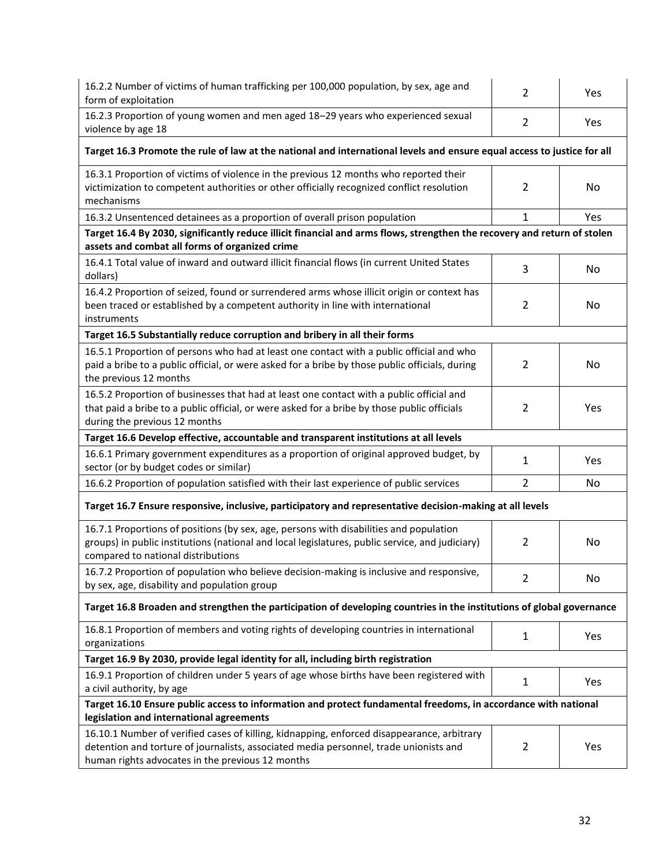| 16.2.2 Number of victims of human trafficking per 100,000 population, by sex, age and<br>form of exploitation                                                                                                                                                    | 2              | Yes |  |  |
|------------------------------------------------------------------------------------------------------------------------------------------------------------------------------------------------------------------------------------------------------------------|----------------|-----|--|--|
| 16.2.3 Proportion of young women and men aged 18-29 years who experienced sexual<br>violence by age 18                                                                                                                                                           | $\overline{2}$ | Yes |  |  |
| Target 16.3 Promote the rule of law at the national and international levels and ensure equal access to justice for all                                                                                                                                          |                |     |  |  |
| 16.3.1 Proportion of victims of violence in the previous 12 months who reported their<br>victimization to competent authorities or other officially recognized conflict resolution<br>mechanisms                                                                 | 2              | No  |  |  |
| 16.3.2 Unsentenced detainees as a proportion of overall prison population                                                                                                                                                                                        | 1              | Yes |  |  |
| Target 16.4 By 2030, significantly reduce illicit financial and arms flows, strengthen the recovery and return of stolen<br>assets and combat all forms of organized crime                                                                                       |                |     |  |  |
| 16.4.1 Total value of inward and outward illicit financial flows (in current United States<br>dollars)                                                                                                                                                           | 3              | No  |  |  |
| 16.4.2 Proportion of seized, found or surrendered arms whose illicit origin or context has<br>been traced or established by a competent authority in line with international<br>instruments                                                                      | $\overline{2}$ | No  |  |  |
| Target 16.5 Substantially reduce corruption and bribery in all their forms                                                                                                                                                                                       |                |     |  |  |
| 16.5.1 Proportion of persons who had at least one contact with a public official and who<br>paid a bribe to a public official, or were asked for a bribe by those public officials, during<br>the previous 12 months                                             | 2              | No  |  |  |
| 16.5.2 Proportion of businesses that had at least one contact with a public official and<br>that paid a bribe to a public official, or were asked for a bribe by those public officials<br>during the previous 12 months                                         | 2              | Yes |  |  |
| Target 16.6 Develop effective, accountable and transparent institutions at all levels                                                                                                                                                                            |                |     |  |  |
| 16.6.1 Primary government expenditures as a proportion of original approved budget, by<br>sector (or by budget codes or similar)                                                                                                                                 | 1              | Yes |  |  |
| 16.6.2 Proportion of population satisfied with their last experience of public services                                                                                                                                                                          | 2              | No  |  |  |
| Target 16.7 Ensure responsive, inclusive, participatory and representative decision-making at all levels                                                                                                                                                         |                |     |  |  |
| 16.7.1 Proportions of positions (by sex, age, persons with disabilities and population<br>groups) in public institutions (national and local legislatures, public service, and judiciary)<br>compared to national distributions                                  | $\overline{2}$ | No  |  |  |
| 16.7.2 Proportion of population who believe decision-making is inclusive and responsive,<br>by sex, age, disability and population group                                                                                                                         | $\overline{2}$ | No  |  |  |
| Target 16.8 Broaden and strengthen the participation of developing countries in the institutions of global governance                                                                                                                                            |                |     |  |  |
| 16.8.1 Proportion of members and voting rights of developing countries in international<br>organizations                                                                                                                                                         | $\mathbf{1}$   | Yes |  |  |
| Target 16.9 By 2030, provide legal identity for all, including birth registration                                                                                                                                                                                |                |     |  |  |
| 16.9.1 Proportion of children under 5 years of age whose births have been registered with<br>a civil authority, by age                                                                                                                                           | $\mathbf{1}$   | Yes |  |  |
| Target 16.10 Ensure public access to information and protect fundamental freedoms, in accordance with national<br>legislation and international agreements                                                                                                       |                |     |  |  |
| 16.10.1 Number of verified cases of killing, kidnapping, enforced disappearance, arbitrary<br>detention and torture of journalists, associated media personnel, trade unionists and<br>$\overline{2}$<br>Yes<br>human rights advocates in the previous 12 months |                |     |  |  |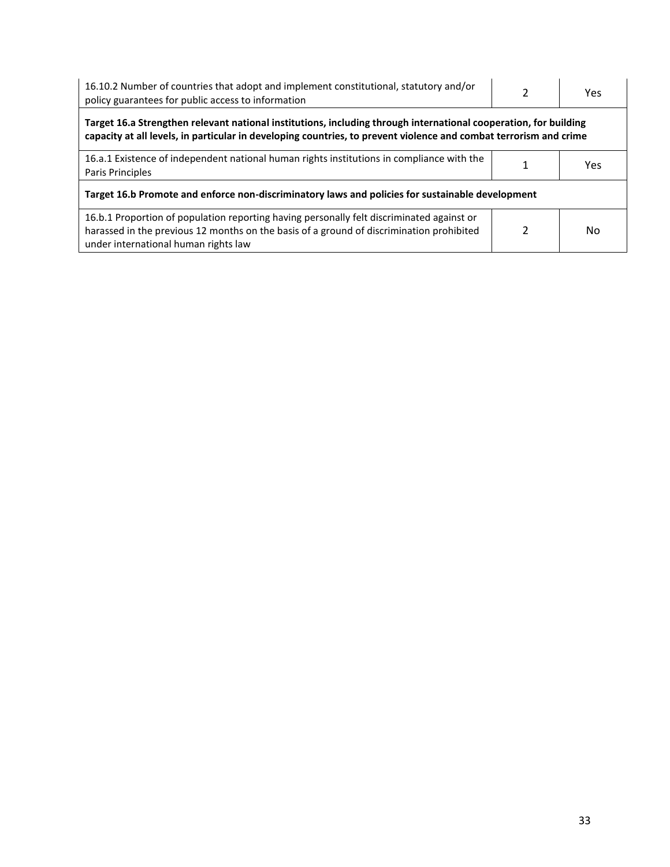| 16.10.2 Number of countries that adopt and implement constitutional, statutory and/or<br>policy guarantees for public access to information                                                                                           |  | Yes |  |  |
|---------------------------------------------------------------------------------------------------------------------------------------------------------------------------------------------------------------------------------------|--|-----|--|--|
| Target 16.a Strengthen relevant national institutions, including through international cooperation, for building<br>capacity at all levels, in particular in developing countries, to prevent violence and combat terrorism and crime |  |     |  |  |
| 16.a.1 Existence of independent national human rights institutions in compliance with the<br>Paris Principles                                                                                                                         |  | Yes |  |  |
| Target 16.b Promote and enforce non-discriminatory laws and policies for sustainable development                                                                                                                                      |  |     |  |  |
| 16.b.1 Proportion of population reporting having personally felt discriminated against or<br>harassed in the previous 12 months on the basis of a ground of discrimination prohibited<br>under international human rights law         |  | No  |  |  |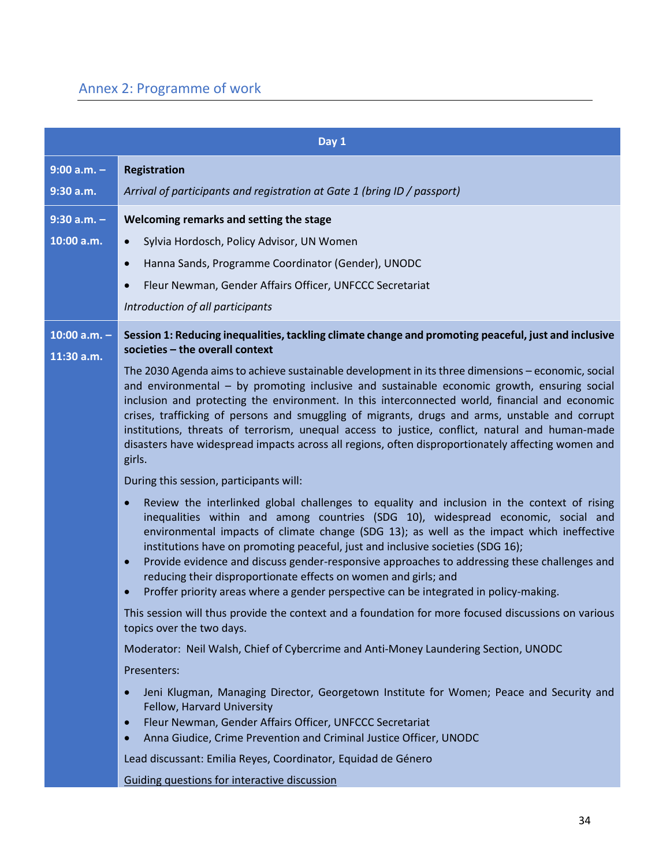# Annex 2: Programme of work

|                              | Day 1                                                                                                                                                                                                                                                                                                                                                                                                                                                                                                                                                                                                                                                               |  |  |
|------------------------------|---------------------------------------------------------------------------------------------------------------------------------------------------------------------------------------------------------------------------------------------------------------------------------------------------------------------------------------------------------------------------------------------------------------------------------------------------------------------------------------------------------------------------------------------------------------------------------------------------------------------------------------------------------------------|--|--|
| $9:00 a.m. -$                | <b>Registration</b>                                                                                                                                                                                                                                                                                                                                                                                                                                                                                                                                                                                                                                                 |  |  |
| 9:30 a.m.                    | Arrival of participants and registration at Gate 1 (bring ID / passport)                                                                                                                                                                                                                                                                                                                                                                                                                                                                                                                                                                                            |  |  |
| $9:30$ a.m. $-$              | Welcoming remarks and setting the stage                                                                                                                                                                                                                                                                                                                                                                                                                                                                                                                                                                                                                             |  |  |
| 10:00 a.m.                   | Sylvia Hordosch, Policy Advisor, UN Women<br>$\bullet$                                                                                                                                                                                                                                                                                                                                                                                                                                                                                                                                                                                                              |  |  |
|                              | Hanna Sands, Programme Coordinator (Gender), UNODC<br>$\bullet$                                                                                                                                                                                                                                                                                                                                                                                                                                                                                                                                                                                                     |  |  |
|                              | Fleur Newman, Gender Affairs Officer, UNFCCC Secretariat                                                                                                                                                                                                                                                                                                                                                                                                                                                                                                                                                                                                            |  |  |
|                              | Introduction of all participants                                                                                                                                                                                                                                                                                                                                                                                                                                                                                                                                                                                                                                    |  |  |
| 10:00 $a.m. -$<br>11:30 a.m. | Session 1: Reducing inequalities, tackling climate change and promoting peaceful, just and inclusive<br>societies - the overall context                                                                                                                                                                                                                                                                                                                                                                                                                                                                                                                             |  |  |
|                              | The 2030 Agenda aims to achieve sustainable development in its three dimensions - economic, social<br>and environmental - by promoting inclusive and sustainable economic growth, ensuring social<br>inclusion and protecting the environment. In this interconnected world, financial and economic<br>crises, trafficking of persons and smuggling of migrants, drugs and arms, unstable and corrupt<br>institutions, threats of terrorism, unequal access to justice, conflict, natural and human-made<br>disasters have widespread impacts across all regions, often disproportionately affecting women and<br>girls.                                            |  |  |
|                              | During this session, participants will:                                                                                                                                                                                                                                                                                                                                                                                                                                                                                                                                                                                                                             |  |  |
|                              | Review the interlinked global challenges to equality and inclusion in the context of rising<br>$\bullet$<br>inequalities within and among countries (SDG 10), widespread economic, social and<br>environmental impacts of climate change (SDG 13); as well as the impact which ineffective<br>institutions have on promoting peaceful, just and inclusive societies (SDG 16);<br>Provide evidence and discuss gender-responsive approaches to addressing these challenges and<br>$\bullet$<br>reducing their disproportionate effects on women and girls; and<br>Proffer priority areas where a gender perspective can be integrated in policy-making.<br>$\bullet$ |  |  |
|                              | This session will thus provide the context and a foundation for more focused discussions on various<br>topics over the two days.                                                                                                                                                                                                                                                                                                                                                                                                                                                                                                                                    |  |  |
|                              | Moderator: Neil Walsh, Chief of Cybercrime and Anti-Money Laundering Section, UNODC                                                                                                                                                                                                                                                                                                                                                                                                                                                                                                                                                                                 |  |  |
|                              | Presenters:                                                                                                                                                                                                                                                                                                                                                                                                                                                                                                                                                                                                                                                         |  |  |
|                              | Jeni Klugman, Managing Director, Georgetown Institute for Women; Peace and Security and<br>$\bullet$<br>Fellow, Harvard University<br>Fleur Newman, Gender Affairs Officer, UNFCCC Secretariat<br>$\bullet$<br>Anna Giudice, Crime Prevention and Criminal Justice Officer, UNODC<br>$\bullet$                                                                                                                                                                                                                                                                                                                                                                      |  |  |
|                              | Lead discussant: Emilia Reyes, Coordinator, Equidad de Género                                                                                                                                                                                                                                                                                                                                                                                                                                                                                                                                                                                                       |  |  |
|                              | Guiding questions for interactive discussion                                                                                                                                                                                                                                                                                                                                                                                                                                                                                                                                                                                                                        |  |  |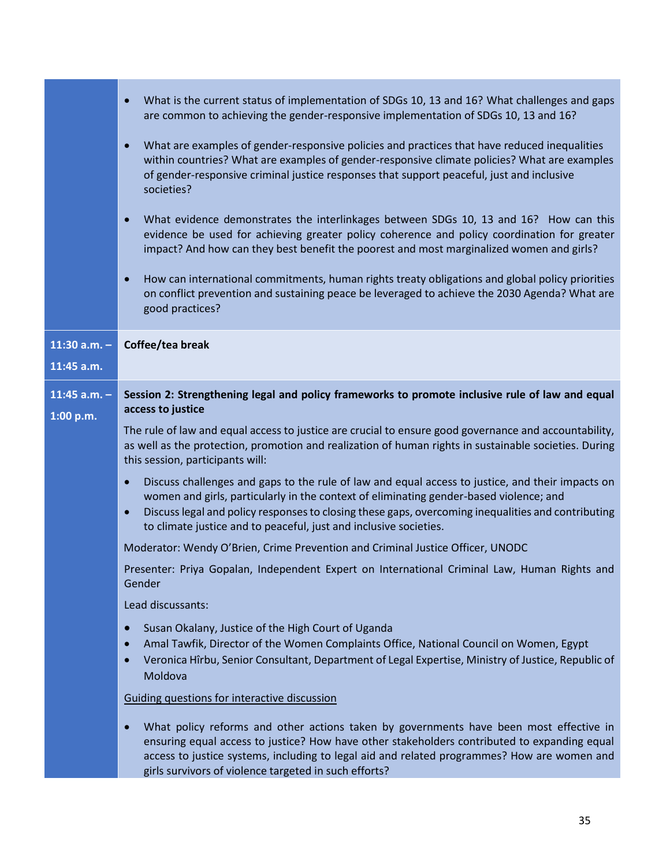|                             | What is the current status of implementation of SDGs 10, 13 and 16? What challenges and gaps<br>$\bullet$<br>are common to achieving the gender-responsive implementation of SDGs 10, 13 and 16?                                                                                                                                                                                                |  |  |
|-----------------------------|-------------------------------------------------------------------------------------------------------------------------------------------------------------------------------------------------------------------------------------------------------------------------------------------------------------------------------------------------------------------------------------------------|--|--|
|                             | What are examples of gender-responsive policies and practices that have reduced inequalities<br>$\bullet$<br>within countries? What are examples of gender-responsive climate policies? What are examples<br>of gender-responsive criminal justice responses that support peaceful, just and inclusive<br>societies?                                                                            |  |  |
|                             | What evidence demonstrates the interlinkages between SDGs 10, 13 and 16? How can this<br>$\bullet$<br>evidence be used for achieving greater policy coherence and policy coordination for greater<br>impact? And how can they best benefit the poorest and most marginalized women and girls?                                                                                                   |  |  |
|                             | How can international commitments, human rights treaty obligations and global policy priorities<br>$\bullet$<br>on conflict prevention and sustaining peace be leveraged to achieve the 2030 Agenda? What are<br>good practices?                                                                                                                                                                |  |  |
| 11:30 $a.m. -$              | Coffee/tea break                                                                                                                                                                                                                                                                                                                                                                                |  |  |
| 11:45 a.m.                  |                                                                                                                                                                                                                                                                                                                                                                                                 |  |  |
| 11:45 $a.m. -$<br>1:00 p.m. | Session 2: Strengthening legal and policy frameworks to promote inclusive rule of law and equal<br>access to justice                                                                                                                                                                                                                                                                            |  |  |
|                             | The rule of law and equal access to justice are crucial to ensure good governance and accountability,<br>as well as the protection, promotion and realization of human rights in sustainable societies. During<br>this session, participants will:                                                                                                                                              |  |  |
|                             | Discuss challenges and gaps to the rule of law and equal access to justice, and their impacts on<br>$\bullet$<br>women and girls, particularly in the context of eliminating gender-based violence; and<br>Discuss legal and policy responses to closing these gaps, overcoming inequalities and contributing<br>$\bullet$<br>to climate justice and to peaceful, just and inclusive societies. |  |  |
|                             | Moderator: Wendy O'Brien, Crime Prevention and Criminal Justice Officer, UNODC                                                                                                                                                                                                                                                                                                                  |  |  |
|                             | Presenter: Priya Gopalan, Independent Expert on International Criminal Law, Human Rights and<br>Gender                                                                                                                                                                                                                                                                                          |  |  |
|                             | Lead discussants:                                                                                                                                                                                                                                                                                                                                                                               |  |  |
|                             | Susan Okalany, Justice of the High Court of Uganda<br>$\bullet$<br>Amal Tawfik, Director of the Women Complaints Office, National Council on Women, Egypt<br>$\bullet$<br>Veronica Hîrbu, Senior Consultant, Department of Legal Expertise, Ministry of Justice, Republic of<br>$\bullet$<br>Moldova                                                                                            |  |  |
|                             | Guiding questions for interactive discussion                                                                                                                                                                                                                                                                                                                                                    |  |  |
|                             | What policy reforms and other actions taken by governments have been most effective in<br>$\bullet$<br>ensuring equal access to justice? How have other stakeholders contributed to expanding equal<br>access to justice systems, including to legal aid and related programmes? How are women and<br>girls survivors of violence targeted in such efforts?                                     |  |  |

T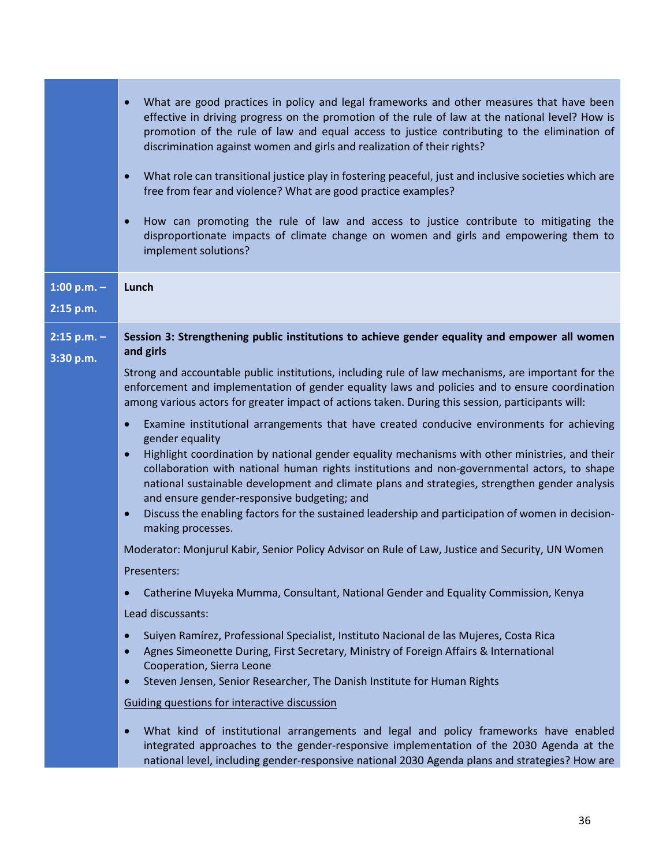| What are good practices in policy and legal frameworks and other measures that have been<br>effective in driving progress on the promotion of the rule of law at the national level? How is<br>promotion of the rule of law and equal access to justice contributing to the elimination of<br>discrimination against women and girls and realization of their rights?<br>What role can transitional justice play in fostering peaceful, just and inclusive societies which are<br>$\bullet$<br>free from fear and violence? What are good practice examples?<br>How can promoting the rule of law and access to justice contribute to mitigating the<br>$\bullet$<br>disproportionate impacts of climate change on women and girls and empowering them to<br>implement solutions?                                                                                                                                                                                                                                                                                                                                                                                                                                                                                                                                                                                                                                                                                                                                                                                                                                                                                                                                                              |
|------------------------------------------------------------------------------------------------------------------------------------------------------------------------------------------------------------------------------------------------------------------------------------------------------------------------------------------------------------------------------------------------------------------------------------------------------------------------------------------------------------------------------------------------------------------------------------------------------------------------------------------------------------------------------------------------------------------------------------------------------------------------------------------------------------------------------------------------------------------------------------------------------------------------------------------------------------------------------------------------------------------------------------------------------------------------------------------------------------------------------------------------------------------------------------------------------------------------------------------------------------------------------------------------------------------------------------------------------------------------------------------------------------------------------------------------------------------------------------------------------------------------------------------------------------------------------------------------------------------------------------------------------------------------------------------------------------------------------------------------|
| Lunch                                                                                                                                                                                                                                                                                                                                                                                                                                                                                                                                                                                                                                                                                                                                                                                                                                                                                                                                                                                                                                                                                                                                                                                                                                                                                                                                                                                                                                                                                                                                                                                                                                                                                                                                          |
| Session 3: Strengthening public institutions to achieve gender equality and empower all women<br>and girls                                                                                                                                                                                                                                                                                                                                                                                                                                                                                                                                                                                                                                                                                                                                                                                                                                                                                                                                                                                                                                                                                                                                                                                                                                                                                                                                                                                                                                                                                                                                                                                                                                     |
| Strong and accountable public institutions, including rule of law mechanisms, are important for the<br>enforcement and implementation of gender equality laws and policies and to ensure coordination<br>among various actors for greater impact of actions taken. During this session, participants will:<br>Examine institutional arrangements that have created conducive environments for achieving<br>$\bullet$<br>gender equality<br>Highlight coordination by national gender equality mechanisms with other ministries, and their<br>collaboration with national human rights institutions and non-governmental actors, to shape<br>national sustainable development and climate plans and strategies, strengthen gender analysis<br>and ensure gender-responsive budgeting; and<br>Discuss the enabling factors for the sustained leadership and participation of women in decision-<br>$\bullet$<br>making processes.<br>Moderator: Monjurul Kabir, Senior Policy Advisor on Rule of Law, Justice and Security, UN Women<br>Presenters:<br>Catherine Muyeka Mumma, Consultant, National Gender and Equality Commission, Kenya<br>$\bullet$<br>Lead discussants:<br>Suiyen Ramírez, Professional Specialist, Instituto Nacional de las Mujeres, Costa Rica<br>$\bullet$<br>Agnes Simeonette During, First Secretary, Ministry of Foreign Affairs & International<br>Cooperation, Sierra Leone<br>Steven Jensen, Senior Researcher, The Danish Institute for Human Rights<br>$\bullet$<br>Guiding questions for interactive discussion<br>What kind of institutional arrangements and legal and policy frameworks have enabled<br>$\bullet$<br>integrated approaches to the gender-responsive implementation of the 2030 Agenda at the |
|                                                                                                                                                                                                                                                                                                                                                                                                                                                                                                                                                                                                                                                                                                                                                                                                                                                                                                                                                                                                                                                                                                                                                                                                                                                                                                                                                                                                                                                                                                                                                                                                                                                                                                                                                |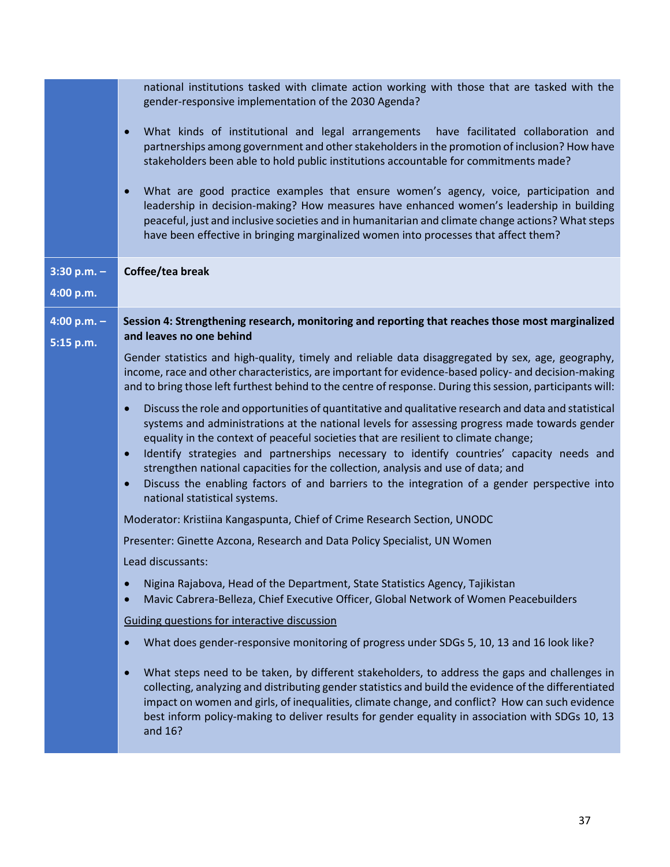|                            | national institutions tasked with climate action working with those that are tasked with the<br>gender-responsive implementation of the 2030 Agenda?                                                                                                                                                                                                                                                                                                                                                                                                                                                                                                 |
|----------------------------|------------------------------------------------------------------------------------------------------------------------------------------------------------------------------------------------------------------------------------------------------------------------------------------------------------------------------------------------------------------------------------------------------------------------------------------------------------------------------------------------------------------------------------------------------------------------------------------------------------------------------------------------------|
|                            | What kinds of institutional and legal arrangements have facilitated collaboration and<br>$\bullet$<br>partnerships among government and other stakeholders in the promotion of inclusion? How have<br>stakeholders been able to hold public institutions accountable for commitments made?                                                                                                                                                                                                                                                                                                                                                           |
|                            | What are good practice examples that ensure women's agency, voice, participation and<br>leadership in decision-making? How measures have enhanced women's leadership in building<br>peaceful, just and inclusive societies and in humanitarian and climate change actions? What steps<br>have been effective in bringing marginalized women into processes that affect them?                                                                                                                                                                                                                                                                         |
| $3:30 p.m. -$<br>4:00 p.m. | Coffee/tea break                                                                                                                                                                                                                                                                                                                                                                                                                                                                                                                                                                                                                                     |
| 4:00 p.m. $-$<br>5:15 p.m. | Session 4: Strengthening research, monitoring and reporting that reaches those most marginalized<br>and leaves no one behind                                                                                                                                                                                                                                                                                                                                                                                                                                                                                                                         |
|                            | Gender statistics and high-quality, timely and reliable data disaggregated by sex, age, geography,<br>income, race and other characteristics, are important for evidence-based policy- and decision-making<br>and to bring those left furthest behind to the centre of response. During this session, participants will:                                                                                                                                                                                                                                                                                                                             |
|                            | Discuss the role and opportunities of quantitative and qualitative research and data and statistical<br>$\bullet$<br>systems and administrations at the national levels for assessing progress made towards gender<br>equality in the context of peaceful societies that are resilient to climate change;<br>Identify strategies and partnerships necessary to identify countries' capacity needs and<br>$\bullet$<br>strengthen national capacities for the collection, analysis and use of data; and<br>Discuss the enabling factors of and barriers to the integration of a gender perspective into<br>$\bullet$<br>national statistical systems. |
|                            | Moderator: Kristiina Kangaspunta, Chief of Crime Research Section, UNODC                                                                                                                                                                                                                                                                                                                                                                                                                                                                                                                                                                             |
|                            | Presenter: Ginette Azcona, Research and Data Policy Specialist, UN Women                                                                                                                                                                                                                                                                                                                                                                                                                                                                                                                                                                             |
|                            | Lead discussants:                                                                                                                                                                                                                                                                                                                                                                                                                                                                                                                                                                                                                                    |
|                            | Nigina Rajabova, Head of the Department, State Statistics Agency, Tajikistan<br>$\bullet$<br>Mavic Cabrera-Belleza, Chief Executive Officer, Global Network of Women Peacebuilders<br>$\bullet$                                                                                                                                                                                                                                                                                                                                                                                                                                                      |
|                            | Guiding questions for interactive discussion                                                                                                                                                                                                                                                                                                                                                                                                                                                                                                                                                                                                         |
|                            | What does gender-responsive monitoring of progress under SDGs 5, 10, 13 and 16 look like?                                                                                                                                                                                                                                                                                                                                                                                                                                                                                                                                                            |
|                            | What steps need to be taken, by different stakeholders, to address the gaps and challenges in<br>$\bullet$<br>collecting, analyzing and distributing gender statistics and build the evidence of the differentiated<br>impact on women and girls, of inequalities, climate change, and conflict? How can such evidence<br>best inform policy-making to deliver results for gender equality in association with SDGs 10, 13<br>and 16?                                                                                                                                                                                                                |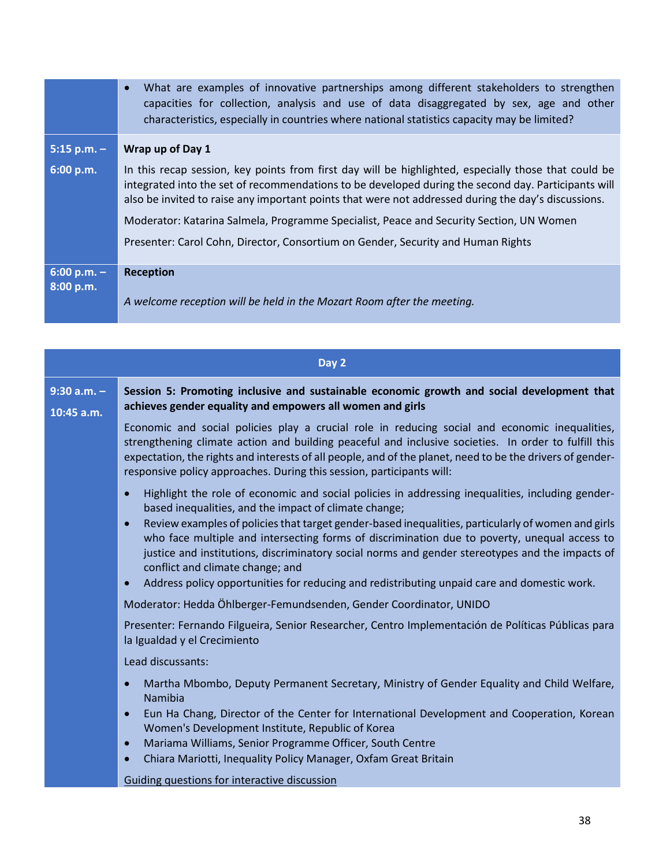|                            | What are examples of innovative partnerships among different stakeholders to strengthen<br>$\bullet$<br>capacities for collection, analysis and use of data disaggregated by sex, age and other<br>characteristics, especially in countries where national statistics capacity may be limited?                                                                                                                                                                                                    |
|----------------------------|---------------------------------------------------------------------------------------------------------------------------------------------------------------------------------------------------------------------------------------------------------------------------------------------------------------------------------------------------------------------------------------------------------------------------------------------------------------------------------------------------|
| $5:15$ p.m. -              | Wrap up of Day 1                                                                                                                                                                                                                                                                                                                                                                                                                                                                                  |
| 6:00 p.m.                  | In this recap session, key points from first day will be highlighted, especially those that could be<br>integrated into the set of recommendations to be developed during the second day. Participants will<br>also be invited to raise any important points that were not addressed during the day's discussions.<br>Moderator: Katarina Salmela, Programme Specialist, Peace and Security Section, UN Women<br>Presenter: Carol Cohn, Director, Consortium on Gender, Security and Human Rights |
| $6:00 p.m. -$<br>8:00 p.m. | <b>Reception</b>                                                                                                                                                                                                                                                                                                                                                                                                                                                                                  |
|                            | A welcome reception will be held in the Mozart Room after the meeting.                                                                                                                                                                                                                                                                                                                                                                                                                            |

|                                 | Day 2                                                                                                                                                                                                                                                                                                                                                                                        |
|---------------------------------|----------------------------------------------------------------------------------------------------------------------------------------------------------------------------------------------------------------------------------------------------------------------------------------------------------------------------------------------------------------------------------------------|
| $9:30$ a.m. $-$<br>$10:45$ a.m. | Session 5: Promoting inclusive and sustainable economic growth and social development that<br>achieves gender equality and empowers all women and girls                                                                                                                                                                                                                                      |
|                                 | Economic and social policies play a crucial role in reducing social and economic inequalities,<br>strengthening climate action and building peaceful and inclusive societies. In order to fulfill this<br>expectation, the rights and interests of all people, and of the planet, need to be the drivers of gender-<br>responsive policy approaches. During this session, participants will: |
|                                 | Highlight the role of economic and social policies in addressing inequalities, including gender-<br>$\bullet$<br>based inequalities, and the impact of climate change;                                                                                                                                                                                                                       |
|                                 | Review examples of policies that target gender-based inequalities, particularly of women and girls<br>$\bullet$<br>who face multiple and intersecting forms of discrimination due to poverty, unequal access to<br>justice and institutions, discriminatory social norms and gender stereotypes and the impacts of<br>conflict and climate change; and                                       |
|                                 | Address policy opportunities for reducing and redistributing unpaid care and domestic work.<br>$\bullet$                                                                                                                                                                                                                                                                                     |
|                                 | Moderator: Hedda Öhlberger-Femundsenden, Gender Coordinator, UNIDO                                                                                                                                                                                                                                                                                                                           |
|                                 | Presenter: Fernando Filgueira, Senior Researcher, Centro Implementación de Políticas Públicas para<br>la Igualdad y el Crecimiento                                                                                                                                                                                                                                                           |
|                                 | Lead discussants:                                                                                                                                                                                                                                                                                                                                                                            |
|                                 | Martha Mbombo, Deputy Permanent Secretary, Ministry of Gender Equality and Child Welfare,<br>$\bullet$<br>Namibia                                                                                                                                                                                                                                                                            |
|                                 | Eun Ha Chang, Director of the Center for International Development and Cooperation, Korean<br>$\bullet$<br>Women's Development Institute, Republic of Korea                                                                                                                                                                                                                                  |
|                                 | Mariama Williams, Senior Programme Officer, South Centre<br>$\bullet$<br>Chiara Mariotti, Inequality Policy Manager, Oxfam Great Britain<br>$\bullet$                                                                                                                                                                                                                                        |
|                                 | Guiding questions for interactive discussion                                                                                                                                                                                                                                                                                                                                                 |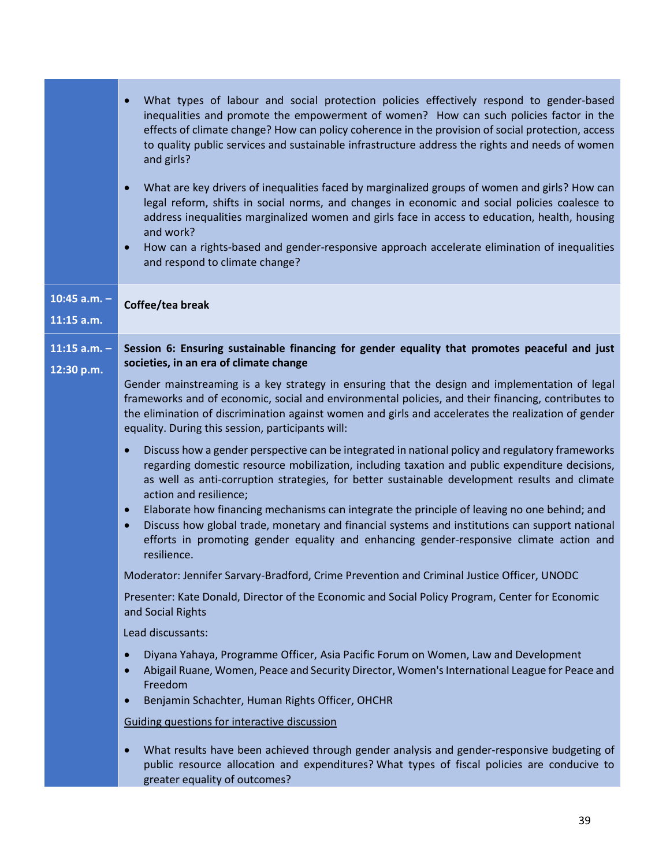|                                | What types of labour and social protection policies effectively respond to gender-based<br>inequalities and promote the empowerment of women? How can such policies factor in the<br>effects of climate change? How can policy coherence in the provision of social protection, access<br>to quality public services and sustainable infrastructure address the rights and needs of women<br>and girls?<br>What are key drivers of inequalities faced by marginalized groups of women and girls? How can<br>legal reform, shifts in social norms, and changes in economic and social policies coalesce to<br>address inequalities marginalized women and girls face in access to education, health, housing<br>and work?<br>How can a rights-based and gender-responsive approach accelerate elimination of inequalities<br>$\bullet$<br>and respond to climate change?                                                                                                                                                                                                                                                                                                                                                                                                                                                                                                                                                                                                                                                                                                                                                                                                                                                                                                                                                                                                                                                                                                                   |
|--------------------------------|-------------------------------------------------------------------------------------------------------------------------------------------------------------------------------------------------------------------------------------------------------------------------------------------------------------------------------------------------------------------------------------------------------------------------------------------------------------------------------------------------------------------------------------------------------------------------------------------------------------------------------------------------------------------------------------------------------------------------------------------------------------------------------------------------------------------------------------------------------------------------------------------------------------------------------------------------------------------------------------------------------------------------------------------------------------------------------------------------------------------------------------------------------------------------------------------------------------------------------------------------------------------------------------------------------------------------------------------------------------------------------------------------------------------------------------------------------------------------------------------------------------------------------------------------------------------------------------------------------------------------------------------------------------------------------------------------------------------------------------------------------------------------------------------------------------------------------------------------------------------------------------------------------------------------------------------------------------------------------------------|
| 10:45 $a.m. -$<br>$11:15$ a.m. | Coffee/tea break                                                                                                                                                                                                                                                                                                                                                                                                                                                                                                                                                                                                                                                                                                                                                                                                                                                                                                                                                                                                                                                                                                                                                                                                                                                                                                                                                                                                                                                                                                                                                                                                                                                                                                                                                                                                                                                                                                                                                                          |
| 11:15 $a.m. -$<br>12:30 p.m.   | Session 6: Ensuring sustainable financing for gender equality that promotes peaceful and just<br>societies, in an era of climate change<br>Gender mainstreaming is a key strategy in ensuring that the design and implementation of legal<br>frameworks and of economic, social and environmental policies, and their financing, contributes to<br>the elimination of discrimination against women and girls and accelerates the realization of gender<br>equality. During this session, participants will:<br>Discuss how a gender perspective can be integrated in national policy and regulatory frameworks<br>regarding domestic resource mobilization, including taxation and public expenditure decisions,<br>as well as anti-corruption strategies, for better sustainable development results and climate<br>action and resilience;<br>Elaborate how financing mechanisms can integrate the principle of leaving no one behind; and<br>$\bullet$<br>Discuss how global trade, monetary and financial systems and institutions can support national<br>$\bullet$<br>efforts in promoting gender equality and enhancing gender-responsive climate action and<br>resilience.<br>Moderator: Jennifer Sarvary-Bradford, Crime Prevention and Criminal Justice Officer, UNODC<br>Presenter: Kate Donald, Director of the Economic and Social Policy Program, Center for Economic<br>and Social Rights<br>Lead discussants:<br>Diyana Yahaya, Programme Officer, Asia Pacific Forum on Women, Law and Development<br>Abigail Ruane, Women, Peace and Security Director, Women's International League for Peace and<br>$\bullet$<br>Freedom<br>Benjamin Schachter, Human Rights Officer, OHCHR<br>$\bullet$<br>Guiding questions for interactive discussion<br>What results have been achieved through gender analysis and gender-responsive budgeting of<br>public resource allocation and expenditures? What types of fiscal policies are conducive to<br>greater equality of outcomes? |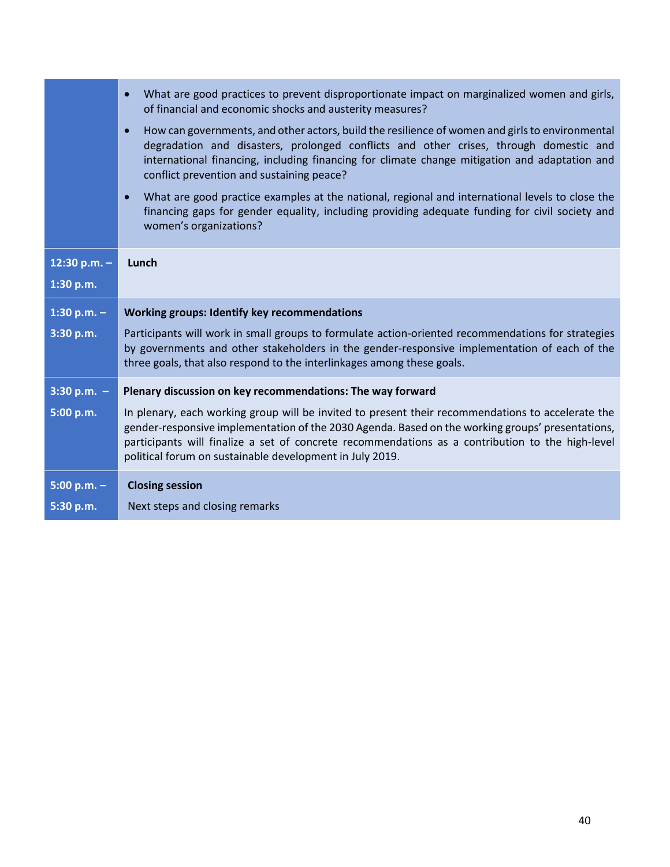|                | What are good practices to prevent disproportionate impact on marginalized women and girls,<br>$\bullet$<br>of financial and economic shocks and austerity measures?                                                                                                                                                                                                  |  |  |  |
|----------------|-----------------------------------------------------------------------------------------------------------------------------------------------------------------------------------------------------------------------------------------------------------------------------------------------------------------------------------------------------------------------|--|--|--|
|                | How can governments, and other actors, build the resilience of women and girls to environmental<br>$\bullet$<br>degradation and disasters, prolonged conflicts and other crises, through domestic and<br>international financing, including financing for climate change mitigation and adaptation and<br>conflict prevention and sustaining peace?                   |  |  |  |
|                | What are good practice examples at the national, regional and international levels to close the<br>$\bullet$<br>financing gaps for gender equality, including providing adequate funding for civil society and<br>women's organizations?                                                                                                                              |  |  |  |
| 12:30 p.m. $-$ | Lunch                                                                                                                                                                                                                                                                                                                                                                 |  |  |  |
| 1:30 p.m.      |                                                                                                                                                                                                                                                                                                                                                                       |  |  |  |
|                | <b>Working groups: Identify key recommendations</b>                                                                                                                                                                                                                                                                                                                   |  |  |  |
| $1:30 p.m. -$  |                                                                                                                                                                                                                                                                                                                                                                       |  |  |  |
| 3:30 p.m.      | Participants will work in small groups to formulate action-oriented recommendations for strategies<br>by governments and other stakeholders in the gender-responsive implementation of each of the<br>three goals, that also respond to the interlinkages among these goals.                                                                                          |  |  |  |
| $3:30 p.m. -$  | Plenary discussion on key recommendations: The way forward                                                                                                                                                                                                                                                                                                            |  |  |  |
| 5:00 p.m.      | In plenary, each working group will be invited to present their recommendations to accelerate the<br>gender-responsive implementation of the 2030 Agenda. Based on the working groups' presentations,<br>participants will finalize a set of concrete recommendations as a contribution to the high-level<br>political forum on sustainable development in July 2019. |  |  |  |
| $5:00 p.m. -$  | <b>Closing session</b>                                                                                                                                                                                                                                                                                                                                                |  |  |  |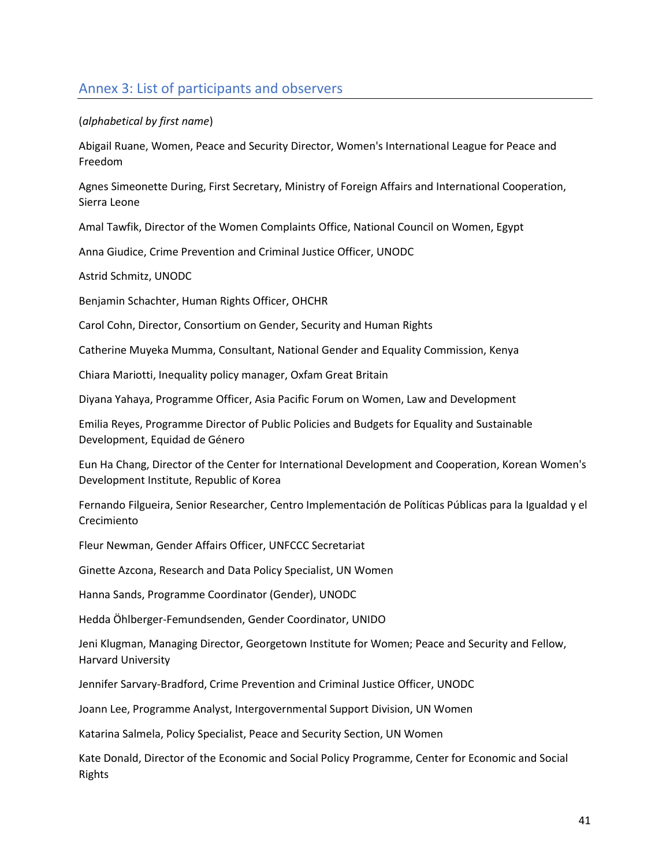### Annex 3: List of participants and observers

#### (*alphabetical by first name*)

Abigail Ruane, Women, Peace and Security Director, Women's International League for Peace and Freedom

Agnes Simeonette During, First Secretary, Ministry of Foreign Affairs and International Cooperation, Sierra Leone

Amal Tawfik, Director of the Women Complaints Office, National Council on Women, Egypt

Anna Giudice, Crime Prevention and Criminal Justice Officer, UNODC

Astrid Schmitz, UNODC

Benjamin Schachter, Human Rights Officer, OHCHR

Carol Cohn, Director, Consortium on Gender, Security and Human Rights

Catherine Muyeka Mumma, Consultant, National Gender and Equality Commission, Kenya

Chiara Mariotti, Inequality policy manager, Oxfam Great Britain

Diyana Yahaya, Programme Officer, Asia Pacific Forum on Women, Law and Development

Emilia Reyes, Programme Director of Public Policies and Budgets for Equality and Sustainable Development, Equidad de Género

Eun Ha Chang, Director of the Center for International Development and Cooperation, Korean Women's Development Institute, Republic of Korea

Fernando Filgueira, Senior Researcher, Centro Implementación de Políticas Públicas para la Igualdad y el Crecimiento

Fleur Newman, Gender Affairs Officer, UNFCCC Secretariat

Ginette Azcona, Research and Data Policy Specialist, UN Women

Hanna Sands, Programme Coordinator (Gender), UNODC

Hedda Öhlberger-Femundsenden, Gender Coordinator, UNIDO

Jeni Klugman, Managing Director, Georgetown Institute for Women; Peace and Security and Fellow, Harvard University

Jennifer Sarvary-Bradford, Crime Prevention and Criminal Justice Officer, UNODC

Joann Lee, Programme Analyst, Intergovernmental Support Division, UN Women

Katarina Salmela, Policy Specialist, Peace and Security Section, UN Women

Kate Donald, Director of the Economic and Social Policy Programme, Center for Economic and Social Rights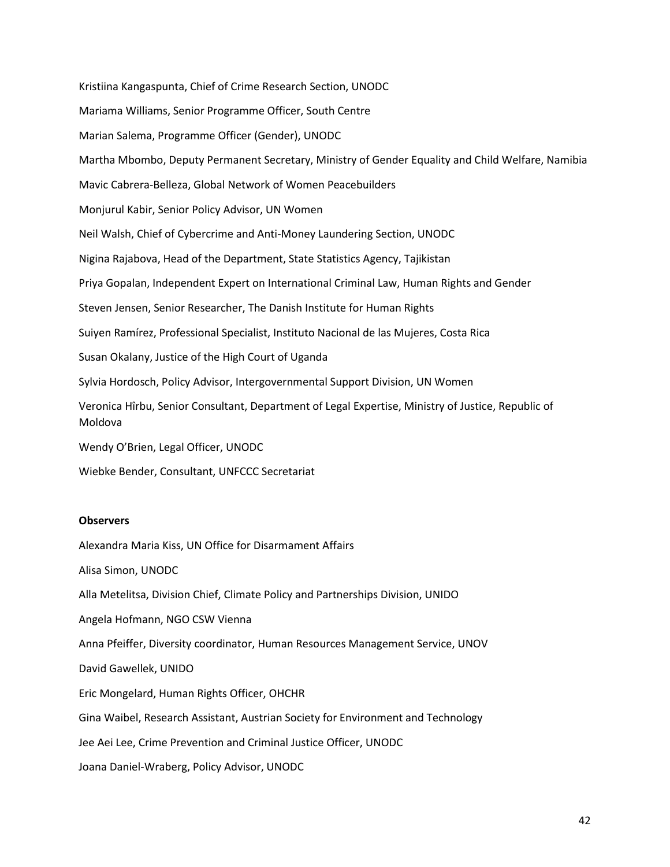Kristiina Kangaspunta, Chief of Crime Research Section, UNODC Mariama Williams, Senior Programme Officer, South Centre Marian Salema, Programme Officer (Gender), UNODC Martha Mbombo, Deputy Permanent Secretary, Ministry of Gender Equality and Child Welfare, Namibia Mavic Cabrera-Belleza, Global Network of Women Peacebuilders Monjurul Kabir, Senior Policy Advisor, UN Women Neil Walsh, Chief of Cybercrime and Anti-Money Laundering Section, UNODC Nigina Rajabova, Head of the Department, State Statistics Agency, Tajikistan Priya Gopalan, Independent Expert on International Criminal Law, Human Rights and Gender Steven Jensen, Senior Researcher, The Danish Institute for Human Rights Suiyen Ramírez, Professional Specialist, Instituto Nacional de las Mujeres, Costa Rica Susan Okalany, Justice of the High Court of Uganda Sylvia Hordosch, Policy Advisor, Intergovernmental Support Division, UN Women Veronica Hîrbu, Senior Consultant, Department of Legal Expertise, Ministry of Justice, Republic of Moldova Wendy O'Brien, Legal Officer, UNODC Wiebke Bender, Consultant, UNFCCC Secretariat

#### **Observers**

Alexandra Maria Kiss, UN Office for Disarmament Affairs

Alisa Simon, UNODC

Alla Metelitsa, Division Chief, Climate Policy and Partnerships Division, UNIDO

Angela Hofmann, NGO CSW Vienna

Anna Pfeiffer, Diversity coordinator, Human Resources Management Service, UNOV

David Gawellek, UNIDO

Eric Mongelard, Human Rights Officer, OHCHR

Gina Waibel, Research Assistant, Austrian Society for Environment and Technology

Jee Aei Lee, Crime Prevention and Criminal Justice Officer, UNODC

Joana Daniel-Wraberg, Policy Advisor, UNODC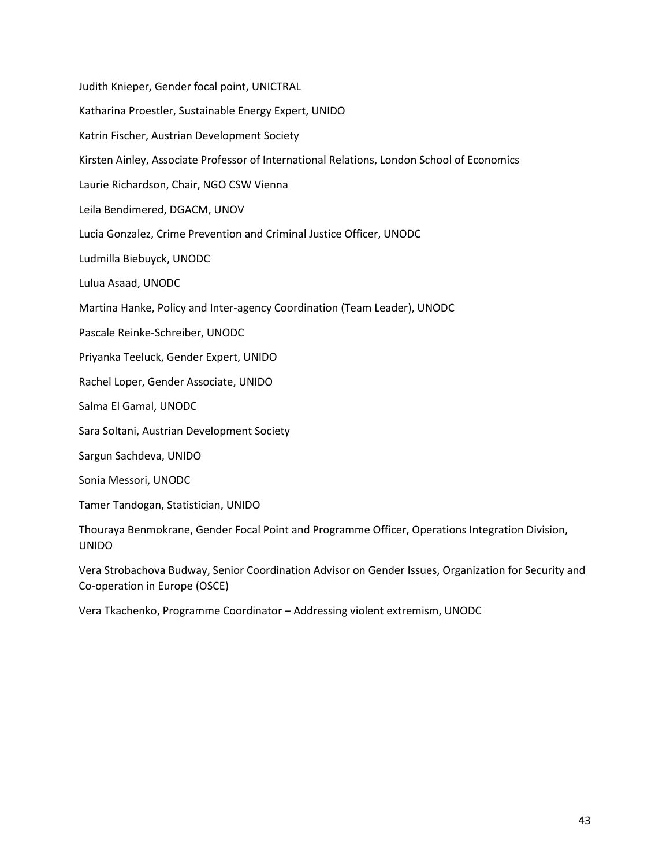Judith Knieper, Gender focal point, UNICTRAL Katharina Proestler, Sustainable Energy Expert, UNIDO Katrin Fischer, Austrian Development Society Kirsten Ainley, Associate Professor of International Relations, London School of Economics Laurie Richardson, Chair, NGO CSW Vienna Leila Bendimered, DGACM, UNOV Lucia Gonzalez, Crime Prevention and Criminal Justice Officer, UNODC Ludmilla Biebuyck, UNODC Lulua Asaad, UNODC Martina Hanke, Policy and Inter-agency Coordination (Team Leader), UNODC Pascale Reinke-Schreiber, UNODC Priyanka Teeluck, Gender Expert, UNIDO Rachel Loper, Gender Associate, UNIDO Salma El Gamal, UNODC Sara Soltani, Austrian Development Society Sargun Sachdeva, UNIDO Sonia Messori, UNODC Tamer Tandogan, Statistician, UNIDO Thouraya Benmokrane, Gender Focal Point and Programme Officer, Operations Integration Division, UNIDO

Vera Strobachova Budway, Senior Coordination Advisor on Gender Issues, Organization for Security and Co-operation in Europe (OSCE)

Vera Tkachenko, Programme Coordinator – Addressing violent extremism, UNODC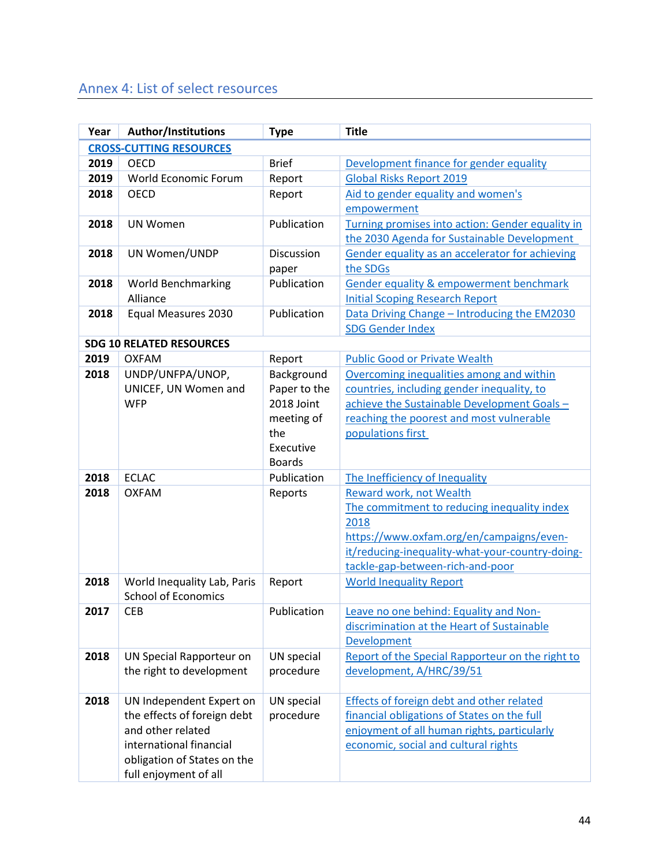## Annex 4: List of select resources

| Year | <b>Author/Institutions</b>                                | <b>Type</b>   | <b>Title</b>                                       |
|------|-----------------------------------------------------------|---------------|----------------------------------------------------|
|      | <b>CROSS-CUTTING RESOURCES</b>                            |               |                                                    |
| 2019 | <b>OECD</b>                                               | <b>Brief</b>  | Development finance for gender equality            |
| 2019 | World Economic Forum                                      | Report        | <b>Global Risks Report 2019</b>                    |
| 2018 | <b>OECD</b>                                               | Report        | Aid to gender equality and women's                 |
|      |                                                           |               | empowerment                                        |
| 2018 | <b>UN Women</b>                                           | Publication   | Turning promises into action: Gender equality in   |
|      |                                                           |               | the 2030 Agenda for Sustainable Development        |
| 2018 | UN Women/UNDP                                             | Discussion    | Gender equality as an accelerator for achieving    |
|      |                                                           | paper         | the SDGs                                           |
| 2018 | <b>World Benchmarking</b>                                 | Publication   | <b>Gender equality &amp; empowerment benchmark</b> |
|      | Alliance                                                  |               | <b>Initial Scoping Research Report</b>             |
| 2018 | Equal Measures 2030                                       | Publication   | Data Driving Change - Introducing the EM2030       |
|      |                                                           |               | <b>SDG Gender Index</b>                            |
|      | <b>SDG 10 RELATED RESOURCES</b>                           |               |                                                    |
| 2019 | <b>OXFAM</b>                                              | Report        | <b>Public Good or Private Wealth</b>               |
| 2018 | UNDP/UNFPA/UNOP,                                          | Background    | Overcoming inequalities among and within           |
|      | UNICEF, UN Women and                                      | Paper to the  | countries, including gender inequality, to         |
|      | <b>WFP</b>                                                | 2018 Joint    | achieve the Sustainable Development Goals-         |
|      |                                                           | meeting of    | reaching the poorest and most vulnerable           |
|      |                                                           | the           | populations first                                  |
|      |                                                           | Executive     |                                                    |
|      |                                                           | <b>Boards</b> |                                                    |
| 2018 | <b>ECLAC</b>                                              | Publication   | The Inefficiency of Inequality                     |
| 2018 | <b>OXFAM</b>                                              | Reports       | Reward work, not Wealth                            |
|      |                                                           |               | The commitment to reducing inequality index        |
|      |                                                           |               | 2018                                               |
|      |                                                           |               | https://www.oxfam.org/en/campaigns/even-           |
|      |                                                           |               | it/reducing-inequality-what-your-country-doing-    |
| 2018 |                                                           |               | tackle-gap-between-rich-and-poor                   |
|      | World Inequality Lab, Paris<br><b>School of Economics</b> | Report        | <b>World Inequality Report</b>                     |
| 2017 | <b>CEB</b>                                                | Publication   | Leave no one behind: Equality and Non-             |
|      |                                                           |               | discrimination at the Heart of Sustainable         |
|      |                                                           |               | Development                                        |
| 2018 | UN Special Rapporteur on                                  | UN special    | Report of the Special Rapporteur on the right to   |
|      | the right to development                                  | procedure     | development, A/HRC/39/51                           |
|      |                                                           |               |                                                    |
| 2018 | UN Independent Expert on                                  | UN special    | <b>Effects of foreign debt and other related</b>   |
|      | the effects of foreign debt                               | procedure     | financial obligations of States on the full        |
|      | and other related                                         |               | enjoyment of all human rights, particularly        |
|      | international financial                                   |               | economic, social and cultural rights               |
|      | obligation of States on the                               |               |                                                    |
|      | full enjoyment of all                                     |               |                                                    |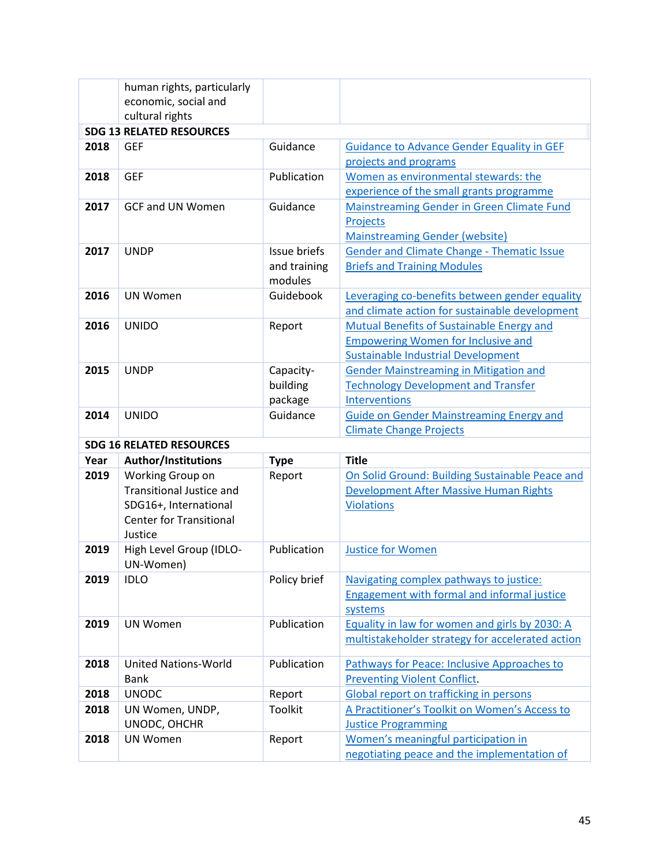|                                 | human rights, particularly      |              |                                                                                    |  |
|---------------------------------|---------------------------------|--------------|------------------------------------------------------------------------------------|--|
|                                 | economic, social and            |              |                                                                                    |  |
|                                 | cultural rights                 |              |                                                                                    |  |
| <b>SDG 13 RELATED RESOURCES</b> |                                 |              |                                                                                    |  |
| 2018                            | <b>GEF</b>                      | Guidance     | <b>Guidance to Advance Gender Equality in GEF</b>                                  |  |
|                                 |                                 |              | projects and programs                                                              |  |
| 2018                            | <b>GEF</b>                      | Publication  | Women as environmental stewards: the                                               |  |
|                                 |                                 |              | experience of the small grants programme                                           |  |
| 2017                            | <b>GCF and UN Women</b>         | Guidance     | Mainstreaming Gender in Green Climate Fund                                         |  |
|                                 |                                 |              | Projects                                                                           |  |
|                                 |                                 |              | <b>Mainstreaming Gender (website)</b>                                              |  |
| 2017                            | <b>UNDP</b>                     | Issue briefs | Gender and Climate Change - Thematic Issue                                         |  |
|                                 |                                 | and training | <b>Briefs and Training Modules</b>                                                 |  |
|                                 |                                 | modules      |                                                                                    |  |
| 2016                            | <b>UN Women</b>                 | Guidebook    | Leveraging co-benefits between gender equality                                     |  |
|                                 |                                 |              | and climate action for sustainable development                                     |  |
| 2016                            | <b>UNIDO</b>                    | Report       | <b>Mutual Benefits of Sustainable Energy and</b>                                   |  |
|                                 |                                 |              | <b>Empowering Women for Inclusive and</b>                                          |  |
|                                 |                                 |              | <b>Sustainable Industrial Development</b>                                          |  |
| 2015                            | <b>UNDP</b>                     | Capacity-    | <b>Gender Mainstreaming in Mitigation and</b>                                      |  |
|                                 |                                 | building     | <b>Technology Development and Transfer</b>                                         |  |
|                                 |                                 | package      | Interventions                                                                      |  |
| 2014                            | <b>UNIDO</b>                    | Guidance     | <b>Guide on Gender Mainstreaming Energy and</b>                                    |  |
|                                 |                                 |              |                                                                                    |  |
|                                 |                                 |              | <b>Climate Change Projects</b>                                                     |  |
|                                 | <b>SDG 16 RELATED RESOURCES</b> |              |                                                                                    |  |
| Year                            | <b>Author/Institutions</b>      | <b>Type</b>  | <b>Title</b>                                                                       |  |
| 2019                            | Working Group on                | Report       | On Solid Ground: Building Sustainable Peace and                                    |  |
|                                 | <b>Transitional Justice and</b> |              | Development After Massive Human Rights                                             |  |
|                                 | SDG16+, International           |              | <b>Violations</b>                                                                  |  |
|                                 | <b>Center for Transitional</b>  |              |                                                                                    |  |
|                                 | Justice                         |              |                                                                                    |  |
| 2019                            | High Level Group (IDLO-         | Publication  | <b>Justice for Women</b>                                                           |  |
|                                 | UN-Women)                       |              |                                                                                    |  |
| 2019                            | <b>IDLO</b>                     | Policy brief | Navigating complex pathways to justice:                                            |  |
|                                 |                                 |              | <b>Engagement with formal and informal justice</b>                                 |  |
|                                 |                                 |              | systems                                                                            |  |
| 2019                            | <b>UN Women</b>                 | Publication  | Equality in law for women and girls by 2030: A                                     |  |
|                                 |                                 |              | multistakeholder strategy for accelerated action                                   |  |
| 2018                            | <b>United Nations-World</b>     | Publication  | Pathways for Peace: Inclusive Approaches to                                        |  |
|                                 | <b>Bank</b>                     |              | <b>Preventing Violent Conflict.</b>                                                |  |
| 2018                            | <b>UNODC</b>                    | Report       | Global report on trafficking in persons                                            |  |
| 2018                            | UN Women, UNDP,                 | Toolkit      | A Practitioner's Toolkit on Women's Access to                                      |  |
|                                 | UNODC, OHCHR                    |              | <b>Justice Programming</b>                                                         |  |
| 2018                            | <b>UN Women</b>                 | Report       | Women's meaningful participation in<br>negotiating peace and the implementation of |  |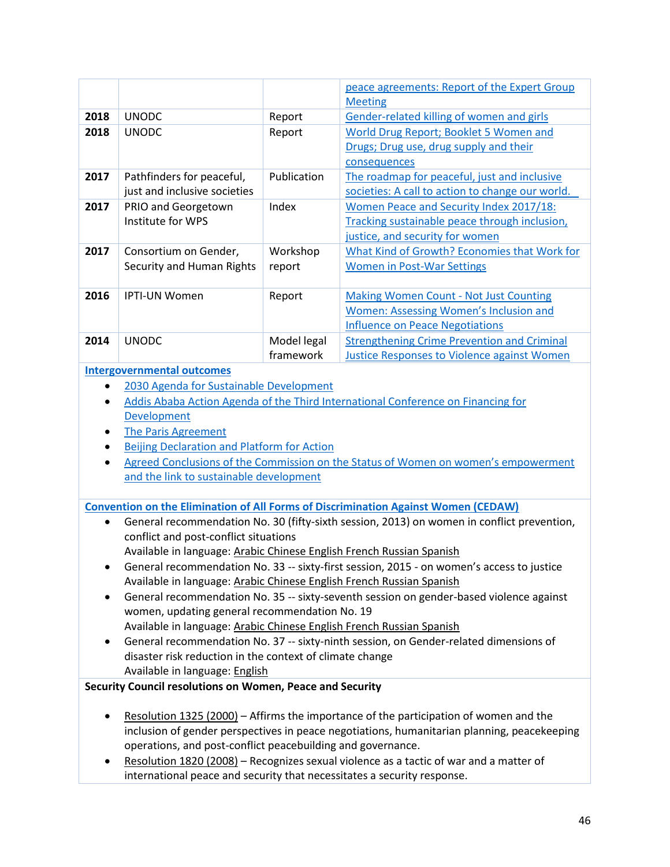|                                                                                                                                                                 |                                                                                            |                          | peace agreements: Report of the Expert Group<br><b>Meeting</b>                                           |  |  |
|-----------------------------------------------------------------------------------------------------------------------------------------------------------------|--------------------------------------------------------------------------------------------|--------------------------|----------------------------------------------------------------------------------------------------------|--|--|
| 2018                                                                                                                                                            | <b>UNODC</b>                                                                               | Report                   | Gender-related killing of women and girls                                                                |  |  |
| 2018                                                                                                                                                            | <b>UNODC</b>                                                                               | Report                   | World Drug Report; Booklet 5 Women and                                                                   |  |  |
|                                                                                                                                                                 |                                                                                            |                          | Drugs; Drug use, drug supply and their                                                                   |  |  |
|                                                                                                                                                                 |                                                                                            |                          | consequences                                                                                             |  |  |
| 2017                                                                                                                                                            | Pathfinders for peaceful,                                                                  | Publication              | The roadmap for peaceful, just and inclusive                                                             |  |  |
|                                                                                                                                                                 | just and inclusive societies                                                               |                          | societies: A call to action to change our world.                                                         |  |  |
| 2017                                                                                                                                                            | PRIO and Georgetown                                                                        | Index                    | Women Peace and Security Index 2017/18:                                                                  |  |  |
|                                                                                                                                                                 | Institute for WPS                                                                          |                          | Tracking sustainable peace through inclusion,                                                            |  |  |
|                                                                                                                                                                 |                                                                                            |                          | justice, and security for women                                                                          |  |  |
| 2017                                                                                                                                                            | Consortium on Gender,                                                                      | Workshop                 | What Kind of Growth? Economies that Work for                                                             |  |  |
|                                                                                                                                                                 | Security and Human Rights                                                                  | report                   | <b>Women in Post-War Settings</b>                                                                        |  |  |
|                                                                                                                                                                 |                                                                                            |                          |                                                                                                          |  |  |
| 2016                                                                                                                                                            | IPTI-UN Women                                                                              | Report                   | <b>Making Women Count - Not Just Counting</b>                                                            |  |  |
|                                                                                                                                                                 |                                                                                            |                          | <b>Women: Assessing Women's Inclusion and</b>                                                            |  |  |
|                                                                                                                                                                 |                                                                                            |                          | <b>Influence on Peace Negotiations</b>                                                                   |  |  |
| 2014                                                                                                                                                            | <b>UNODC</b>                                                                               | Model legal<br>framework | <b>Strengthening Crime Prevention and Criminal</b><br><b>Justice Responses to Violence against Women</b> |  |  |
|                                                                                                                                                                 | <b>Intergovernmental outcomes</b>                                                          |                          |                                                                                                          |  |  |
|                                                                                                                                                                 | 2030 Agenda for Sustainable Development                                                    |                          |                                                                                                          |  |  |
| $\bullet$                                                                                                                                                       |                                                                                            |                          | Addis Ababa Action Agenda of the Third International Conference on Financing for                         |  |  |
|                                                                                                                                                                 | Development                                                                                |                          |                                                                                                          |  |  |
| ٠                                                                                                                                                               | <b>The Paris Agreement</b>                                                                 |                          |                                                                                                          |  |  |
| $\bullet$                                                                                                                                                       | Beijing Declaration and Platform for Action                                                |                          |                                                                                                          |  |  |
| $\bullet$                                                                                                                                                       | Agreed Conclusions of the Commission on the Status of Women on women's empowerment         |                          |                                                                                                          |  |  |
|                                                                                                                                                                 | and the link to sustainable development                                                    |                          |                                                                                                          |  |  |
|                                                                                                                                                                 |                                                                                            |                          |                                                                                                          |  |  |
|                                                                                                                                                                 |                                                                                            |                          | <b>Convention on the Elimination of All Forms of Discrimination Against Women (CEDAW)</b>                |  |  |
| $\bullet$                                                                                                                                                       |                                                                                            |                          | General recommendation No. 30 (fifty-sixth session, 2013) on women in conflict prevention,               |  |  |
|                                                                                                                                                                 | conflict and post-conflict situations                                                      |                          |                                                                                                          |  |  |
|                                                                                                                                                                 | Available in language: Arabic Chinese English French Russian Spanish                       |                          |                                                                                                          |  |  |
|                                                                                                                                                                 |                                                                                            |                          | General recommendation No. 33 -- sixty-first session, 2015 - on women's access to justice                |  |  |
| Available in language: Arabic Chinese English French Russian Spanish<br>General recommendation No. 35 -- sixty-seventh session on gender-based violence against |                                                                                            |                          |                                                                                                          |  |  |
| women, updating general recommendation No. 19                                                                                                                   |                                                                                            |                          |                                                                                                          |  |  |
| Available in language: Arabic Chinese English French Russian Spanish                                                                                            |                                                                                            |                          |                                                                                                          |  |  |
| General recommendation No. 37 -- sixty-ninth session, on Gender-related dimensions of<br>$\bullet$                                                              |                                                                                            |                          |                                                                                                          |  |  |
|                                                                                                                                                                 |                                                                                            |                          |                                                                                                          |  |  |
|                                                                                                                                                                 |                                                                                            |                          |                                                                                                          |  |  |
|                                                                                                                                                                 | disaster risk reduction in the context of climate change<br>Available in language: English |                          |                                                                                                          |  |  |
|                                                                                                                                                                 | Security Council resolutions on Women, Peace and Security                                  |                          |                                                                                                          |  |  |
|                                                                                                                                                                 |                                                                                            |                          |                                                                                                          |  |  |
|                                                                                                                                                                 |                                                                                            |                          | Resolution 1325 (2000) - Affirms the importance of the participation of women and the                    |  |  |
|                                                                                                                                                                 |                                                                                            |                          | inclusion of gender perspectives in peace negotiations, humanitarian planning, peacekeeping              |  |  |
|                                                                                                                                                                 | operations, and post-conflict peacebuilding and governance.                                |                          |                                                                                                          |  |  |
|                                                                                                                                                                 | international peace and security that necessitates a security response.                    |                          | Resolution 1820 (2008) - Recognizes sexual violence as a tactic of war and a matter of                   |  |  |